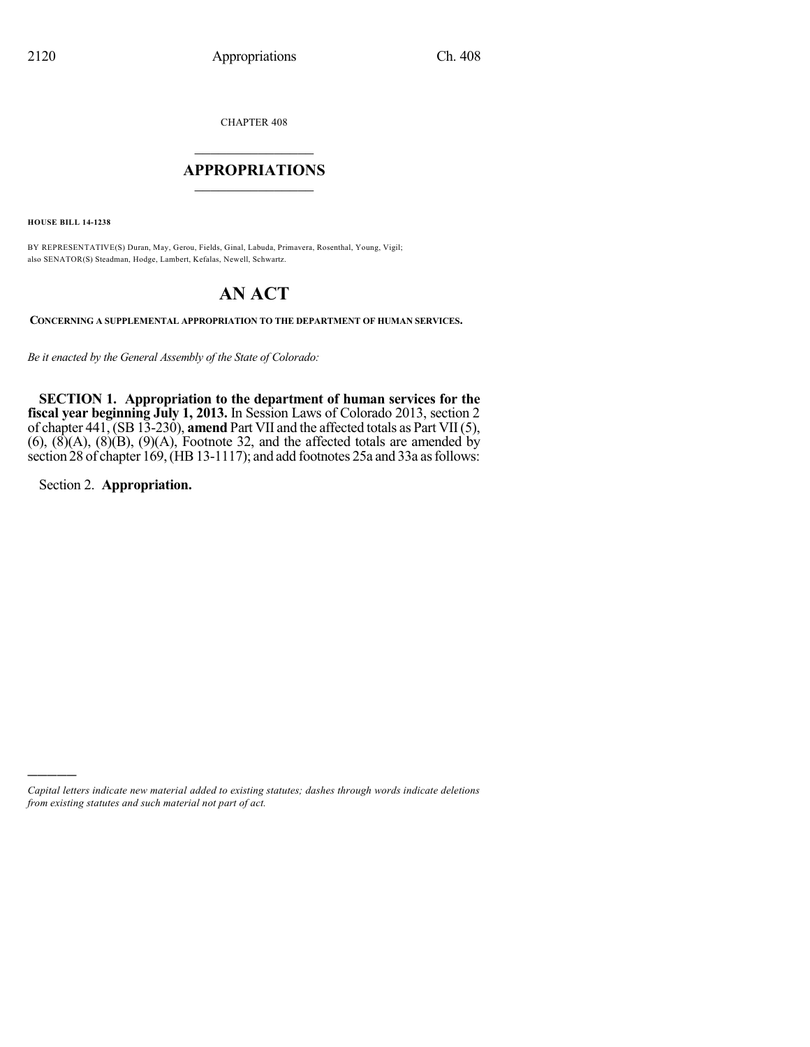CHAPTER 408

# $\mathcal{L}_\text{max}$  . The set of the set of the set of the set of the set of the set of the set of the set of the set of the set of the set of the set of the set of the set of the set of the set of the set of the set of the set **APPROPRIATIONS**  $\_$   $\_$   $\_$   $\_$   $\_$   $\_$   $\_$   $\_$

**HOUSE BILL 14-1238**

BY REPRESENTATIVE(S) Duran, May, Gerou, Fields, Ginal, Labuda, Primavera, Rosenthal, Young, Vigil; also SENATOR(S) Steadman, Hodge, Lambert, Kefalas, Newell, Schwartz.

# **AN ACT**

**CONCERNING A SUPPLEMENTAL APPROPRIATION TO THE DEPARTMENT OF HUMAN SERVICES.**

*Be it enacted by the General Assembly of the State of Colorado:*

**SECTION 1. Appropriation to the department of human services for the fiscal year beginning July 1, 2013.** In Session Laws of Colorado 2013, section 2 of chapter 441, (SB 13-230), **amend** Part VII and the affected totals as Part VII(5),  $(6)$ ,  $(\hat{8})(A)$ ,  $(\hat{8})(B)$ ,  $(\hat{9})(A)$ , Footnote 32, and the affected totals are amended by section 28 of chapter 169, (HB 13-1117); and add footnotes 25a and 33a as follows:

Section 2. **Appropriation.**

)))))

*Capital letters indicate new material added to existing statutes; dashes through words indicate deletions from existing statutes and such material not part of act.*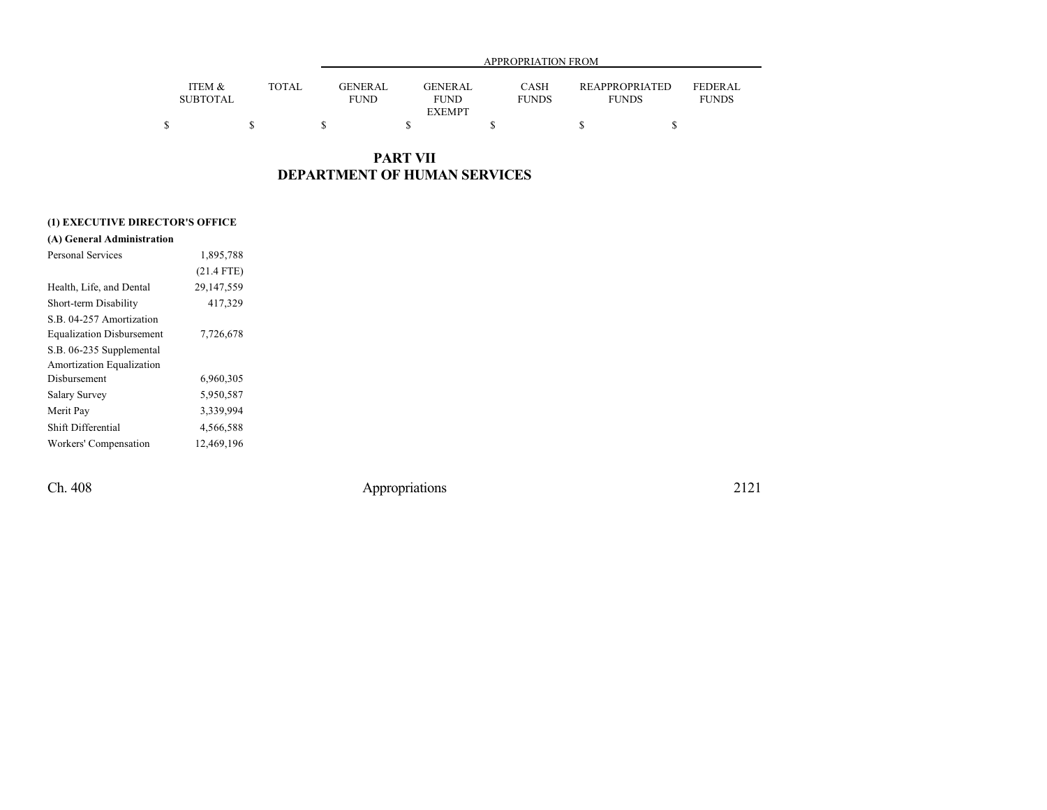|                           |       | APPROPRIATION FROM     |                        |                             |                                       |                                |  |  |  |  |
|---------------------------|-------|------------------------|------------------------|-----------------------------|---------------------------------------|--------------------------------|--|--|--|--|
| ITEM &<br><b>SUBTOTAL</b> | TOTAL | GENERAL<br><b>FUND</b> | GENERAL<br><b>FUND</b> | <b>CASH</b><br><b>FUNDS</b> | <b>REAPPROPRIATED</b><br><b>FUNDS</b> | <b>FEDERAL</b><br><b>FUNDS</b> |  |  |  |  |
|                           |       |                        | <b>EXEMPT</b>          |                             |                                       |                                |  |  |  |  |
|                           |       |                        |                        |                             |                                       |                                |  |  |  |  |

## **PART VII DEPARTMENT OF HUMAN SERVICES**

### **(1) EXECUTIVE DIRECTOR'S OFFICE**

| Personal Services                | 1,895,788    |
|----------------------------------|--------------|
|                                  | $(21.4$ FTE) |
| Health, Life, and Dental         | 29,147,559   |
| Short-term Disability            | 417,329      |
| S B 04-257 Amortization          |              |
| <b>Equalization Disbursement</b> | 7,726,678    |
| S.B. 06-235 Supplemental         |              |
| Amortization Equalization        |              |
| Disbursement                     | 6,960,305    |
| Salary Survey                    | 5,950,587    |
| Merit Pay                        | 3,339,994    |
| Shift Differential               | 4,566,588    |
| Workers' Compensation            | 12,469,196   |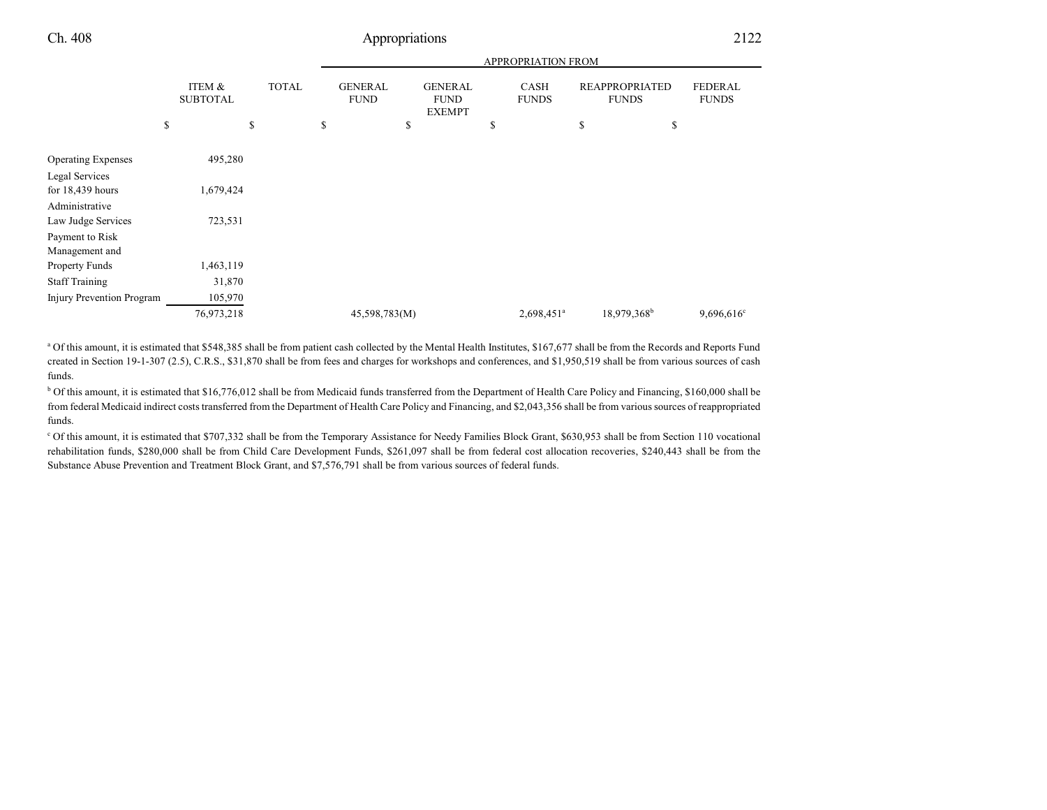|                           |                           |              |                               |                                                | <b>APPROPRIATION FROM</b>   |                                       |                                |
|---------------------------|---------------------------|--------------|-------------------------------|------------------------------------------------|-----------------------------|---------------------------------------|--------------------------------|
|                           | ITEM &<br><b>SUBTOTAL</b> | <b>TOTAL</b> | <b>GENERAL</b><br><b>FUND</b> | <b>GENERAL</b><br><b>FUND</b><br><b>EXEMPT</b> | <b>CASH</b><br><b>FUNDS</b> | <b>REAPPROPRIATED</b><br><b>FUNDS</b> | <b>FEDERAL</b><br><b>FUNDS</b> |
|                           | \$                        | \$           | \$                            | \$                                             | \$                          | \$<br>\$                              |                                |
| <b>Operating Expenses</b> | 495,280                   |              |                               |                                                |                             |                                       |                                |
| Legal Services            |                           |              |                               |                                                |                             |                                       |                                |
| for $18,439$ hours        | 1,679,424                 |              |                               |                                                |                             |                                       |                                |
| Administrative            |                           |              |                               |                                                |                             |                                       |                                |
| Law Judge Services        | 723,531                   |              |                               |                                                |                             |                                       |                                |
| Payment to Risk           |                           |              |                               |                                                |                             |                                       |                                |
| Management and            |                           |              |                               |                                                |                             |                                       |                                |
| Property Funds            | ,463,119                  |              |                               |                                                |                             |                                       |                                |
| <b>Staff Training</b>     | 31,870                    |              |                               |                                                |                             |                                       |                                |
| Injury Prevention Program | 105,970                   |              |                               |                                                |                             |                                       |                                |
|                           | 76,973,218                |              | 45,598,783(M)                 |                                                | 2,698,451 <sup>a</sup>      | 18,979,368 <sup>b</sup>               | $9,696,616$ °                  |
|                           |                           |              |                               |                                                |                             |                                       |                                |

<sup>a</sup> Of this amount, it is estimated that \$548,385 shall be from patient cash collected by the Mental Health Institutes, \$167,677 shall be from the Records and Reports Fund created in Section 19-1-307 (2.5), C.R.S., \$31,870 shall be from fees and charges for workshops and conferences, and \$1,950,519 shall be from various sources of cash funds.

<sup>b</sup> Of this amount, it is estimated that \$16,776,012 shall be from Medicaid funds transferred from the Department of Health Care Policy and Financing, \$160,000 shall be from federal Medicaid indirect costs transferred from the Department of Health Care Policy and Financing, and \$2,043,356 shall be from various sources of reappropriated funds.

<sup>c</sup> Of this amount, it is estimated that \$707,332 shall be from the Temporary Assistance for Needy Families Block Grant, \$630,953 shall be from Section 110 vocational rehabilitation funds, \$280,000 shall be from Child Care Development Funds, \$261,097 shall be from federal cost allocation recoveries, \$240,443 shall be from the Substance Abuse Prevention and Treatment Block Grant, and \$7,576,791 shall be from various sources of federal funds.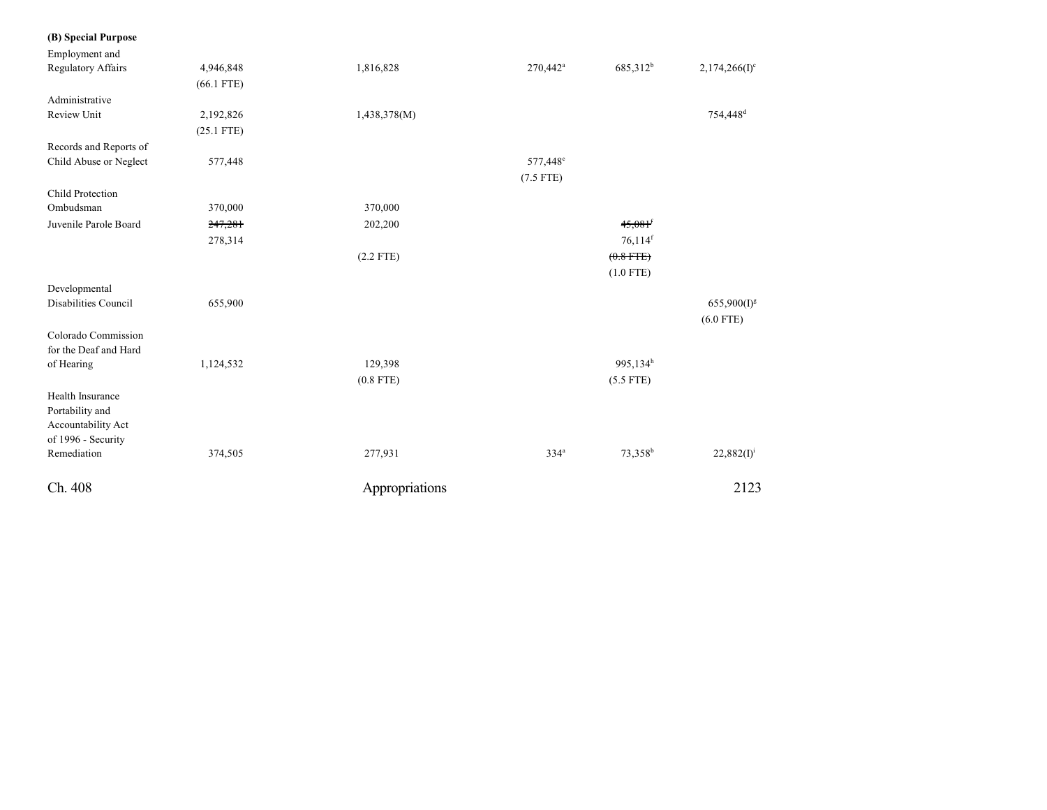#### **(B) Speci a l Purpose**

| Employment and              |              |                |                      |                       |                           |
|-----------------------------|--------------|----------------|----------------------|-----------------------|---------------------------|
| <b>Regulatory Affairs</b>   | 4,946,848    | 1,816,828      | 270,442 <sup>a</sup> | 685,312 <sup>b</sup>  | 2,174,266(I) <sup>c</sup> |
|                             | $(66.1$ FTE) |                |                      |                       |                           |
| Administrative              |              |                |                      |                       |                           |
| <b>Review Unit</b>          | 2,192,826    | 1,438,378(M)   |                      |                       | 754,448 <sup>d</sup>      |
|                             | $(25.1$ FTE) |                |                      |                       |                           |
| Records and Reports of      |              |                |                      |                       |                           |
| Child Abuse or Neglect      | 577,448      |                | 577,448 <sup>e</sup> |                       |                           |
|                             |              |                | $(7.5$ FTE)          |                       |                           |
| <b>Child Protection</b>     |              |                |                      |                       |                           |
| Ombudsman                   | 370,000      | 370,000        |                      |                       |                           |
| Juvenile Parole Board       | 247,281      | 202,200        |                      | $45,081$ <sup>f</sup> |                           |
|                             | 278,314      |                |                      | $76,114$ <sup>f</sup> |                           |
|                             |              | $(2.2$ FTE)    |                      | $(0.8$ FTE)           |                           |
|                             |              |                |                      | $(1.0$ FTE)           |                           |
| Developmental               |              |                |                      |                       |                           |
| <b>Disabilities Council</b> | 655,900      |                |                      |                       | $655,900(I)^g$            |
|                             |              |                |                      |                       | $(6.0$ FTE)               |
| Colorado Commission         |              |                |                      |                       |                           |
| for the Deaf and Hard       |              |                |                      |                       |                           |
| of Hearing                  | 1,124,532    | 129,398        |                      | 995,134h              |                           |
|                             |              | $(0.8$ FTE)    |                      | $(5.5$ FTE)           |                           |
| Health Insurance            |              |                |                      |                       |                           |
| Portability and             |              |                |                      |                       |                           |
| Accountability Act          |              |                |                      |                       |                           |
| of 1996 - Security          |              |                |                      |                       |                           |
| Remediation                 | 374,505      | 277,931        | 334 <sup>a</sup>     | 73,358 <sup>b</sup>   | $22,882(I)^{i}$           |
| Ch. 408                     |              | Appropriations |                      |                       | 2123                      |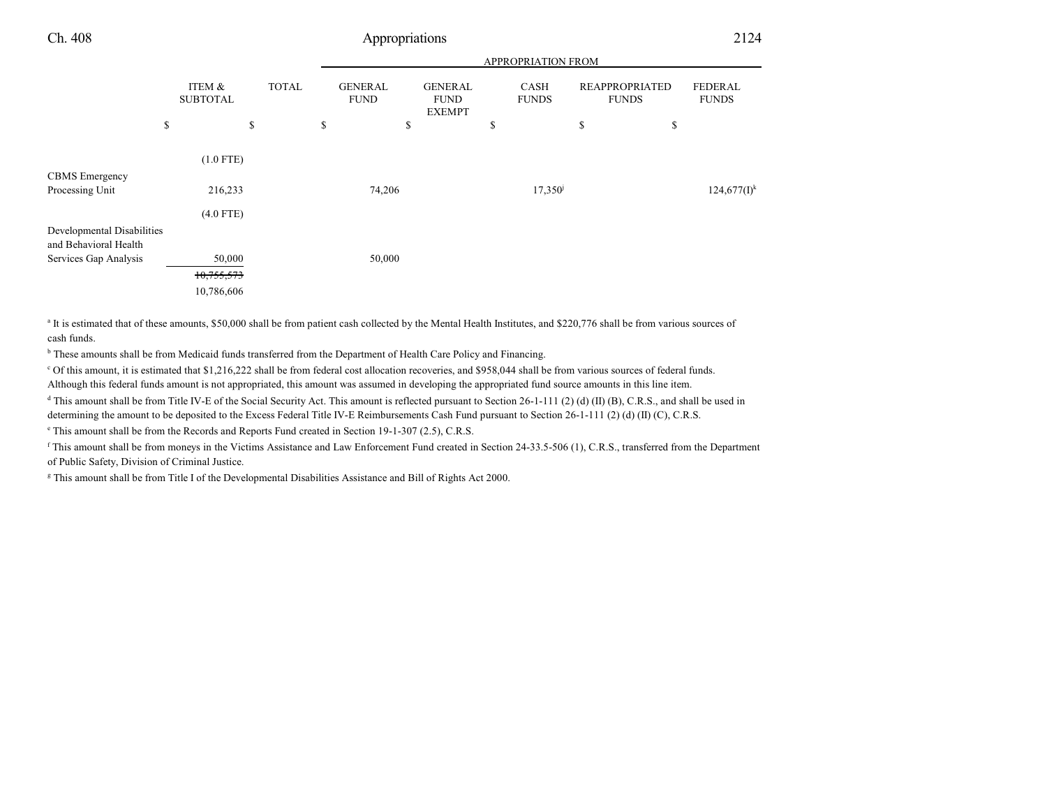|--|--|

|                                                     |                           |              | APPROPRIATION FROM            |                                                |    |                             |                                       |    |                                |  |
|-----------------------------------------------------|---------------------------|--------------|-------------------------------|------------------------------------------------|----|-----------------------------|---------------------------------------|----|--------------------------------|--|
|                                                     | ITEM &<br><b>SUBTOTAL</b> | <b>TOTAL</b> | <b>GENERAL</b><br><b>FUND</b> | <b>GENERAL</b><br><b>FUND</b><br><b>EXEMPT</b> |    | <b>CASH</b><br><b>FUNDS</b> | <b>REAPPROPRIATED</b><br><b>FUNDS</b> |    | <b>FEDERAL</b><br><b>FUNDS</b> |  |
|                                                     | \$                        | \$           | \$                            | \$                                             | \$ |                             | \$                                    | \$ |                                |  |
|                                                     | $(1.0$ FTE)               |              |                               |                                                |    |                             |                                       |    |                                |  |
| <b>CBMS</b> Emergency                               |                           |              |                               |                                                |    |                             |                                       |    |                                |  |
| Processing Unit                                     | 216,233                   |              | 74,206                        |                                                |    | $17,350^{\circ}$            |                                       |    | $124,677(I)^k$                 |  |
|                                                     | $(4.0$ FTE)               |              |                               |                                                |    |                             |                                       |    |                                |  |
| Developmental Disabilities<br>and Behavioral Health |                           |              |                               |                                                |    |                             |                                       |    |                                |  |
| Services Gap Analysis                               | 50,000                    |              | 50,000                        |                                                |    |                             |                                       |    |                                |  |
|                                                     | 10,755,573                |              |                               |                                                |    |                             |                                       |    |                                |  |
|                                                     | 10,786,606                |              |                               |                                                |    |                             |                                       |    |                                |  |

<sup>a</sup> It is estimated that of these amounts, \$50,000 shall be from patient cash collected by the Mental Health Institutes, and \$220,776 shall be from various sources of cash funds.

<sup>b</sup> These amounts shall be from Medicaid funds transferred from the Department of Health Care Policy and Financing.

<sup>c</sup> Of this amount, it is estimated that \$1,216,222 shall be from federal cost allocation recoveries, and \$958,044 shall be from various sources of federal funds. Although this federal funds amount is not appropriated, this amount was assumed in developing the appropriated fund source amounts in this line item.

 $d$  This amount shall be from Title IV-E of the Social Security Act. This amount is reflected pursuant to Section 26-1-111 (2) (d) (II) (B), C.R.S., and shall be used in determining the amount to be deposited to the Excess Federal Title IV-E Reimbursements Cash Fund pursuant to Section 26-1-111 (2) (d) (II) (C), C.R.S.

e This amount shall be from the Records and Reports Fund created in Section 19-1-307 (2.5), C.R.S.

<sup>f</sup> This amount shall be from moneys in the Victims Assistance and Law Enforcement Fund created in Section 24-33.5-506 (1), C.R.S., transferred from the Department of Public Safety, Division of Criminal Justice.

g This amount shall be from Title I of the Developmental Disabilities Assistance and Bill of Rights Act 2000.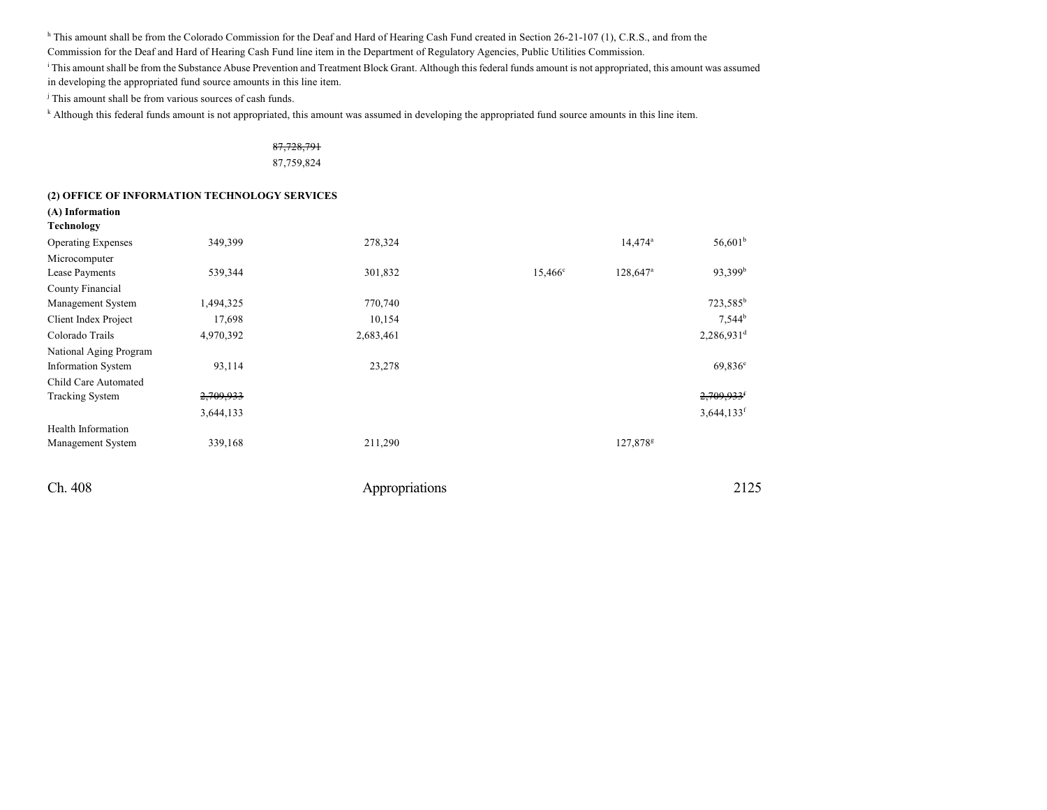<sup>h</sup> This amount shall be from the Colorado Commission for the Deaf and Hard of Hearing Cash Fund created in Section 26-21-107 (1), C.R.S., and from the

Commission for the Deaf and Hard of Hearing Cash Fund line item in the Department of Regulatory Agencies, Public Utilities Commission.

<sup>i</sup> This amount shall be from the Substance Abuse Prevention and Treatment Block Grant. Although this federal funds amount is not appropriated, this amount was assumed

in developing the appropriated fund source amounts in this line item.

j This amount shall be from various sources of cash funds.

k Although this federal funds amount is not appropriated, this amount was assumed in developing the appropriated fund source amounts in this line item.

### 87,728,791 87,759,824

#### **(2) OFFICE OF INFORMATION TECHNOLOGY SERVICES**

| (A) Information           |           |           |                  |                        |                          |
|---------------------------|-----------|-----------|------------------|------------------------|--------------------------|
| Technology                |           |           |                  |                        |                          |
| <b>Operating Expenses</b> | 349,399   | 278,324   |                  | $14,474^a$             | $56,601^b$               |
| Microcomputer             |           |           |                  |                        |                          |
| Lease Payments            | 539,344   | 301,832   | $15,466^{\circ}$ | $128,647$ <sup>a</sup> | 93,399 <sup>b</sup>      |
| County Financial          |           |           |                  |                        |                          |
| Management System         | 1,494,325 | 770,740   |                  |                        | 723,585 <sup>b</sup>     |
| Client Index Project      | 17,698    | 10,154    |                  |                        | $7,544^b$                |
| Colorado Trails           | 4,970,392 | 2,683,461 |                  |                        | 2,286,931 <sup>d</sup>   |
| National Aging Program    |           |           |                  |                        |                          |
| <b>Information System</b> | 93,114    | 23,278    |                  |                        | $69,836^e$               |
| Child Care Automated      |           |           |                  |                        |                          |
| <b>Tracking System</b>    | 2,709,933 |           |                  |                        | $2,709,933$ <sup>f</sup> |
|                           | 3,644,133 |           |                  |                        | $3,644,133$ <sup>f</sup> |
| Health Information        |           |           |                  |                        |                          |
| Management System         | 339,168   | 211,290   |                  | 127,878 <sup>g</sup>   |                          |
|                           |           |           |                  |                        |                          |
|                           |           |           |                  |                        |                          |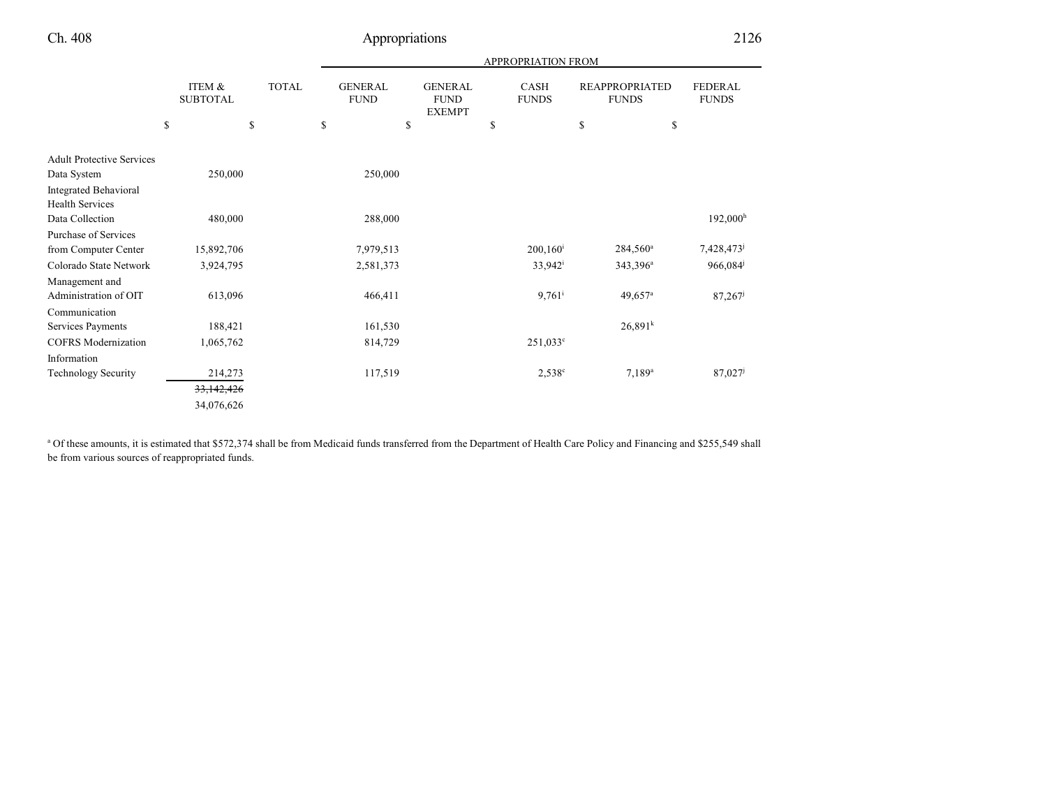|                                  |                           |              | <b>APPROPRIATION FROM</b>     |                                                |                      |                                       |                                |  |  |  |
|----------------------------------|---------------------------|--------------|-------------------------------|------------------------------------------------|----------------------|---------------------------------------|--------------------------------|--|--|--|
|                                  | ITEM &<br><b>SUBTOTAL</b> | <b>TOTAL</b> | <b>GENERAL</b><br><b>FUND</b> | <b>GENERAL</b><br><b>FUND</b><br><b>EXEMPT</b> | CASH<br><b>FUNDS</b> | <b>REAPPROPRIATED</b><br><b>FUNDS</b> | <b>FEDERAL</b><br><b>FUNDS</b> |  |  |  |
|                                  | \$                        | \$           | \$                            | \$                                             | \$                   | $\mathbb{S}$                          | \$                             |  |  |  |
| <b>Adult Protective Services</b> |                           |              |                               |                                                |                      |                                       |                                |  |  |  |
| Data System                      | 250,000                   |              | 250,000                       |                                                |                      |                                       |                                |  |  |  |
| <b>Integrated Behavioral</b>     |                           |              |                               |                                                |                      |                                       |                                |  |  |  |
| <b>Health Services</b>           |                           |              |                               |                                                |                      |                                       |                                |  |  |  |
| Data Collection                  | 480,000                   |              | 288,000                       |                                                |                      |                                       | 192,000 <sup>h</sup>           |  |  |  |
| Purchase of Services             |                           |              |                               |                                                |                      |                                       |                                |  |  |  |
| from Computer Center             | 15,892,706                |              | 7,979,513                     |                                                | $200, 160^i$         | $284,560^{\circ}$                     | 7,428,473                      |  |  |  |
| Colorado State Network           | 3,924,795                 |              | 2,581,373                     |                                                | $33,942^{\rm i}$     | 343,396 <sup>a</sup>                  | 966,084                        |  |  |  |
| Management and                   |                           |              |                               |                                                |                      |                                       |                                |  |  |  |
| Administration of OIT            | 613,096                   |              | 466,411                       |                                                | $9,761$ <sup>i</sup> | $49,657$ <sup>a</sup>                 | 87,267                         |  |  |  |
| Communication                    |                           |              |                               |                                                |                      |                                       |                                |  |  |  |
| Services Payments                | 188,421                   |              | 161,530                       |                                                |                      | 26,891 <sup>k</sup>                   |                                |  |  |  |
| <b>COFRS</b> Modernization       | 1,065,762                 |              | 814,729                       |                                                | $251,033^{\circ}$    |                                       |                                |  |  |  |
| Information                      |                           |              |                               |                                                |                      |                                       |                                |  |  |  |
| <b>Technology Security</b>       | 214,273                   |              | 117,519                       |                                                | $2,538^{\circ}$      | $7,189^{\rm a}$                       | 87,027                         |  |  |  |
|                                  | 33,142,426                |              |                               |                                                |                      |                                       |                                |  |  |  |
|                                  | 34,076,626                |              |                               |                                                |                      |                                       |                                |  |  |  |

<sup>a</sup> Of these amounts, it is estimated that \$572,374 shall be from Medicaid funds transferred from the Department of Health Care Policy and Financing and \$255,549 shall be from various sources of reappropriated funds.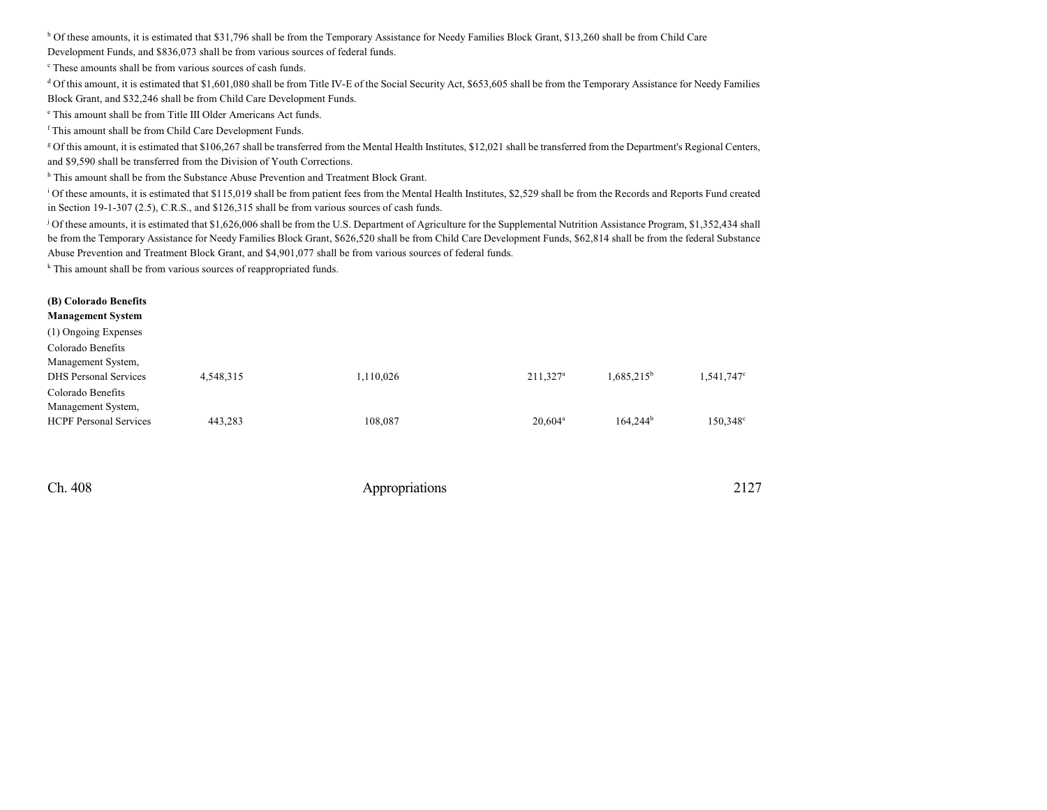<sup>b</sup> Of these amounts, it is estimated that \$31,796 shall be from the Temporary Assistance for Needy Families Block Grant, \$13,260 shall be from Child Care

Development Funds, and \$836,073 shall be from various sources of federal funds.

c These amounts shall be from various sources of cash funds.

<sup>d</sup> Of this amount, it is estimated that \$1,601,080 shall be from Title IV-E of the Social Security Act, \$653,605 shall be from the Temporary Assistance for Needy Families Block Grant, and \$32,246 shall be from Child Care Development Funds.

e This amount shall be from Title III Older Americans Act funds.

f This amount shall be from Child Care Development Funds.

<sup>g</sup> Of this amount, it is estimated that \$106,267 shall be transferred from the Mental Health Institutes, \$12,021 shall be transferred from the Department's Regional Centers, and \$9,590 shall be transferred from the Division of Youth Corrections.

<sup>h</sup> This amount shall be from the Substance Abuse Prevention and Treatment Block Grant.

<sup>i</sup> Of these amounts, it is estimated that \$115,019 shall be from patient fees from the Mental Health Institutes, \$2,529 shall be from the Records and Reports Fund created in Section 19-1-307 (2.5), C.R.S., and \$126,315 shall be from various sources of cash funds.

<sup>j</sup> Of these amounts, it is estimated that \$1,626,006 shall be from the U.S. Department of Agriculture for the Supplemental Nutrition Assistance Program, \$1,352,434 shall be from the Temporary Assistance for Needy Families Block Grant, \$626,520 shall be from Child Care Development Funds, \$62,814 shall be from the federal Substance Abuse Prevention and Treatment Block Grant, and \$4,901,077 shall be from various sources of federal funds.

<sup>k</sup> This amount shall be from various sources of reappropriated funds.

| (B) Colorado Benefits<br><b>Management System</b> |           |           |                      |               |                        |
|---------------------------------------------------|-----------|-----------|----------------------|---------------|------------------------|
| (1) Ongoing Expenses                              |           |           |                      |               |                        |
| Colorado Benefits                                 |           |           |                      |               |                        |
| Management System,                                |           |           |                      |               |                        |
| <b>DHS</b> Personal Services                      | 4,548,315 | 1,110,026 | 211,327 <sup>a</sup> | $1,685,215^b$ | 1,541,747 <sup>c</sup> |
| Colorado Benefits                                 |           |           |                      |               |                        |
| Management System,                                |           |           |                      |               |                        |
| <b>HCPF</b> Personal Services                     | 443,283   | 108,087   | $20,604^{\circ}$     | $164,244^b$   | 150,348 <sup>c</sup>   |
|                                                   |           |           |                      |               |                        |
|                                                   |           |           |                      |               |                        |
|                                                   |           |           |                      |               |                        |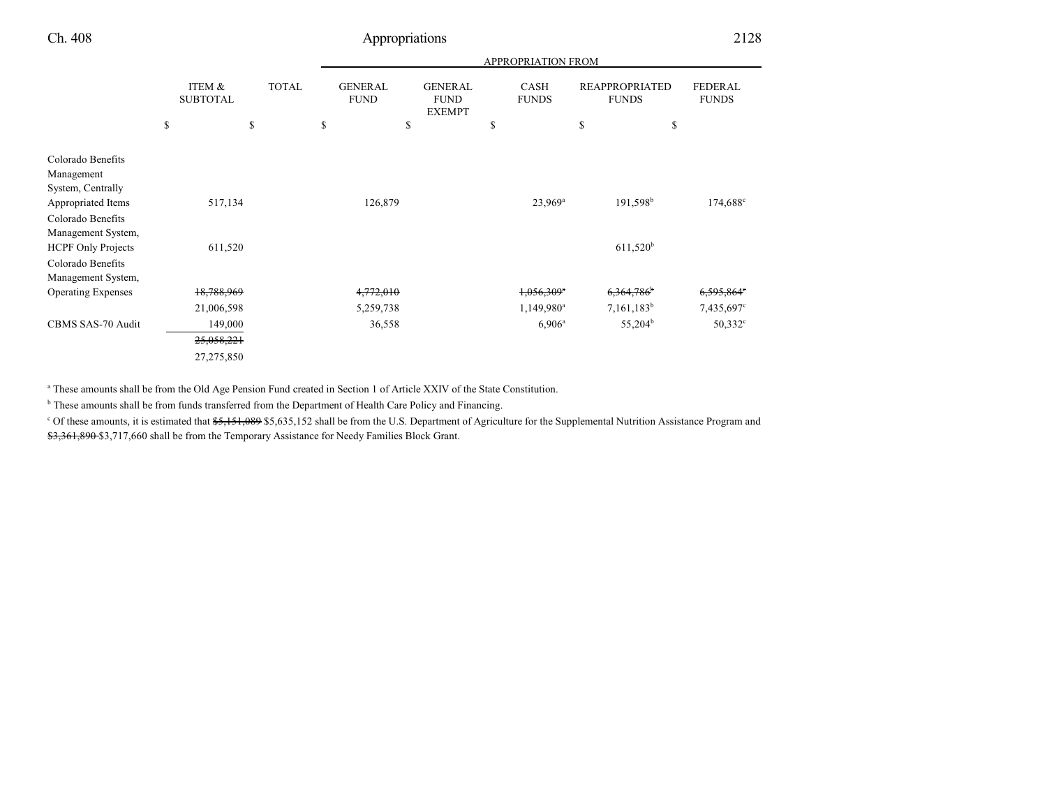|                                                                                                                                                                         |                           |              |                               |                                                | APPROPRIATION FROM          |                                       |                                |
|-------------------------------------------------------------------------------------------------------------------------------------------------------------------------|---------------------------|--------------|-------------------------------|------------------------------------------------|-----------------------------|---------------------------------------|--------------------------------|
|                                                                                                                                                                         | ITEM &<br><b>SUBTOTAL</b> | <b>TOTAL</b> | <b>GENERAL</b><br><b>FUND</b> | <b>GENERAL</b><br><b>FUND</b><br><b>EXEMPT</b> | <b>CASH</b><br><b>FUNDS</b> | <b>REAPPROPRIATED</b><br><b>FUNDS</b> | <b>FEDERAL</b><br><b>FUNDS</b> |
|                                                                                                                                                                         | \$                        | \$           | \$                            | \$                                             | \$                          | \$                                    | \$                             |
| Colorado Benefits<br>Management<br>System, Centrally<br>Appropriated Items<br>Colorado Benefits<br>Management System,<br><b>HCPF Only Projects</b><br>Colorado Benefits | 517,134<br>611,520        |              | 126,879                       |                                                | $23,969^a$                  | 191,598 <sup>b</sup><br>$611,520^b$   | 174,688°                       |
| Management System,<br><b>Operating Expenses</b>                                                                                                                         | 18,788,969                |              | 4,772,010                     |                                                | $1,056,309$ <sup>a</sup>    | 6,364,786                             | 6,595,864°                     |
|                                                                                                                                                                         | 21,006,598                |              | 5,259,738                     |                                                | $1,149,980^a$               | $7,161,183^b$                         | 7,435,697°                     |
| CBMS SAS-70 Audit                                                                                                                                                       | 149,000                   |              | 36,558                        |                                                | $6,906^{\rm a}$             | $55,204^b$                            | $50,332^{\circ}$               |
|                                                                                                                                                                         | 25,058,221                |              |                               |                                                |                             |                                       |                                |
|                                                                                                                                                                         | 27,275,850                |              |                               |                                                |                             |                                       |                                |

a These amounts shall be from the Old Age Pension Fund created in Section 1 of Article XXIV of the State Constitution.

<sup>b</sup> These amounts shall be from funds transferred from the Department of Health Care Policy and Financing.

<sup>c</sup> Of these amounts, it is estimated that \$5,151,089 \$5,635,152 shall be from the U.S. Department of Agriculture for the Supplemental Nutrition Assistance Program and \$3,361,890 \$3,717,660 shall be from the Temporary Assistance for Needy Families Block Grant.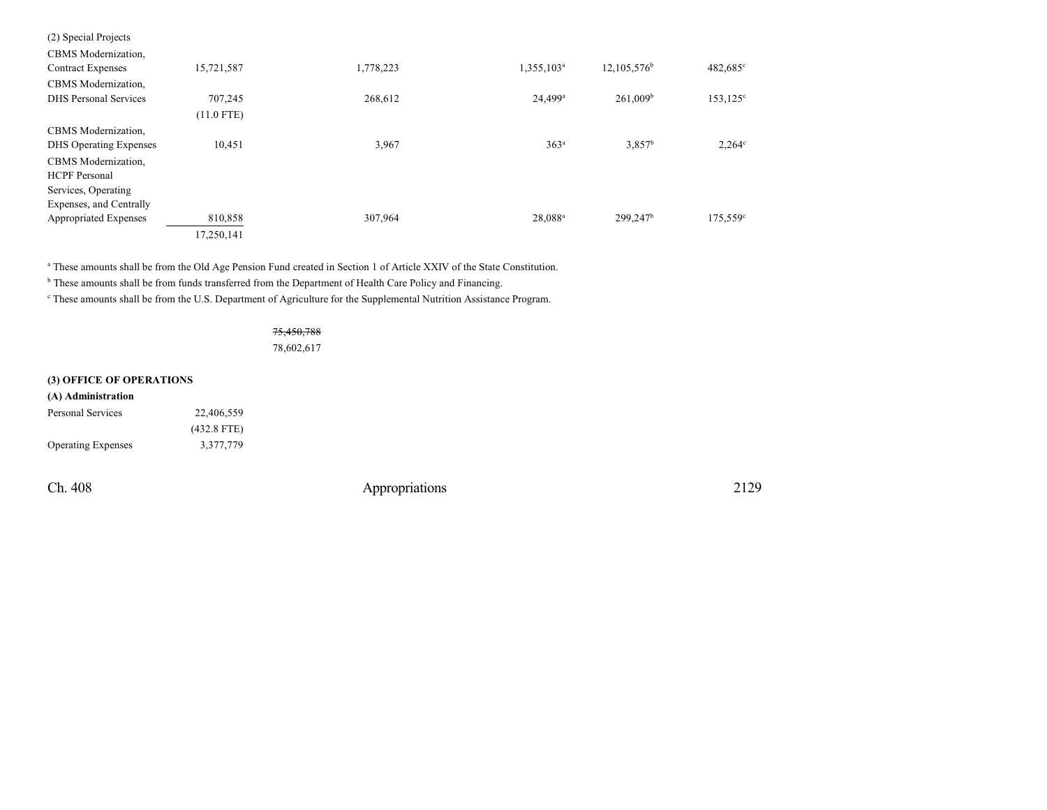| (2) Special Projects          |              |           |                        |                      |                    |
|-------------------------------|--------------|-----------|------------------------|----------------------|--------------------|
| CBMS Modernization,           |              |           |                        |                      |                    |
| <b>Contract Expenses</b>      | 15,721,587   | 1,778,223 | 1,355,103 <sup>a</sup> | $12,105,576^b$       | 482,685°           |
| CBMS Modernization,           |              |           |                        |                      |                    |
| <b>DHS</b> Personal Services  | 707,245      | 268,612   | $24,499$ <sup>a</sup>  | $261,009^b$          | $153, 125^{\circ}$ |
|                               | $(11.0$ FTE) |           |                        |                      |                    |
| CBMS Modernization,           |              |           |                        |                      |                    |
| <b>DHS</b> Operating Expenses | 10,451       | 3,967     | 363 <sup>a</sup>       | 3.857 <sup>b</sup>   | $2,264^{\circ}$    |
| CBMS Modernization,           |              |           |                        |                      |                    |
| <b>HCPF</b> Personal          |              |           |                        |                      |                    |
| Services, Operating           |              |           |                        |                      |                    |
| Expenses, and Centrally       |              |           |                        |                      |                    |
| Appropriated Expenses         | 810,858      | 307,964   | 28,088 <sup>a</sup>    | 299,247 <sup>b</sup> | $175,559^{\circ}$  |
|                               | 17,250,141   |           |                        |                      |                    |

a These amounts shall be from the Old Age Pension Fund created in Section 1 of Article XXIV of the State Constitution.

<sup>b</sup> These amounts shall be from funds transferred from the Department of Health Care Policy and Financing.

c These amounts shall be from the U.S. Department of Agriculture for the Supplemental Nutrition Assistance Program.

#### 75,450,788

78,602,617

#### **(3) OFFICE OF OPERATIONS**

| (A) Administration        |               |
|---------------------------|---------------|
| Personal Services         | 22.406.559    |
|                           | $(432.8$ FTE) |
| <b>Operating Expenses</b> | 3.377.779     |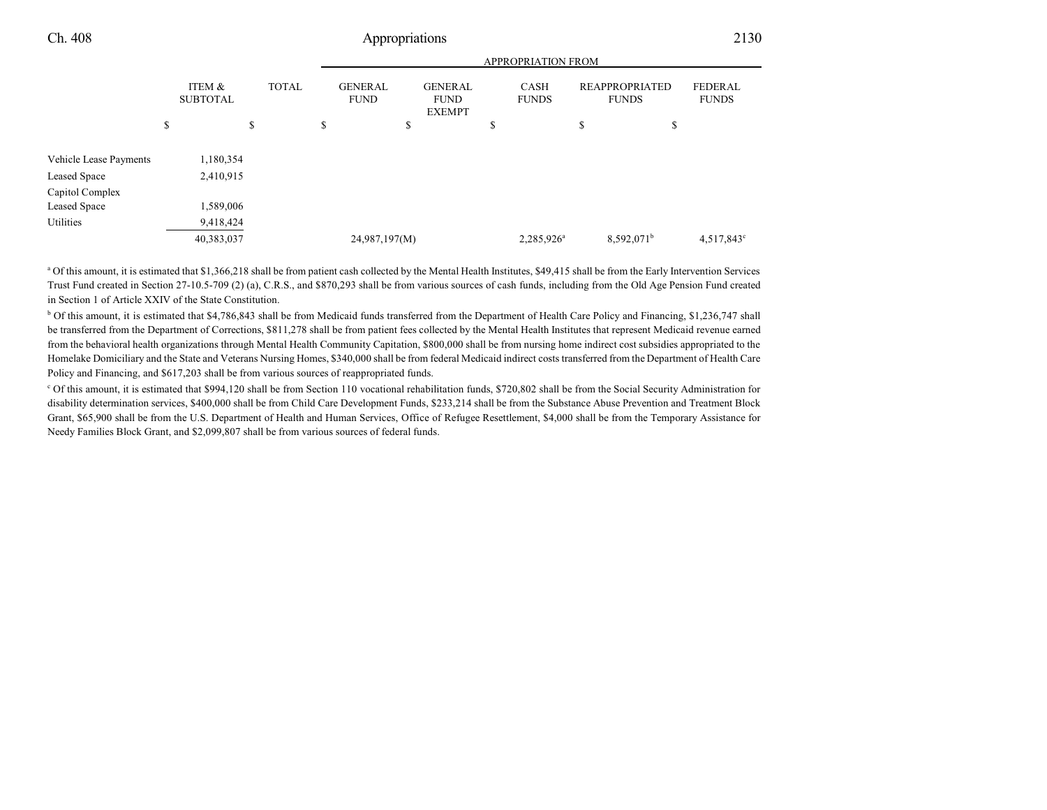APPROPRIATION FROM

|                                        |                           |              | APPROPRIATION FROM |                               |    |                                                |    |                             |                                       |                                |
|----------------------------------------|---------------------------|--------------|--------------------|-------------------------------|----|------------------------------------------------|----|-----------------------------|---------------------------------------|--------------------------------|
|                                        | ITEM &<br><b>SUBTOTAL</b> | <b>TOTAL</b> |                    | <b>GENERAL</b><br><b>FUND</b> |    | <b>GENERAL</b><br><b>FUND</b><br><b>EXEMPT</b> |    | <b>CASH</b><br><b>FUNDS</b> | <b>REAPPROPRIATED</b><br><b>FUNDS</b> | <b>FEDERAL</b><br><b>FUNDS</b> |
|                                        | \$                        | \$           | \$                 |                               | \$ |                                                | \$ |                             | \$                                    | \$                             |
| Vehicle Lease Payments<br>Leased Space | 1,180,354<br>2,410,915    |              |                    |                               |    |                                                |    |                             |                                       |                                |
| Capitol Complex<br>Leased Space        | 1,589,006                 |              |                    |                               |    |                                                |    |                             |                                       |                                |
| Utilities                              | 9,418,424<br>40,383,037   |              |                    | 24,987,197(M)                 |    |                                                |    | $2,285,926^a$               | $8,592,071^{\rm b}$                   | 4,517,843 <sup>c</sup>         |
|                                        |                           |              |                    |                               |    |                                                |    |                             |                                       |                                |

<sup>a</sup> Of this amount, it is estimated that \$1,366,218 shall be from patient cash collected by the Mental Health Institutes, \$49,415 shall be from the Early Intervention Services Trust Fund created in Section 27-10.5-709 (2) (a), C.R.S., and \$870,293 shall be from various sources of cash funds, including from the Old Age Pension Fund created in Section 1 of Article XXIV of the State Constitution.

<sup>b</sup> Of this amount, it is estimated that \$4,786,843 shall be from Medicaid funds transferred from the Department of Health Care Policy and Financing, \$1,236,747 shall be transferred from the Department of Corrections, \$811,278 shall be from patient fees collected by the Mental Health Institutes that represent Medicaid revenue earned from the behavioral health organizations through Mental Health Community Capitation, \$800,000 shall be from nursing home indirect cost subsidies appropriated to the Homelake Domiciliary and the State and Veterans Nursing Homes, \$340,000 shall be from federal Medicaid indirect costs transferred from the Department of Health Care Policy and Financing, and \$617,203 shall be from various sources of reappropriated funds.

<sup>c</sup> Of this amount, it is estimated that \$994,120 shall be from Section 110 vocational rehabilitation funds, \$720,802 shall be from the Social Security Administration for disability determination services, \$400,000 shall be from Child Care Development Funds, \$233,214 shall be from the Substance Abuse Prevention and Treatment Block Grant, \$65,900 shall be from the U.S. Department of Health and Human Services, Office of Refugee Resettlement, \$4,000 shall be from the Temporary Assistance for Needy Families Block Grant, and \$2,099,807 shall be from various sources of federal funds.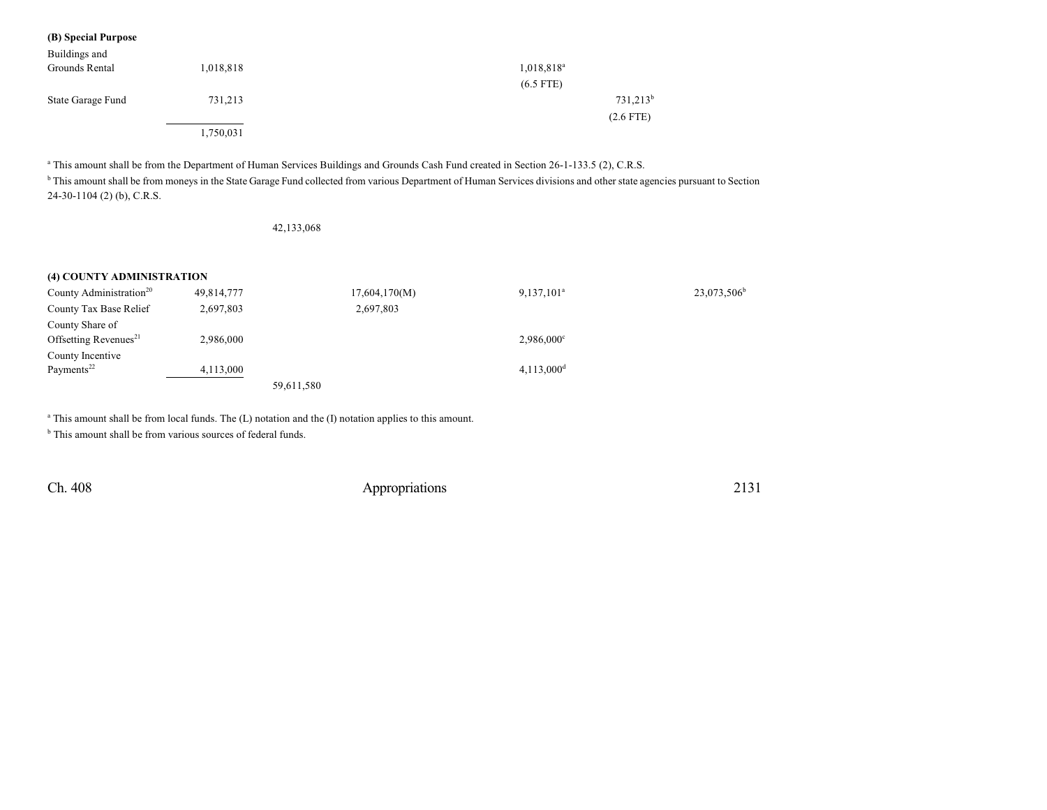|  |  | (B) Special Purpose |
|--|--|---------------------|
|--|--|---------------------|

| Buildings and<br>Grounds Rental | 1,018,818 | $1,018,818^a$ |
|---------------------------------|-----------|---------------|
|                                 |           | $(6.5$ FTE)   |
| State Garage Fund               | 731,213   | $731,213^b$   |
|                                 |           | $(2.6$ FTE)   |
|                                 | 1,750,031 |               |

a This amount shall be from the Department of Human Services Buildings and Grounds Cash Fund created in Section 26-1-133.5 (2), C.R.S.

<sup>b</sup> This amount shall be from moneys in the State Garage Fund collected from various Department of Human Services divisions and other state agencies pursuant to Section 24-30-1104 (2) (b), C.R.S.

42,133,068

#### **(4) COUNTY ADMINISTRATION**

| County Administration <sup>20</sup> | 49,814,777 | 17,604,170(M) | $9,137,101^a$          | $23,073,506^b$ |
|-------------------------------------|------------|---------------|------------------------|----------------|
| County Tax Base Relief              | 2,697,803  | 2,697,803     |                        |                |
| County Share of                     |            |               |                        |                |
| Offsetting Revenues <sup>21</sup>   | 2,986,000  |               | $2,986,000^{\circ}$    |                |
| County Incentive                    |            |               |                        |                |
| Payments <sup>22</sup>              | 4.113.000  |               | 4,113,000 <sup>d</sup> |                |
|                                     |            | 59,611,580    |                        |                |

<sup>a</sup> This amount shall be from local funds. The (L) notation and the (I) notation applies to this amount.

<sup>b</sup> This amount shall be from various sources of federal funds.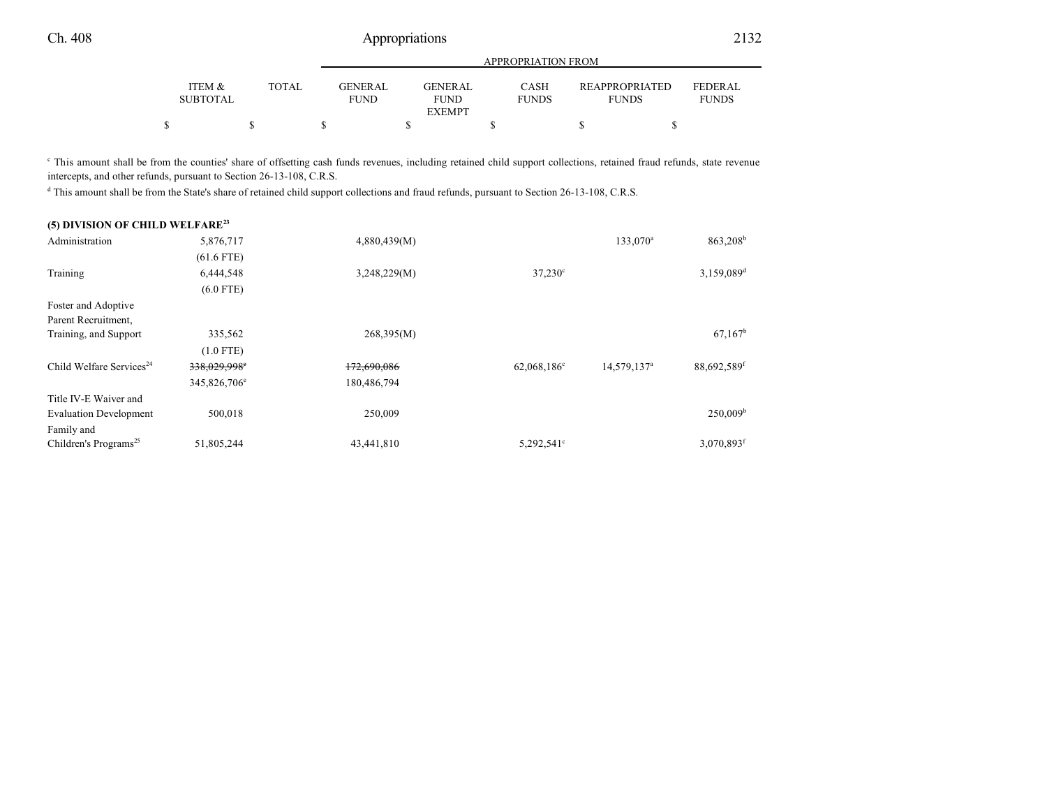|                           |              |                               | APPROPRIATION FROM                              |                      |                                       |                                |  |  |  |
|---------------------------|--------------|-------------------------------|-------------------------------------------------|----------------------|---------------------------------------|--------------------------------|--|--|--|
| ITEM &<br><b>SUBTOTAL</b> | <b>TOTAL</b> | <b>GENERAL</b><br><b>FUND</b> | <b>GENER AL</b><br><b>FUND</b><br><b>EXEMPT</b> | CASH<br><b>FUNDS</b> | <b>REAPPROPRIATED</b><br><b>FUNDS</b> | <b>FEDERAL</b><br><b>FUNDS</b> |  |  |  |
|                           |              |                               |                                                 |                      |                                       |                                |  |  |  |

<sup>c</sup> This amount shall be from the counties' share of offsetting cash funds revenues, including retained child support collections, retained fraud refunds, state revenue intercepts, and other refunds, pursuant to Section 26-13-108, C.R.S.

d This amount shall be from the State's share of retained child support collections and fraud refunds, pursuant to Section 26-13-108, C.R.S.

| (5) DIVISION OF CHILD WELFARE <sup>23</sup> |                          |              |                         |                         |                         |
|---------------------------------------------|--------------------------|--------------|-------------------------|-------------------------|-------------------------|
| Administration                              | 5,876,717                | 4,880,439(M) |                         | 133,070 <sup>a</sup>    | 863,208 <sup>b</sup>    |
|                                             | $(61.6$ FTE)             |              |                         |                         |                         |
| Training                                    | 6,444,548                | 3,248,229(M) | $37,230^{\circ}$        |                         | 3,159,089 <sup>d</sup>  |
|                                             | $(6.0$ FTE)              |              |                         |                         |                         |
| Foster and Adoptive                         |                          |              |                         |                         |                         |
| Parent Recruitment,                         |                          |              |                         |                         |                         |
| Training, and Support                       | 335,562                  | 268,395(M)   |                         |                         | $67,167^{\rm b}$        |
|                                             | $(1.0$ FTE)              |              |                         |                         |                         |
| Child Welfare Services <sup>24</sup>        | 338,029,998°             | 172,690,086  | 62,068,186 <sup>c</sup> | 14,579,137 <sup>a</sup> | 88,692,589 <sup>f</sup> |
|                                             | 345,826,706 <sup>e</sup> | 180,486,794  |                         |                         |                         |
| Title IV-E Waiver and                       |                          |              |                         |                         |                         |
| <b>Evaluation Development</b>               | 500,018                  | 250,009      |                         |                         | $250,009^{\rm b}$       |
| Family and                                  |                          |              |                         |                         |                         |
| Children's Programs <sup>25</sup>           | 51,805,244               | 43,441,810   | 5,292,541 <sup>c</sup>  |                         | 3,070,893f              |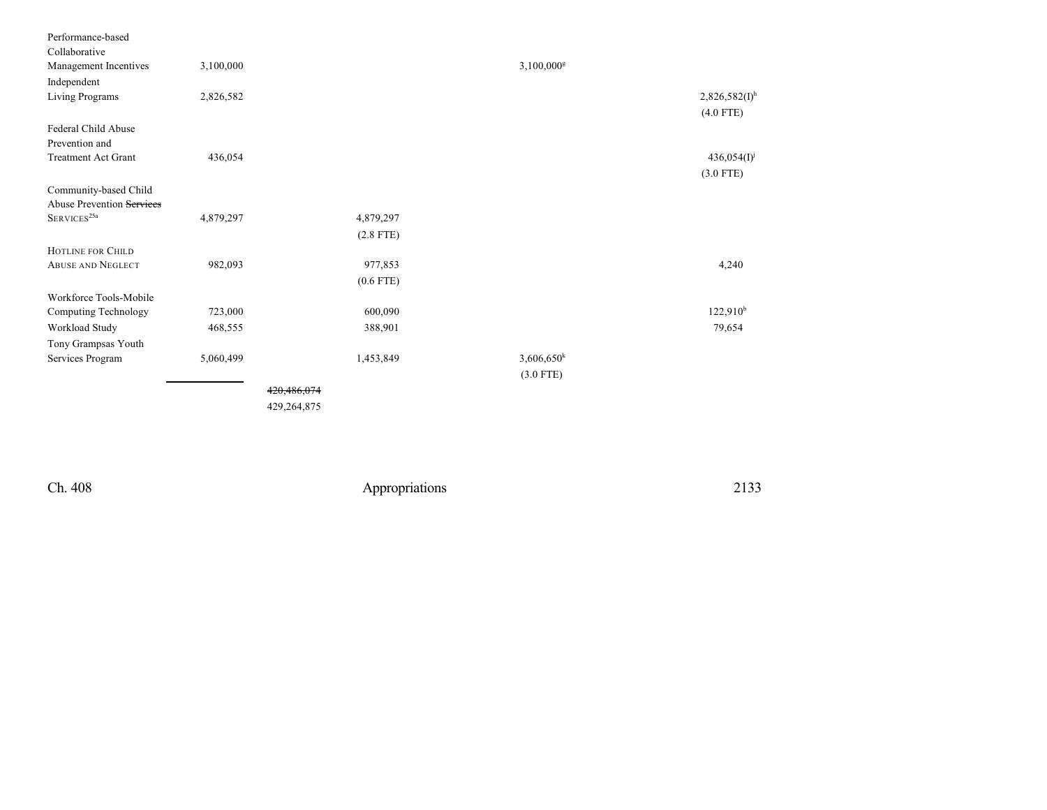| Collaborative<br>3,100,000<br>$3,100,000$ <sup>g</sup><br>Management Incentives<br>Independent<br>$2,826,582(I)$ <sup>h</sup><br>Living Programs<br>2,826,582<br>$(4.0$ FTE)<br>Federal Child Abuse<br>Prevention and<br>436,054<br>$436,054(I)^j$<br><b>Treatment Act Grant</b><br>$(3.0$ FTE)<br>Community-based Child<br>Abuse Prevention Services<br>${\rm S}{\rm E}{\rm RV}{\rm I}{\rm C}{\rm E}{\rm S}^{25{\rm a}}$<br>4,879,297<br>4,879,297<br>$(2.8$ FTE)<br><b>HOTLINE FOR CHILD</b><br>4,240<br><b>ABUSE AND NEGLECT</b><br>982,093<br>977,853<br>$(0.6$ FTE)<br>Workforce Tools-Mobile<br>122,910 <sup>b</sup><br>723,000<br>600,090<br>Computing Technology<br>Workload Study<br>79,654<br>468,555<br>388,901<br>Tony Grampsas Youth<br>$3,606,650$ <sup>k</sup><br>Services Program<br>5,060,499<br>1,453,849<br>$(3.0$ FTE)<br>420,486,074 | Performance-based |  |  |
|-----------------------------------------------------------------------------------------------------------------------------------------------------------------------------------------------------------------------------------------------------------------------------------------------------------------------------------------------------------------------------------------------------------------------------------------------------------------------------------------------------------------------------------------------------------------------------------------------------------------------------------------------------------------------------------------------------------------------------------------------------------------------------------------------------------------------------------------------------------|-------------------|--|--|
|                                                                                                                                                                                                                                                                                                                                                                                                                                                                                                                                                                                                                                                                                                                                                                                                                                                           |                   |  |  |
|                                                                                                                                                                                                                                                                                                                                                                                                                                                                                                                                                                                                                                                                                                                                                                                                                                                           |                   |  |  |
|                                                                                                                                                                                                                                                                                                                                                                                                                                                                                                                                                                                                                                                                                                                                                                                                                                                           |                   |  |  |
|                                                                                                                                                                                                                                                                                                                                                                                                                                                                                                                                                                                                                                                                                                                                                                                                                                                           |                   |  |  |
|                                                                                                                                                                                                                                                                                                                                                                                                                                                                                                                                                                                                                                                                                                                                                                                                                                                           |                   |  |  |
|                                                                                                                                                                                                                                                                                                                                                                                                                                                                                                                                                                                                                                                                                                                                                                                                                                                           |                   |  |  |
|                                                                                                                                                                                                                                                                                                                                                                                                                                                                                                                                                                                                                                                                                                                                                                                                                                                           |                   |  |  |
|                                                                                                                                                                                                                                                                                                                                                                                                                                                                                                                                                                                                                                                                                                                                                                                                                                                           |                   |  |  |
|                                                                                                                                                                                                                                                                                                                                                                                                                                                                                                                                                                                                                                                                                                                                                                                                                                                           |                   |  |  |
|                                                                                                                                                                                                                                                                                                                                                                                                                                                                                                                                                                                                                                                                                                                                                                                                                                                           |                   |  |  |
|                                                                                                                                                                                                                                                                                                                                                                                                                                                                                                                                                                                                                                                                                                                                                                                                                                                           |                   |  |  |
|                                                                                                                                                                                                                                                                                                                                                                                                                                                                                                                                                                                                                                                                                                                                                                                                                                                           |                   |  |  |
|                                                                                                                                                                                                                                                                                                                                                                                                                                                                                                                                                                                                                                                                                                                                                                                                                                                           |                   |  |  |
|                                                                                                                                                                                                                                                                                                                                                                                                                                                                                                                                                                                                                                                                                                                                                                                                                                                           |                   |  |  |
|                                                                                                                                                                                                                                                                                                                                                                                                                                                                                                                                                                                                                                                                                                                                                                                                                                                           |                   |  |  |
|                                                                                                                                                                                                                                                                                                                                                                                                                                                                                                                                                                                                                                                                                                                                                                                                                                                           |                   |  |  |
|                                                                                                                                                                                                                                                                                                                                                                                                                                                                                                                                                                                                                                                                                                                                                                                                                                                           |                   |  |  |
|                                                                                                                                                                                                                                                                                                                                                                                                                                                                                                                                                                                                                                                                                                                                                                                                                                                           |                   |  |  |
|                                                                                                                                                                                                                                                                                                                                                                                                                                                                                                                                                                                                                                                                                                                                                                                                                                                           |                   |  |  |
|                                                                                                                                                                                                                                                                                                                                                                                                                                                                                                                                                                                                                                                                                                                                                                                                                                                           |                   |  |  |
|                                                                                                                                                                                                                                                                                                                                                                                                                                                                                                                                                                                                                                                                                                                                                                                                                                                           |                   |  |  |
|                                                                                                                                                                                                                                                                                                                                                                                                                                                                                                                                                                                                                                                                                                                                                                                                                                                           |                   |  |  |
|                                                                                                                                                                                                                                                                                                                                                                                                                                                                                                                                                                                                                                                                                                                                                                                                                                                           |                   |  |  |
|                                                                                                                                                                                                                                                                                                                                                                                                                                                                                                                                                                                                                                                                                                                                                                                                                                                           |                   |  |  |
| 429,264,875                                                                                                                                                                                                                                                                                                                                                                                                                                                                                                                                                                                                                                                                                                                                                                                                                                               |                   |  |  |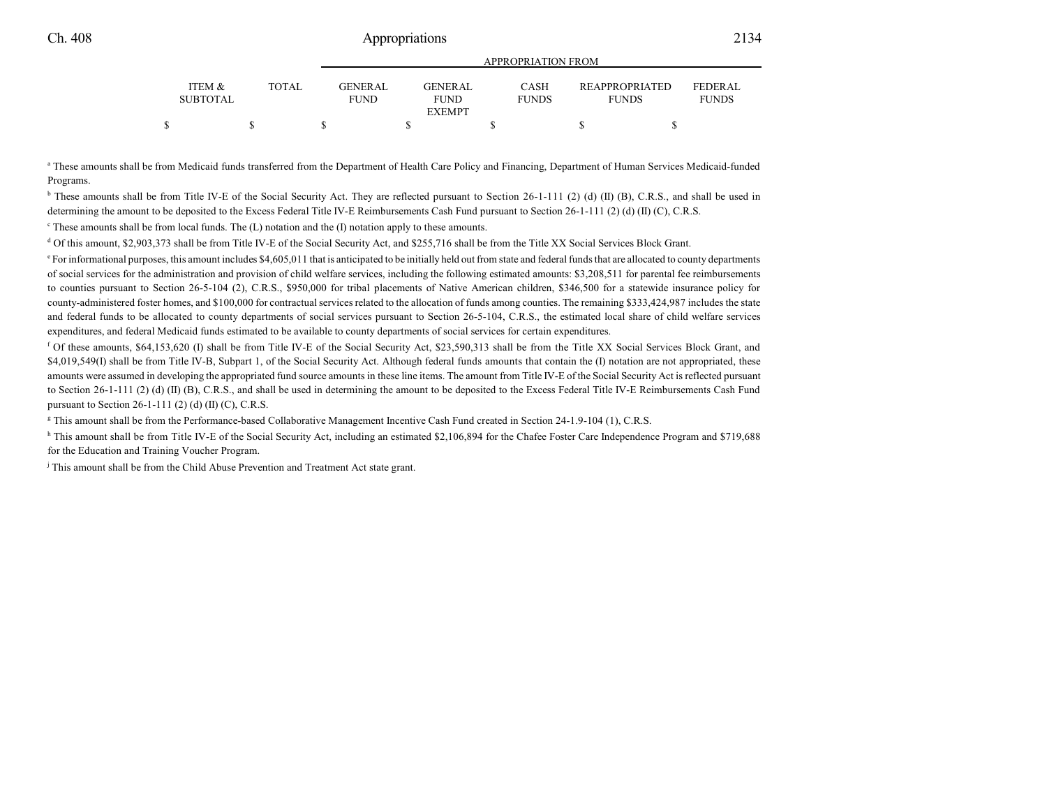|                           |       | AFF NUFNIA HUIN FNUIVI   |                        |                             |                                       |                                |  |
|---------------------------|-------|--------------------------|------------------------|-----------------------------|---------------------------------------|--------------------------------|--|
| ITEM &<br><b>SUBTOTAL</b> | TOTAL | GENER AL.<br><b>FUND</b> | GENERAL<br><b>FUND</b> | <b>CASH</b><br><b>FUNDS</b> | <b>REAPPROPRIATED</b><br><b>FUNDS</b> | <b>FEDERAL</b><br><b>FUNDS</b> |  |
|                           |       |                          | <b>EXEMPT</b>          |                             |                                       |                                |  |
|                           |       |                          |                        |                             |                                       |                                |  |

APPROPRIATION FROM

a These amounts shall be from Medicaid funds transferred from the Department of Health Care Policy and Financing, Department of Human Services Medicaid-funded Programs.

<sup>b</sup> These amounts shall be from Title IV-E of the Social Security Act. They are reflected pursuant to Section 26-1-111 (2) (d) (II) (B), C.R.S., and shall be used in determining the amount to be deposited to the Excess Federal Title IV-E Reimbursements Cash Fund pursuant to Section 26-1-111 (2) (d) (II) (C), C.R.S.

These amounts shall be from local funds. The (L) notation and the (I) notation apply to these amounts.

d Of this amount, \$2,903,373 shall be from Title IV-E of the Social Security Act, and \$255,716 shall be from the Title XX Social Services Block Grant.

<sup>e</sup> For informational purposes, this amount includes \$4,605,011 that is anticipated to be initially held out from state and federal funds that are allocated to county departments of social services for the administration and provision of child welfare services, including the following estimated amounts: \$3,208,511 for parental fee reimbursements to counties pursuant to Section 26-5-104 (2), C.R.S., \$950,000 for tribal placements of Native American children, \$346,500 for a statewide insurance policy for county-administered foster homes, and \$100,000 for contractualservices related to the allocation of funds among counties. The remaining \$333,424,987 includes the state and federal funds to be allocated to county departments of social services pursuant to Section 26-5-104, C.R.S., the estimated local share of child welfare services expenditures, and federal Medicaid funds estimated to be available to county departments of social services for certain expenditures.

<sup>f</sup> Of these amounts, \$64,153,620 (I) shall be from Title IV-E of the Social Security Act, \$23,590,313 shall be from the Title XX Social Services Block Grant, and \$4,019,549(I) shall be from Title IV-B, Subpart 1, of the Social Security Act. Although federal funds amounts that contain the (I) notation are not appropriated, these amounts were assumed in developing the appropriated fund source amounts in these line items. The amount from Title IV-E of the Social Security Act is reflected pursuant to Section 26-1-111 (2) (d) (II) (B), C.R.S., and shall be used in determining the amount to be deposited to the Excess Federal Title IV-E Reimbursements Cash Fund pursuant to Section 26-1-111 (2) (d) (II) (C), C.R.S.

g This amount shall be from the Performance-based Collaborative Management Incentive Cash Fund created in Section 24-1.9-104 (1), C.R.S.

h This amount shall be from Title IV-E of the Social Security Act, including an estimated \$2,106,894 for the Chafee Foster Care Independence Program and \$719,688 for the Education and Training Voucher Program.

j This amount shall be from the Child Abuse Prevention and Treatment Act state grant.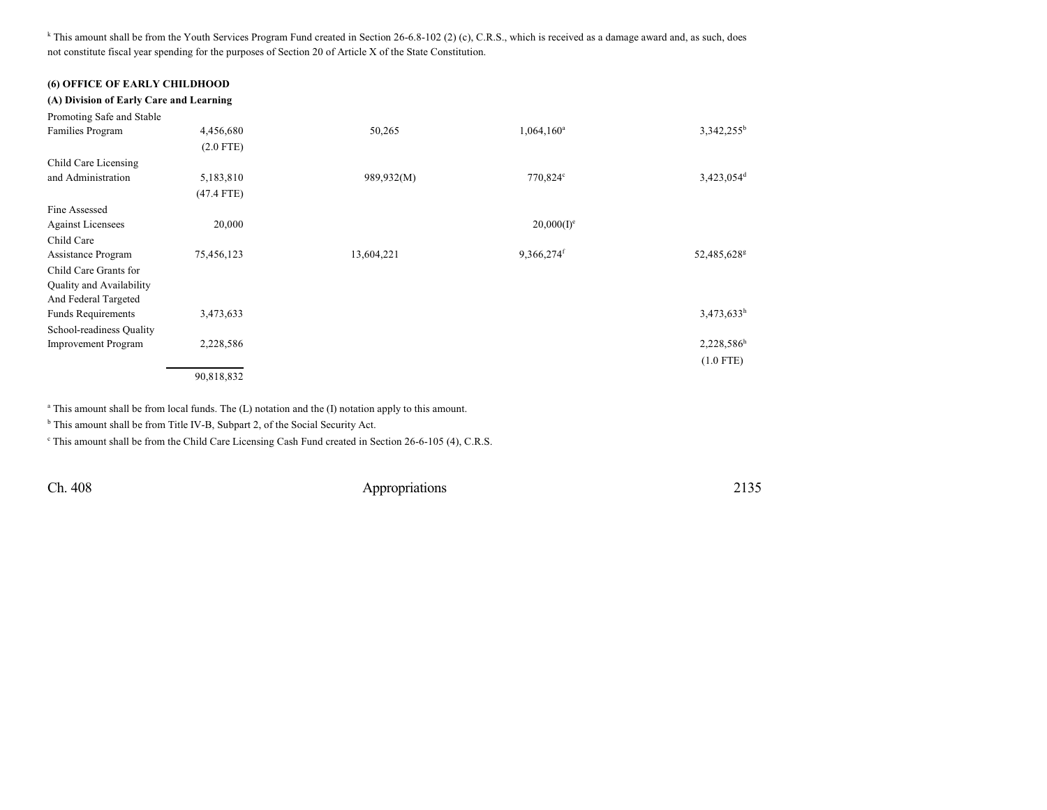<sup>k</sup> This amount shall be from the Youth Services Program Fund created in Section 26-6.8-102 (2) (c), C.R.S., which is received as a damage award and, as such, does not constitute fiscal year spending for the purposes of Section 20 of Article X of the State Constitution.

### **(6) OFFICE OF EARLY CHILDHOOD**

| (A) Division of Early Care and Learning |              |            |                        |                         |
|-----------------------------------------|--------------|------------|------------------------|-------------------------|
| Promoting Safe and Stable               |              |            |                        |                         |
| Families Program                        | 4,456,680    | 50,265     | $1,064,160^a$          | 3,342,255 <sup>b</sup>  |
|                                         | $(2.0$ FTE)  |            |                        |                         |
| Child Care Licensing                    |              |            |                        |                         |
| and Administration                      | 5,183,810    | 989,932(M) | 770,824°               | 3,423,054 <sup>d</sup>  |
|                                         | $(47.4$ FTE) |            |                        |                         |
| Fine Assessed                           |              |            |                        |                         |
| <b>Against Licensees</b>                | 20,000       |            | $20,000(I)^e$          |                         |
| Child Care                              |              |            |                        |                         |
| Assistance Program                      | 75,456,123   | 13,604,221 | 9,366,274 <sup>f</sup> | 52,485,628 <sup>g</sup> |
| Child Care Grants for                   |              |            |                        |                         |
| Quality and Availability                |              |            |                        |                         |
| And Federal Targeted                    |              |            |                        |                         |
| <b>Funds Requirements</b>               | 3,473,633    |            |                        | 3,473,633h              |
| School-readiness Quality                |              |            |                        |                         |
| <b>Improvement Program</b>              | 2,228,586    |            |                        | 2,228,586h              |
|                                         |              |            |                        | $(1.0$ FTE)             |
|                                         | 90,818,832   |            |                        |                         |

<sup>a</sup> This amount shall be from local funds. The (L) notation and the (I) notation apply to this amount.

<sup>b</sup> This amount shall be from Title IV-B, Subpart 2, of the Social Security Act.

This amount shall be from the Child Care Licensing Cash Fund created in Section 26-6-105 (4), C.R.S.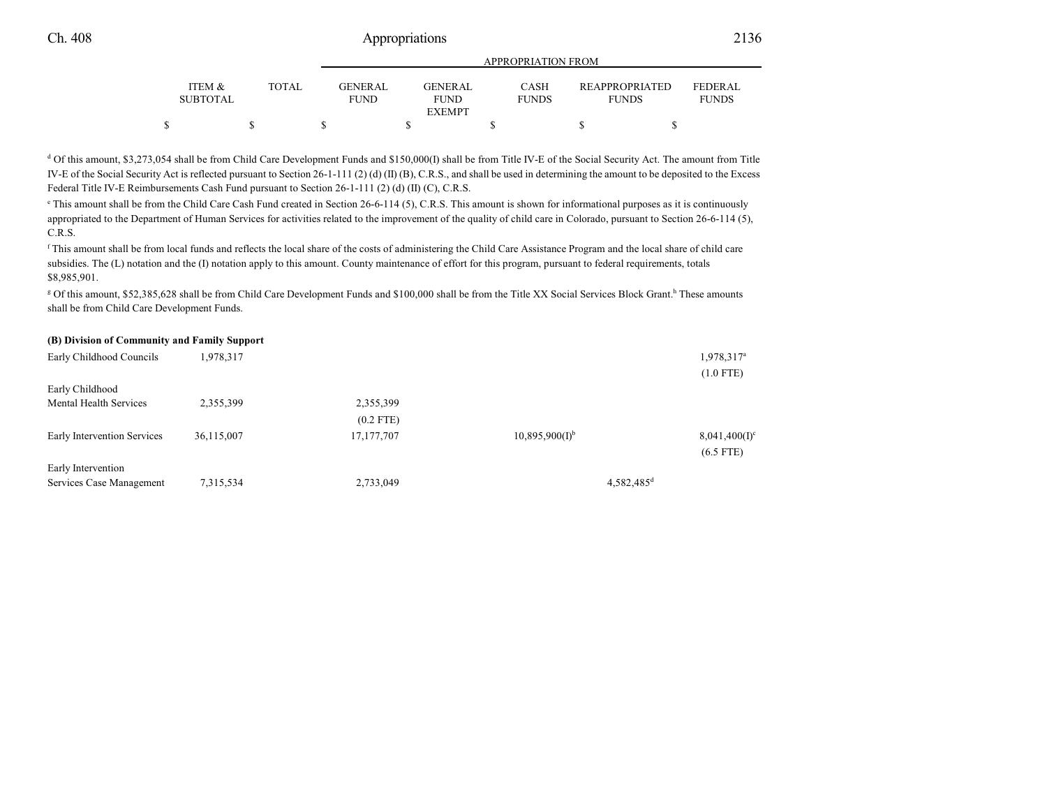|                           |       |                        |                        | APPROPRIATION FROM          |                                       |                                |
|---------------------------|-------|------------------------|------------------------|-----------------------------|---------------------------------------|--------------------------------|
| ITEM &<br><b>SUBTOTAL</b> | TOTAL | GENERAL<br><b>FUND</b> | GENERAL<br><b>FUND</b> | <b>CASH</b><br><b>FUNDS</b> | <b>REAPPROPRIATED</b><br><b>FUNDS</b> | <b>FEDERAL</b><br><b>FUNDS</b> |
|                           |       |                        | <b>EXEMPT</b>          |                             |                                       |                                |
|                           |       |                        |                        |                             |                                       |                                |

<sup>d</sup> Of this amount, \$3,273,054 shall be from Child Care Development Funds and \$150,000(I) shall be from Title IV-E of the Social Security Act. The amount from Title IV-E of the Social Security Act is reflected pursuant to Section 26-1-111 (2) (d) (II) (B), C.R.S., and shall be used in determining the amount to be deposited to the Excess Federal Title IV-E Reimbursements Cash Fund pursuant to Section 26-1-111 (2) (d) (II) (C), C.R.S.

<sup>e</sup> This amount shall be from the Child Care Cash Fund created in Section 26-6-114 (5), C.R.S. This amount is shown for informational purposes as it is continuously appropriated to the Department of Human Services for activities related to the improvement of the quality of child care in Colorado, pursuant to Section 26-6-114 (5), C.R.S.

f This amount shall be from local funds and reflects the local share of the costs of administering the Child Care Assistance Program and the local share of child care subsidies. The (L) notation and the (I) notation apply to this amount. County maintenance of effort for this program, pursuant to federal requirements, totals \$8,985,901.

g Of this amount, \$52,385,628 shall be from Child Care Development Funds and \$100,000 shall be from the Title XX Social Services Block Grant. h These amounts shall be from Child Care Development Funds.

### **(B) Division of Community and Family Support**

| Early Childhood Councils    | 1,978,317  |              |                              | 1,978,317 <sup>a</sup> |
|-----------------------------|------------|--------------|------------------------------|------------------------|
|                             |            |              |                              | $(1.0$ FTE)            |
| Early Childhood             |            |              |                              |                        |
| Mental Health Services      | 2,355,399  | 2,355,399    |                              |                        |
|                             |            | $(0.2$ FTE)  |                              |                        |
| Early Intervention Services | 36,115,007 | 17, 177, 707 | $10,895,900(1)$ <sup>b</sup> | $8,041,400(I)^c$       |
|                             |            |              |                              | $(6.5$ FTE)            |
| Early Intervention          |            |              |                              |                        |
| Services Case Management    | 7,315,534  | 2,733,049    | $4,582,485$ <sup>d</sup>     |                        |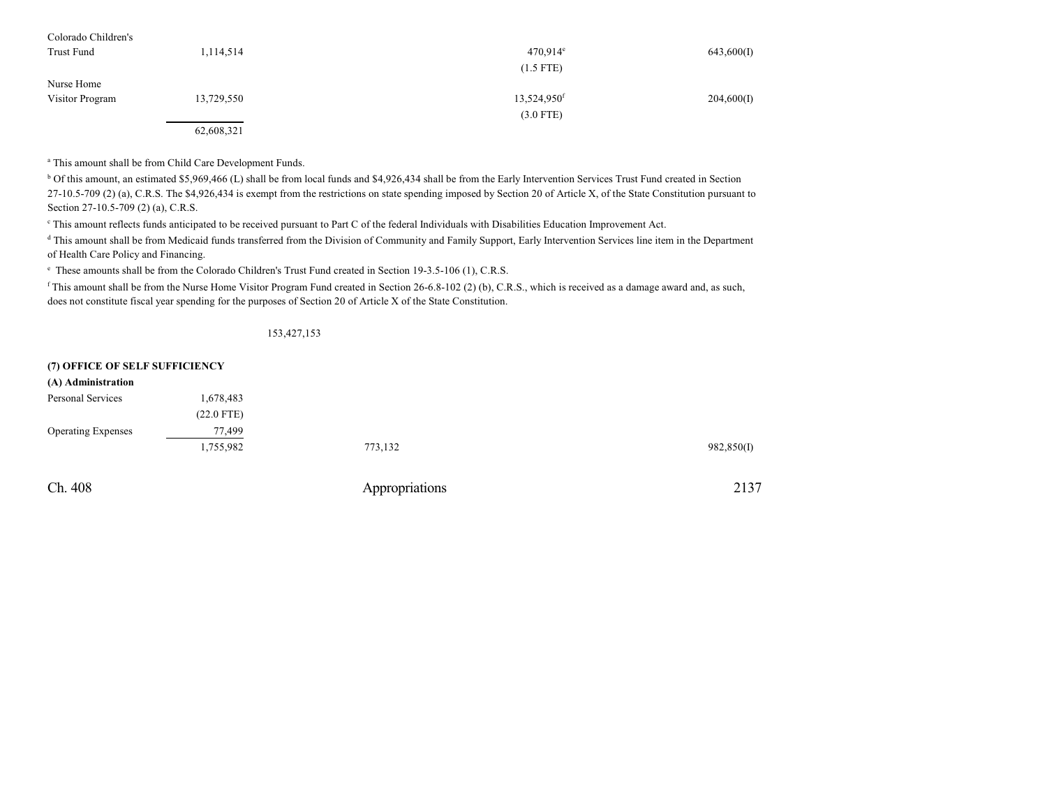| Colorado Children's |            |                         |            |
|---------------------|------------|-------------------------|------------|
| Trust Fund          | 1,114,514  | $470.914^{\circ}$       | 643,600(I) |
|                     |            | $(1.5$ FTE)             |            |
| Nurse Home          |            |                         |            |
| Visitor Program     | 13,729,550 | 13,524,950 <sup>f</sup> | 204,600(I) |
|                     |            | $(3.0$ FTE)             |            |
|                     | 62,608,321 |                         |            |

a This amount shall be from Child Care Development Funds.

<sup>b</sup> Of this amount, an estimated \$5,969,466 (L) shall be from local funds and \$4,926,434 shall be from the Early Intervention Services Trust Fund created in Section 27-10.5-709 (2) (a), C.R.S. The \$4,926,434 is exempt from the restrictions on state spending imposed by Section 20 of Article X, of the State Constitution pursuant to Section 27-10.5-709 (2) (a), C.R.S.

c This amount reflects funds anticipated to be received pursuant to Part C of the federal Individuals with Disabilities Education Improvement Act.

d This amount shall be from Medicaid funds transferred from the Division of Community and Family Support, Early Intervention Services line item in the Department of Health Care Policy and Financing.

e These amounts shall be from the Colorado Children's Trust Fund created in Section 19-3.5-106 (1), C.R.S.

f This amount shall be from the Nurse Home Visitor Program Fund created in Section 26-6.8-102 (2) (b), C.R.S., which is received as a damage award and, as such, does not constitute fiscal year spending for the purposes of Section 20 of Article X of the State Constitution.

153,427,153

| (7) OFFICE OF SELF SUFFICIENCY |              |                |            |
|--------------------------------|--------------|----------------|------------|
| (A) Administration             |              |                |            |
| Personal Services              | 1,678,483    |                |            |
|                                | $(22.0$ FTE) |                |            |
| <b>Operating Expenses</b>      | 77,499       |                |            |
|                                | 1,755,982    | 773,132        | 982,850(I) |
| Ch. 408                        |              | Appropriations | 2137       |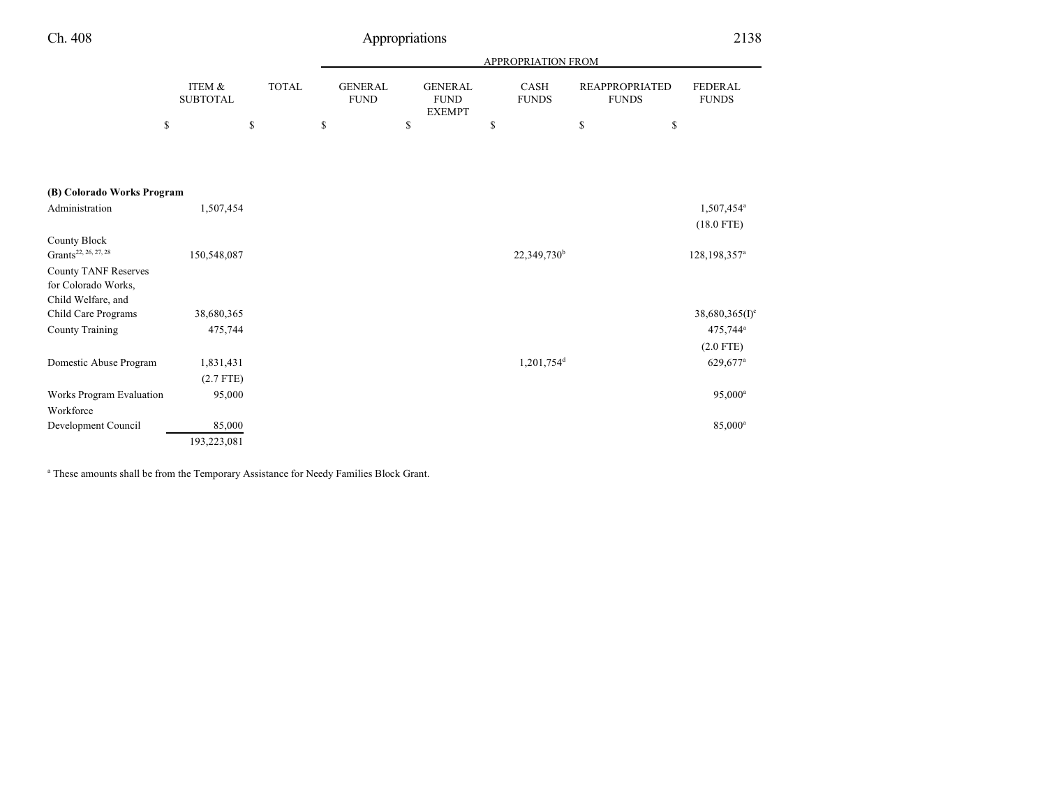| Ch. 408                                                                  |                           |              | Appropriations                |                                                |                         |                                       | 2138                                     |
|--------------------------------------------------------------------------|---------------------------|--------------|-------------------------------|------------------------------------------------|-------------------------|---------------------------------------|------------------------------------------|
|                                                                          |                           |              |                               |                                                | APPROPRIATION FROM      |                                       |                                          |
|                                                                          | ITEM &<br><b>SUBTOTAL</b> | <b>TOTAL</b> | <b>GENERAL</b><br><b>FUND</b> | <b>GENERAL</b><br><b>FUND</b><br><b>EXEMPT</b> | CASH<br><b>FUNDS</b>    | <b>REAPPROPRIATED</b><br><b>FUNDS</b> | FEDERAL<br><b>FUNDS</b>                  |
|                                                                          | \$                        | \$           | \$                            | \$                                             | \$                      | \$<br>\$                              |                                          |
| (B) Colorado Works Program                                               |                           |              |                               |                                                |                         |                                       |                                          |
| Administration                                                           | 1,507,454                 |              |                               |                                                |                         |                                       | 1,507,454 <sup>a</sup>                   |
| County Block<br>Grants <sup>22, 26, 27, 28</sup>                         | 150,548,087               |              |                               |                                                | 22,349,730 <sup>b</sup> |                                       | $(18.0$ FTE)<br>128,198,357 <sup>a</sup> |
| <b>County TANF Reserves</b><br>for Colorado Works,<br>Child Welfare, and |                           |              |                               |                                                |                         |                                       |                                          |
| Child Care Programs                                                      | 38,680,365                |              |                               |                                                |                         |                                       | $38,680,365$ (I) <sup>c</sup>            |
| <b>County Training</b>                                                   | 475,744                   |              |                               |                                                |                         |                                       | 475,744 <sup>a</sup>                     |
|                                                                          |                           |              |                               |                                                |                         |                                       | $(2.0$ FTE)                              |
| Domestic Abuse Program                                                   | 1,831,431                 |              |                               |                                                | 1,201,754 <sup>d</sup>  |                                       | 629,677 <sup>a</sup>                     |
|                                                                          | $(2.7$ FTE)               |              |                               |                                                |                         |                                       |                                          |
| Works Program Evaluation                                                 | 95,000                    |              |                               |                                                |                         |                                       | $95,000^a$                               |
| Workforce                                                                |                           |              |                               |                                                |                         |                                       | 85,000 <sup>a</sup>                      |
| Development Council                                                      | 85,000<br>193,223,081     |              |                               |                                                |                         |                                       |                                          |
|                                                                          |                           |              |                               |                                                |                         |                                       |                                          |

<sup>a</sup> These amounts shall be from the Temporary Assistance for Needy Families Block Grant.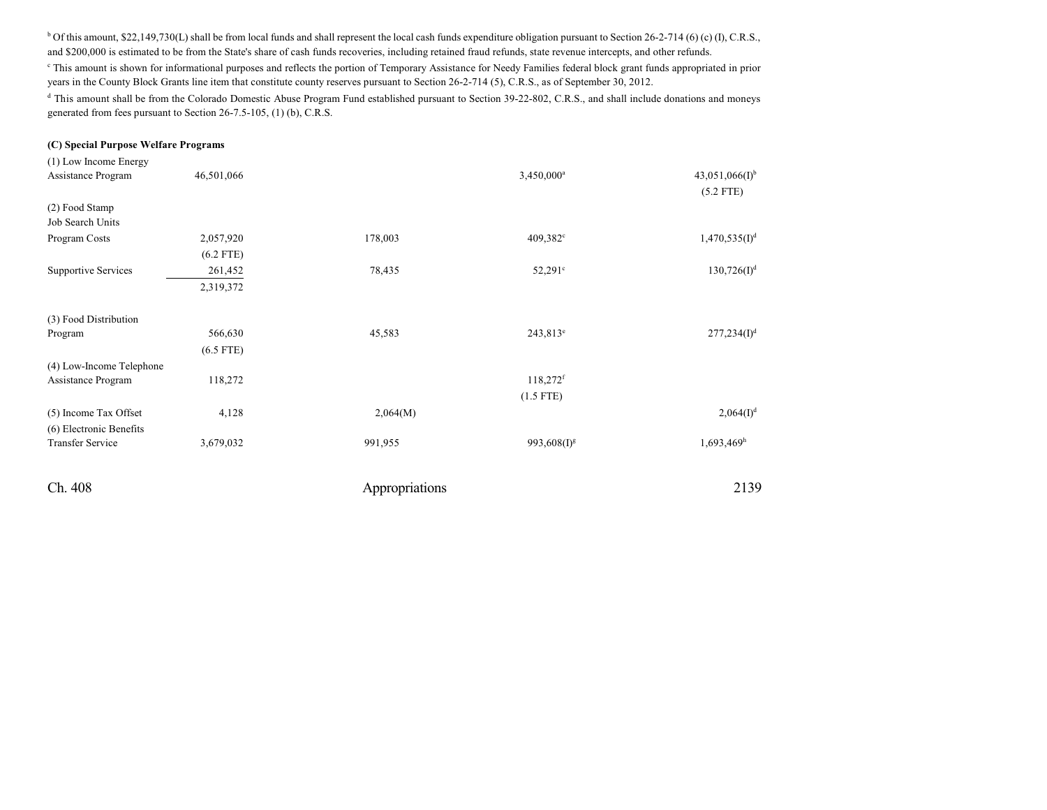<sup>b</sup> Of this amount, \$22,149,730(L) shall be from local funds and shall represent the local cash funds expenditure obligation pursuant to Section 26-2-714 (6) (c) (I), C.R.S., and \$200,000 is estimated to be from the State's share of cash funds recoveries, including retained fraud refunds, state revenue intercepts, and other refunds.

<sup>c</sup> This amount is shown for informational purposes and reflects the portion of Temporary Assistance for Needy Families federal block grant funds appropriated in prior years in the County Block Grants line item that constitute county reserves pursuant to Section 26-2-714 (5), C.R.S., as of September 30, 2012.

<sup>d</sup> This amount shall be from the Colorado Domestic Abuse Program Fund established pursuant to Section 39-22-802, C.R.S., and shall include donations and moneys generated from fees pursuant to Section 26-7.5-105, (1) (b), C.R.S.

#### **(C) Special Purpose Welfare Programs**

| (1) Low Income Energy              |             |                |                         |                                    |
|------------------------------------|-------------|----------------|-------------------------|------------------------------------|
| Assistance Program                 | 46,501,066  |                | 3,450,000 <sup>a</sup>  | $43,051,066(I)^{b}$<br>$(5.2$ FTE) |
| (2) Food Stamp<br>Job Search Units |             |                |                         |                                    |
| Program Costs                      | 2,057,920   | 178,003        | 409,382°                | 1,470,535(I) <sup>d</sup>          |
|                                    | $(6.2$ FTE) |                |                         |                                    |
| Supportive Services                | 261,452     | 78,435         | $52,291^{\circ}$        | $130,726(I)^d$                     |
|                                    | 2,319,372   |                |                         |                                    |
| (3) Food Distribution              |             |                |                         |                                    |
| Program                            | 566,630     | 45,583         | $243,813^e$             | 277,234(I) <sup>d</sup>            |
|                                    | $(6.5$ FTE) |                |                         |                                    |
| (4) Low-Income Telephone           |             |                |                         |                                    |
| Assistance Program                 | 118,272     |                | $118,272$ <sup>f</sup>  |                                    |
|                                    |             |                | $(1.5$ FTE)             |                                    |
| (5) Income Tax Offset              | 4,128       | 2,064(M)       |                         | 2,064(I) <sup>d</sup>              |
| (6) Electronic Benefits            |             |                |                         |                                    |
| <b>Transfer Service</b>            | 3,679,032   | 991,955        | 993,608(I) <sup>g</sup> | $1,693,469$ <sup>h</sup>           |
| Ch. 408                            |             | Appropriations |                         | 2139                               |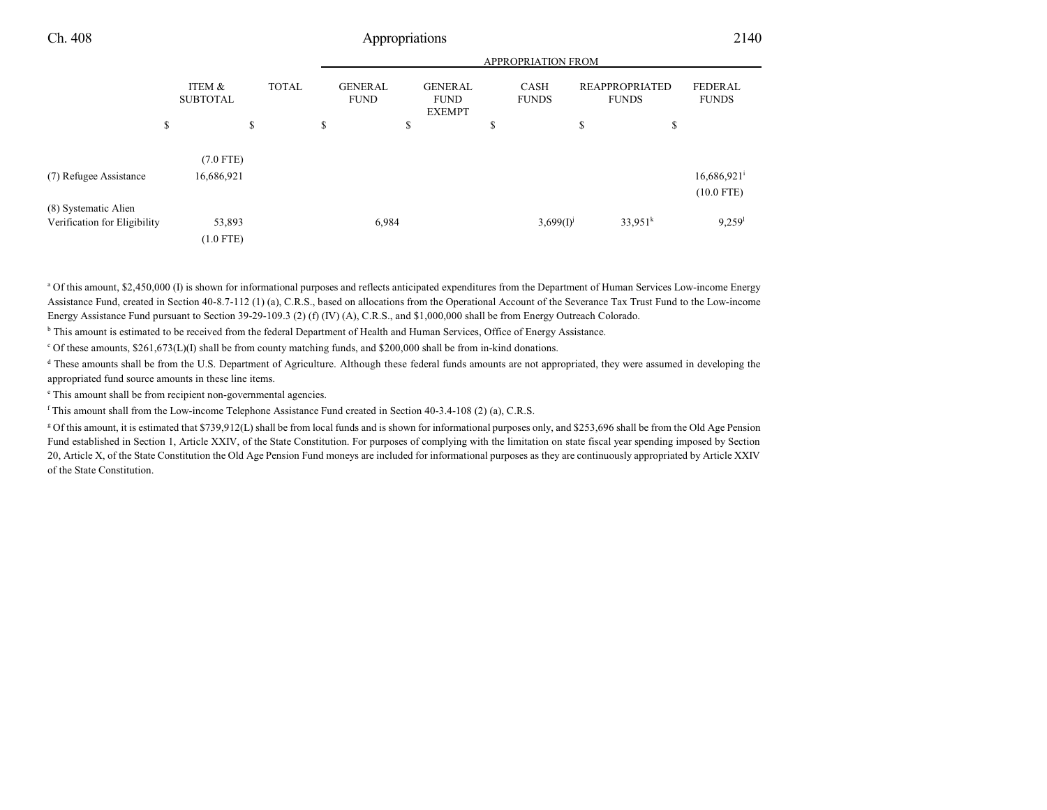| APPROPRIATION FROM |  |
|--------------------|--|
|                    |  |

|                              | ITEM &<br><b>SUBTOTAL</b> | <b>TOTAL</b> | <b>GENERAL</b><br><b>FUND</b> | <b>GENERAL</b><br><b>FUND</b><br><b>EXEMPT</b> | <b>CASH</b><br><b>FUNDS</b> | <b>REAPPROPRIATED</b><br><b>FUNDS</b> | <b>FEDERAL</b><br><b>FUNDS</b>            |
|------------------------------|---------------------------|--------------|-------------------------------|------------------------------------------------|-----------------------------|---------------------------------------|-------------------------------------------|
|                              | \$                        | \$           | \$                            | \$                                             | \$                          | \$<br>\$                              |                                           |
|                              | $(7.0$ FTE)               |              |                               |                                                |                             |                                       |                                           |
| (7) Refugee Assistance       | 16,686,921                |              |                               |                                                |                             |                                       | $16,686,921$ <sup>i</sup><br>$(10.0$ FTE) |
| (8) Systematic Alien         |                           |              |                               |                                                |                             |                                       |                                           |
| Verification for Eligibility | 53,893                    |              | 6,984                         |                                                | $3,699(1)^{j}$              | $33.951^{k}$                          | $9,259$ <sup>1</sup>                      |
|                              | $(1.0$ FTE)               |              |                               |                                                |                             |                                       |                                           |

<sup>a</sup> Of this amount, \$2,450,000 (I) is shown for informational purposes and reflects anticipated expenditures from the Department of Human Services Low-income Energy Assistance Fund, created in Section 40-8.7-112 (1) (a), C.R.S., based on allocations from the Operational Account of the Severance Tax Trust Fund to the Low-income Energy Assistance Fund pursuant to Section 39-29-109.3 (2) (f) (IV) (A), C.R.S., and \$1,000,000 shall be from Energy Outreach Colorado.

<sup>b</sup> This amount is estimated to be received from the federal Department of Health and Human Services, Office of Energy Assistance.

<sup>c</sup> Of these amounts, \$261,673(L)(I) shall be from county matching funds, and \$200,000 shall be from in-kind donations.

<sup>d</sup> These amounts shall be from the U.S. Department of Agriculture. Although these federal funds amounts are not appropriated, they were assumed in developing the appropriated fund source amounts in these line items.

e This amount shall be from recipient non-governmental agencies.

f This amount shall from the Low-income Telephone Assistance Fund created in Section 40-3.4-108 (2) (a), C.R.S.

<sup>g</sup> Of this amount, it is estimated that \$739,912(L) shall be from local funds and is shown for informational purposes only, and \$253,696 shall be from the Old Age Pension Fund established in Section 1, Article XXIV, of the State Constitution. For purposes of complying with the limitation on state fiscal year spending imposed by Section 20, Article X, of the State Constitution the Old Age Pension Fund moneys are included for informational purposes as they are continuously appropriated by Article XXIV of the State Constitution.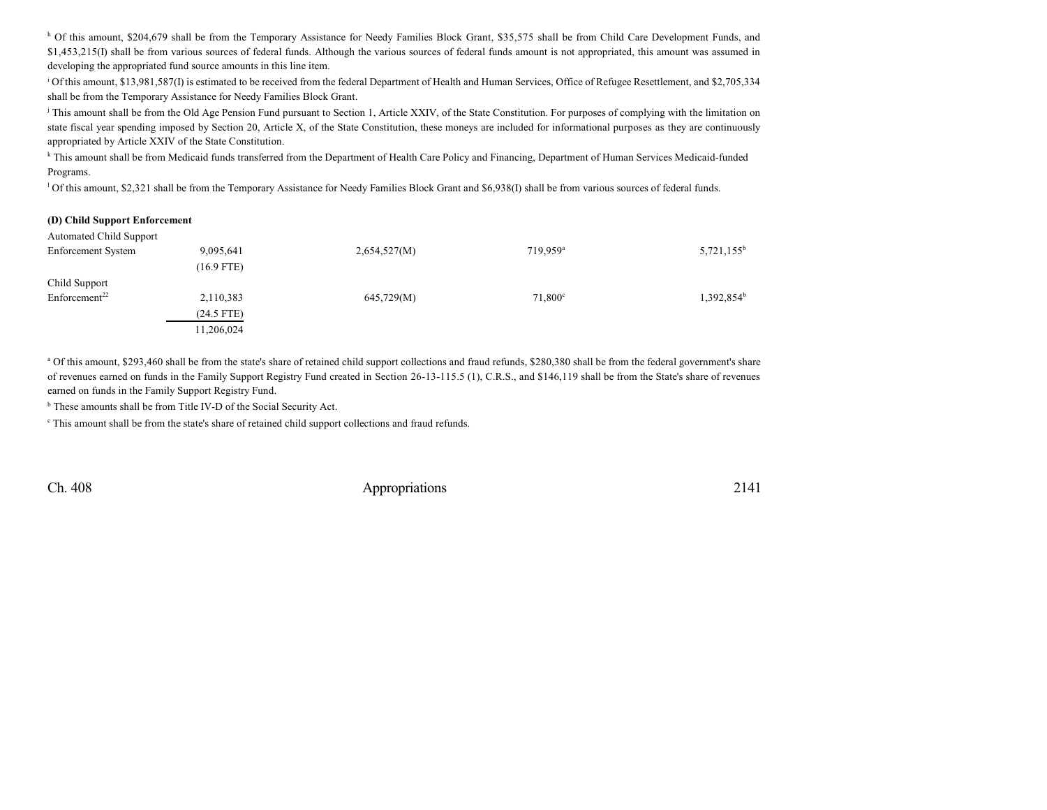h Of this amount, \$204,679 shall be from the Temporary Assistance for Needy Families Block Grant, \$35,575 shall be from Child Care Development Funds, and \$1,453,215(I) shall be from various sources of federal funds. Although the various sources of federal funds amount is not appropriated, this amount was assumed in developing the appropriated fund source amounts in this line item.

<sup>i</sup> Of this amount, \$13,981,587(I) is estimated to be received from the federal Department of Health and Human Services, Office of Refugee Resettlement, and \$2,705,334 shall be from the Temporary Assistance for Needy Families Block Grant.

<sup>j</sup> This amount shall be from the Old Age Pension Fund pursuant to Section 1, Article XXIV, of the State Constitution. For purposes of complying with the limitation on state fiscal year spending imposed by Section 20, Article X, of the State Constitution, these moneys are included for informational purposes as they are continuously appropriated by Article XXIV of the State Constitution.

k This amount shall be from Medicaid funds transferred from the Department of Health Care Policy and Financing, Department of Human Services Medicaid-funded Programs.

l Of this amount, \$2,321 shall be from the Temporary Assistance for Needy Families Block Grant and \$6,938(I) shall be from various sources of federal funds.

#### **(D) Child Support Enforcement**

| <b>Automated Child Support</b> |              |              |                      |                        |
|--------------------------------|--------------|--------------|----------------------|------------------------|
| <b>Enforcement System</b>      | 9,095,641    | 2,654,527(M) | 719.959 <sup>a</sup> | $5,721,155^b$          |
|                                | $(16.9$ FTE) |              |                      |                        |
| Child Support                  |              |              |                      |                        |
| Enforcement <sup>22</sup>      | 2,110,383    | 645,729(M)   | $71,800^\circ$       | 1,392,854 <sup>b</sup> |
|                                | $(24.5$ FTE) |              |                      |                        |
|                                | 11,206,024   |              |                      |                        |
|                                |              |              |                      |                        |

<sup>a</sup> Of this amount, \$293,460 shall be from the state's share of retained child support collections and fraud refunds, \$280,380 shall be from the federal government's share of revenues earned on funds in the Family Support Registry Fund created in Section 26-13-115.5 (1), C.R.S., and \$146,119 shall be from the State's share of revenues earned on funds in the Family Support Registry Fund.

<sup>b</sup> These amounts shall be from Title IV-D of the Social Security Act.

This amount shall be from the state's share of retained child support collections and fraud refunds.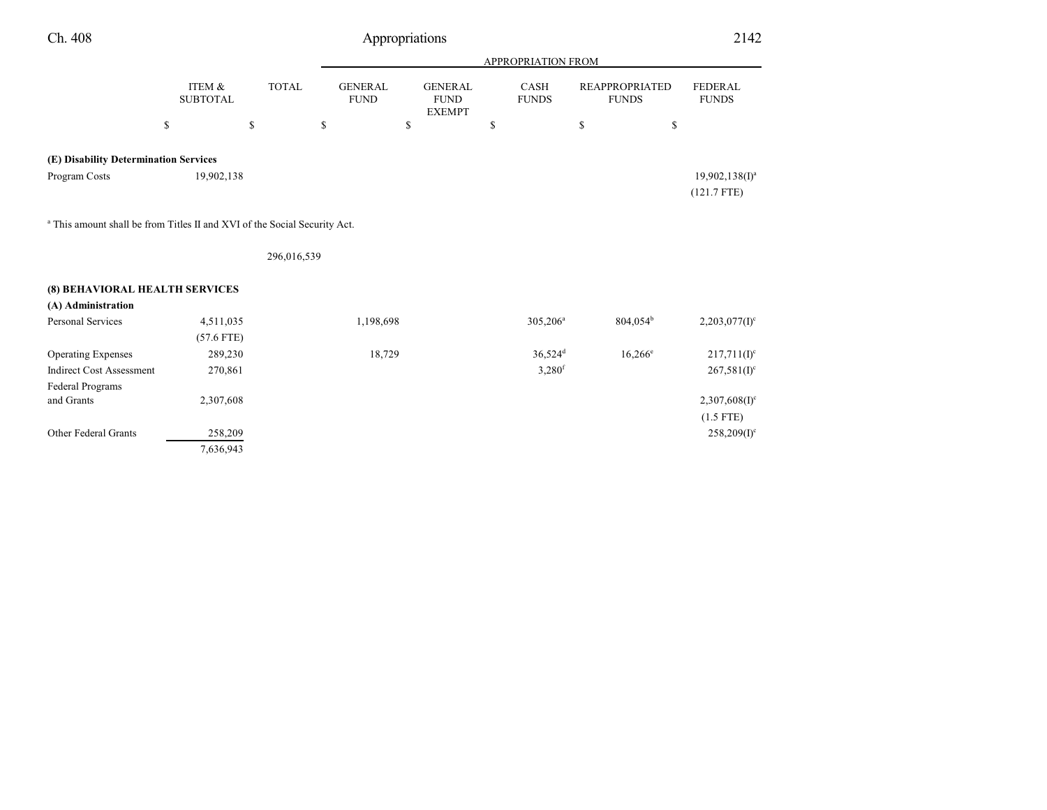| Ch. 408                                                                              |                           |              | Appropriations                |                                                |                             |                                       | 2142                               |
|--------------------------------------------------------------------------------------|---------------------------|--------------|-------------------------------|------------------------------------------------|-----------------------------|---------------------------------------|------------------------------------|
|                                                                                      |                           |              |                               |                                                | APPROPRIATION FROM          |                                       |                                    |
|                                                                                      | ITEM &<br><b>SUBTOTAL</b> | <b>TOTAL</b> | <b>GENERAL</b><br><b>FUND</b> | <b>GENERAL</b><br><b>FUND</b><br><b>EXEMPT</b> | <b>CASH</b><br><b>FUNDS</b> | <b>REAPPROPRIATED</b><br><b>FUNDS</b> | <b>FEDERAL</b><br><b>FUNDS</b>     |
|                                                                                      | \$                        | \$           | \$                            | \$                                             | \$                          | \$<br>\$                              |                                    |
| (E) Disability Determination Services                                                |                           |              |                               |                                                |                             |                                       |                                    |
| Program Costs                                                                        | 19,902,138                |              |                               |                                                |                             |                                       | $19,902,138(1)^a$<br>$(121.7$ FTE) |
| <sup>a</sup> This amount shall be from Titles II and XVI of the Social Security Act. |                           |              |                               |                                                |                             |                                       |                                    |
|                                                                                      |                           | 296,016,539  |                               |                                                |                             |                                       |                                    |
| (8) BEHAVIORAL HEALTH SERVICES                                                       |                           |              |                               |                                                |                             |                                       |                                    |
| (A) Administration                                                                   |                           |              |                               |                                                |                             |                                       |                                    |
| Personal Services                                                                    | 4,511,035                 |              | 1,198,698                     |                                                | 305,206 <sup>a</sup>        | $804,054^b$                           | $2,203,077(1)^c$                   |
|                                                                                      | $(57.6$ FTE)              |              |                               |                                                |                             |                                       |                                    |
| <b>Operating Expenses</b>                                                            | 289,230                   |              | 18,729                        |                                                | $36,524$ <sup>d</sup>       | $16,266^e$                            | $217,711(I)^c$                     |
| <b>Indirect Cost Assessment</b>                                                      | 270,861                   |              |                               |                                                | 3,280 <sup>f</sup>          |                                       | $267,581(I)^c$                     |
| <b>Federal Programs</b>                                                              |                           |              |                               |                                                |                             |                                       |                                    |
| and Grants                                                                           | 2,307,608                 |              |                               |                                                |                             |                                       | $2,307,608(1)$ <sup>c</sup>        |
|                                                                                      |                           |              |                               |                                                |                             |                                       | $(1.5$ FTE)                        |
| Other Federal Grants                                                                 | 258,209                   |              |                               |                                                |                             |                                       | $258,209(I)^c$                     |
|                                                                                      | 7,636,943                 |              |                               |                                                |                             |                                       |                                    |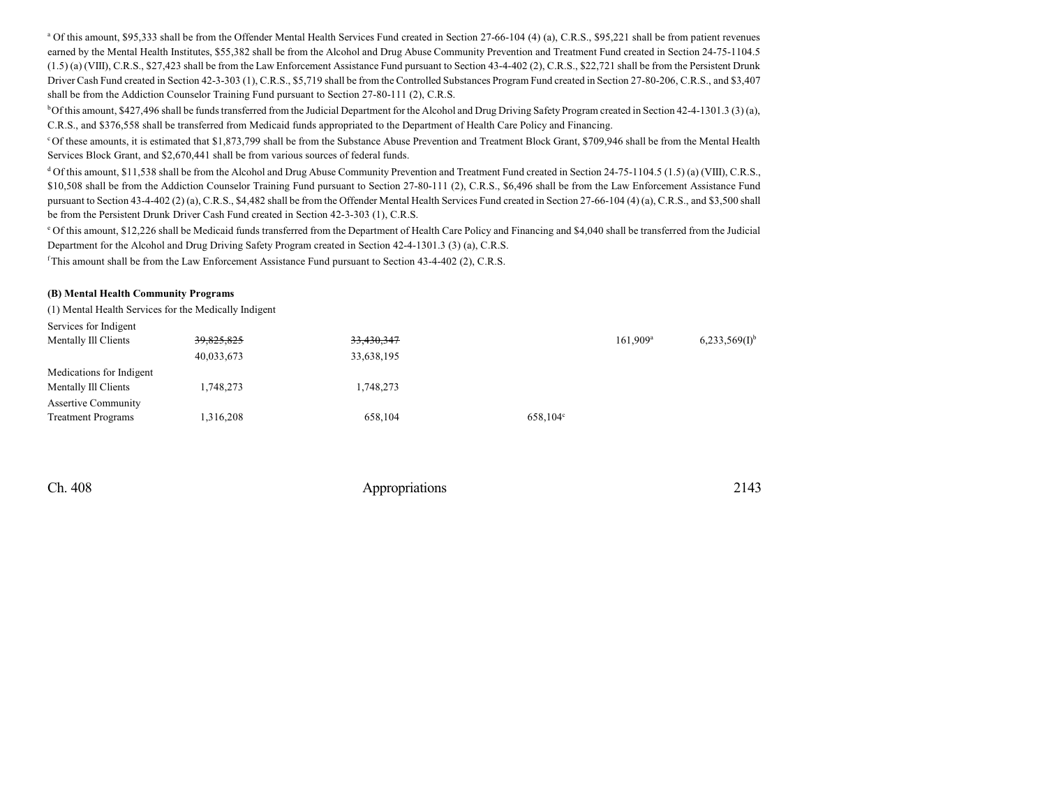<sup>a</sup> Of this amount, \$95,333 shall be from the Offender Mental Health Services Fund created in Section 27-66-104 (4) (a), C.R.S., \$95,221 shall be from patient revenues earned by the Mental Health Institutes, \$55,382 shall be from the Alcohol and Drug Abuse Community Prevention and Treatment Fund created in Section 24-75-1104.5 (1.5) (a) (VIII), C.R.S., \$27,423 shall be from the Law Enforcement Assistance Fund pursuant to Section 43-4-402 (2), C.R.S., \$22,721 shall be from the Persistent Drunk Driver Cash Fund created in Section 42-3-303 (1), C.R.S., \$5,719 shall be from the Controlled Substances Program Fund created in Section 27-80-206, C.R.S., and \$3,407 shall be from the Addiction Counselor Training Fund pursuant to Section 27-80-111 (2), C.R.S.

 $b$ Of this amount, \$427,496 shall be funds transferred from the Judicial Department for the Alcohol and Drug Driving Safety Program created in Section 42-4-1301.3 (3) (a), C.R.S., and \$376,558 shall be transferred from Medicaid funds appropriated to the Department of Health Care Policy and Financing.

<sup>c</sup>Of these amounts, it is estimated that \$1,873,799 shall be from the Substance Abuse Prevention and Treatment Block Grant, \$709,946 shall be from the Mental Health Services Block Grant, and \$2,670,441 shall be from various sources of federal funds.

<sup>d</sup> Of this amount, \$11,538 shall be from the Alcohol and Drug Abuse Community Prevention and Treatment Fund created in Section 24-75-1104.5 (1.5) (a) (VIII), C.R.S., \$10,508 shall be from the Addiction Counselor Training Fund pursuant to Section 27-80-111 (2), C.R.S., \$6,496 shall be from the Law Enforcement Assistance Fund pursuant to Section 43-4-402 (2) (a), C.R.S., \$4,482 shall be from the Offender Mental Health Services Fund created in Section 27-66-104 (4) (a), C.R.S., and \$3,500 shall be from the Persistent Drunk Driver Cash Fund created in Section 42-3-303 (1), C.R.S.

<sup>e</sup> Of this amount, \$12,226 shall be Medicaid funds transferred from the Department of Health Care Policy and Financing and \$4,040 shall be transferred from the Judicial Department for the Alcohol and Drug Driving Safety Program created in Section 42-4-1301.3 (3) (a), C.R.S.

<sup>f</sup>This amount shall be from the Law Enforcement Assistance Fund pursuant to Section 43-4-402 (2), C.R.S.

#### **(B) Mental Health Community Programs**

(1) Mental Health Services for the Medically Indigent

| Services for Indigent      |            |            |                   |                   |                             |
|----------------------------|------------|------------|-------------------|-------------------|-----------------------------|
| Mentally Ill Clients       | 39,825,825 | 33,430,347 |                   | $161.909^{\rm a}$ | $6,233,569(1)$ <sup>b</sup> |
|                            | 40,033,673 | 33,638,195 |                   |                   |                             |
| Medications for Indigent   |            |            |                   |                   |                             |
| Mentally Ill Clients       | 1,748,273  | 1,748,273  |                   |                   |                             |
| <b>Assertive Community</b> |            |            |                   |                   |                             |
| <b>Treatment Programs</b>  | 1,316,208  | 658,104    | $658,104^{\circ}$ |                   |                             |
|                            |            |            |                   |                   |                             |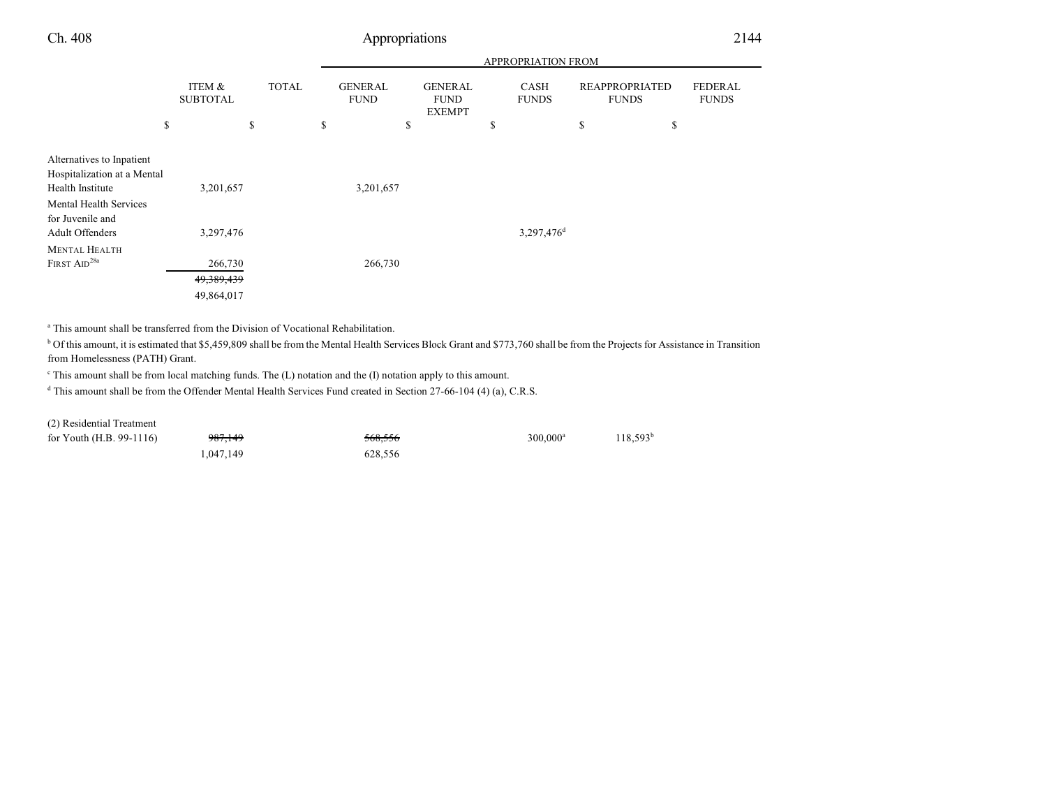|--|

|                                                                                                               |                                       |                    |                                           |                                                | APPROPRIATION FROM                |                                             |                                      |
|---------------------------------------------------------------------------------------------------------------|---------------------------------------|--------------------|-------------------------------------------|------------------------------------------------|-----------------------------------|---------------------------------------------|--------------------------------------|
|                                                                                                               | ITEM &<br><b>SUBTOTAL</b><br>\$       | <b>TOTAL</b><br>\$ | \$<br><b>GENERAL</b><br><b>FUND</b><br>\$ | <b>GENERAL</b><br><b>FUND</b><br><b>EXEMPT</b> | \$<br><b>CASH</b><br><b>FUNDS</b> | <b>REAPPROPRIATED</b><br><b>FUNDS</b><br>\$ | <b>FEDERAL</b><br><b>FUNDS</b><br>\$ |
| Alternatives to Inpatient<br>Hospitalization at a Mental<br>Health Institute<br><b>Mental Health Services</b> | 3,201,657                             |                    | 3,201,657                                 |                                                |                                   |                                             |                                      |
| for Juvenile and<br><b>Adult Offenders</b><br><b>MENTAL HEALTH</b>                                            | 3,297,476                             |                    |                                           |                                                | 3,297,476 <sup>d</sup>            |                                             |                                      |
| FIRST AID <sup>28a</sup>                                                                                      | 266,730<br>49, 389, 439<br>49,864,017 |                    | 266,730                                   |                                                |                                   |                                             |                                      |

<sup>a</sup> This amount shall be transferred from the Division of Vocational Rehabilitation.

<sup>b</sup> Of this amount, it is estimated that \$5,459,809 shall be from the Mental Health Services Block Grant and \$773,760 shall be from the Projects for Assistance in Transition from Homelessness (PATH) Grant.

c This amount shall be from local matching funds. The (L) notation and the (I) notation apply to this amount.

d This amount shall be from the Offender Mental Health Services Fund created in Section 27-66-104 (4) (a), C.R.S.

(2) Residential Treatment

| for Youth $(H.B. 99-1116)$ | 987,149   | 568.556 | $300.000$ <sup>a</sup> | $118,593^b$ |
|----------------------------|-----------|---------|------------------------|-------------|
|                            | 1.047.149 | 628.556 |                        |             |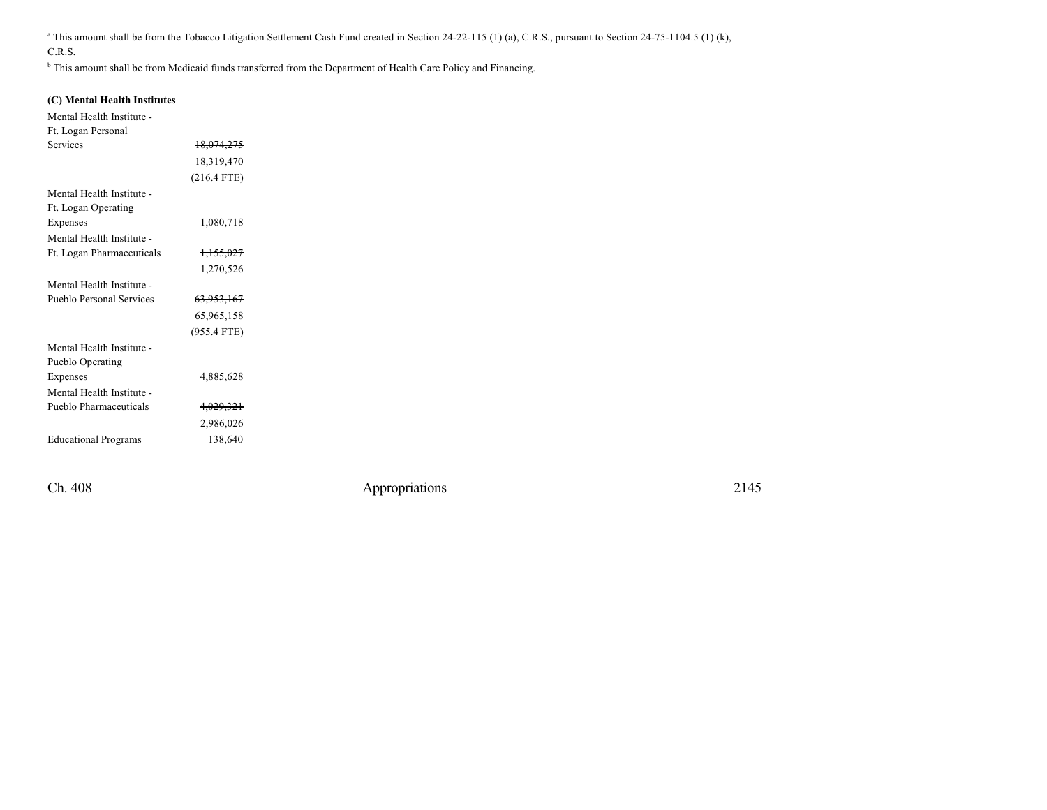<sup>a</sup> This amount shall be from the Tobacco Litigation Settlement Cash Fund created in Section 24-22-115 (1) (a), C.R.S., pursuant to Section 24-75-1104.5 (1) (k), C.R.S.

<sup>b</sup> This amount shall be from Medicaid funds transferred from the Department of Health Care Policy and Financing.

### **(C) Mental Health Institutes**

Mental Health Institute -

| Ft. Logan Personal          |                       |  |
|-----------------------------|-----------------------|--|
| <b>Services</b>             | 18,074,275            |  |
|                             | 18,319,470            |  |
|                             | $(216.4$ FTE)         |  |
| Mental Health Institute -   |                       |  |
| Ft. Logan Operating         |                       |  |
| Expenses                    | 1,080,718             |  |
| Mental Health Institute -   |                       |  |
| Ft. Logan Pharmaceuticals   | 1,155,027             |  |
|                             | 1,270,526             |  |
| Mental Health Institute -   |                       |  |
| Pueblo Personal Services    | <del>63,953,167</del> |  |
|                             | 65,965,158            |  |
|                             | (955.4 FTE)           |  |
| Mental Health Institute -   |                       |  |
| Pueblo Operating            |                       |  |
| Expenses                    | 4,885,628             |  |
| Mental Health Institute -   |                       |  |
| Pueblo Pharmaceuticals      | 4,029,321             |  |
|                             | 2,986,026             |  |
| <b>Educational Programs</b> | 138,640               |  |
|                             |                       |  |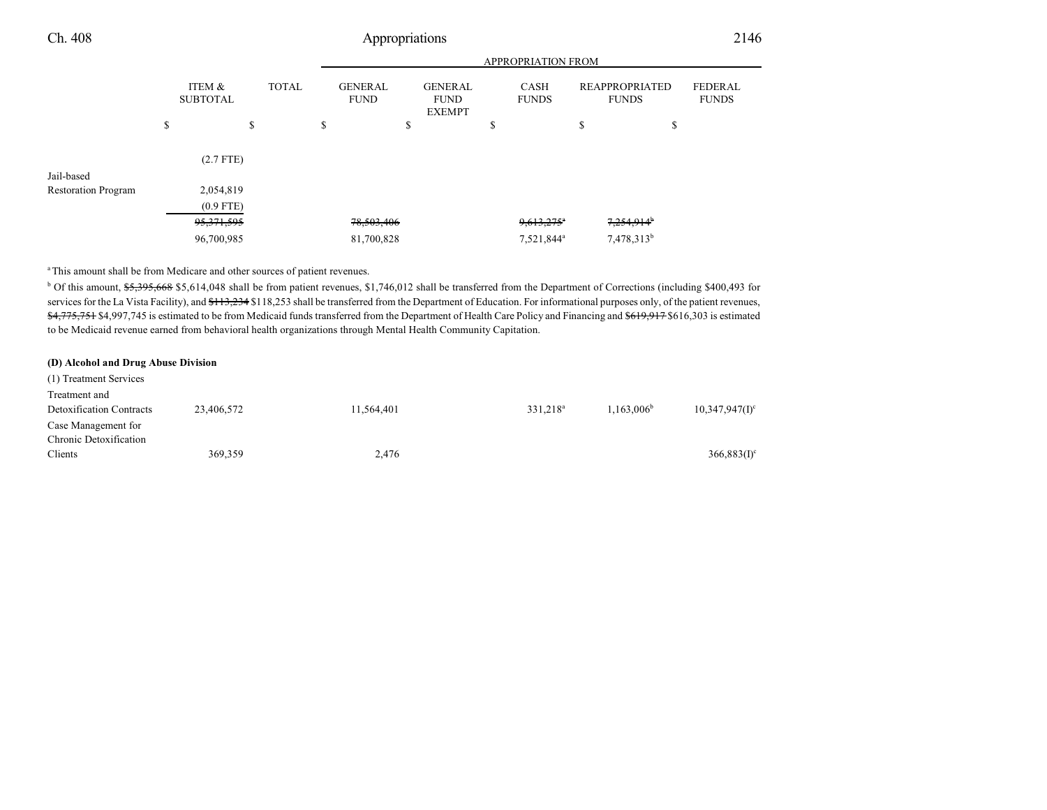|                            |                           |    |                                               | <b>APPROPRIATION FROM</b> |                                                |  |                             |                          |                                       |                        |                                |  |
|----------------------------|---------------------------|----|-----------------------------------------------|---------------------------|------------------------------------------------|--|-----------------------------|--------------------------|---------------------------------------|------------------------|--------------------------------|--|
|                            | ITEM &<br><b>SUBTOTAL</b> |    | <b>TOTAL</b><br><b>GENERAL</b><br><b>FUND</b> |                           | <b>GENERAL</b><br><b>FUND</b><br><b>EXEMPT</b> |  | <b>CASH</b><br><b>FUNDS</b> |                          | <b>REAPPROPRIATED</b><br><b>FUNDS</b> |                        | <b>FEDERAL</b><br><b>FUNDS</b> |  |
|                            | \$                        | \$ | \$                                            |                           | \$                                             |  | Φ                           |                          | \$                                    |                        | Ф                              |  |
|                            | $(2.7$ FTE)               |    |                                               |                           |                                                |  |                             |                          |                                       |                        |                                |  |
| Jail-based                 |                           |    |                                               |                           |                                                |  |                             |                          |                                       |                        |                                |  |
| <b>Restoration Program</b> | 2,054,819                 |    |                                               |                           |                                                |  |                             |                          |                                       |                        |                                |  |
|                            | $(0.9$ FTE)               |    |                                               |                           |                                                |  |                             |                          |                                       |                        |                                |  |
|                            | <del>95,371,595</del>     |    |                                               | 78,503,406                |                                                |  |                             | $9,613,275$ <sup>n</sup> |                                       | 7,254,914 <sup>b</sup> |                                |  |
|                            | 96,700,985                |    |                                               | 81,700,828                |                                                |  |                             | 7,521,844 <sup>a</sup>   |                                       | 7,478,313 <sup>b</sup> |                                |  |
|                            |                           |    |                                               |                           |                                                |  |                             |                          |                                       |                        |                                |  |

<sup>a</sup>This amount shall be from Medicare and other sources of patient revenues.

<sup>b</sup> Of this amount, \$5,395,668 \$5,614,048 shall be from patient revenues, \$1,746,012 shall be transferred from the Department of Corrections (including \$400,493 for services for the La Vista Facility), and \$113,234 \$118,253 shall be transferred from the Department of Education. For informational purposes only, of the patient revenues, \$4,775,751 \$4,997,745 is estimated to be from Medicaid funds transferred from the Department of Health Care Policy and Financing and \$619,917 \$616,303 is estimated to be Medicaid revenue earned from behavioral health organizations through Mental Health Community Capitation.

#### **(D) Alcohol and Drug Abuse Division**

| (1) Treatment Services                           |            |            |                      |                        |                   |
|--------------------------------------------------|------------|------------|----------------------|------------------------|-------------------|
| Treatment and<br><b>Detoxification Contracts</b> | 23,406,572 | 11,564,401 | 331.218 <sup>a</sup> | 1.163.006 <sup>b</sup> | $10,347,947(1)$ ° |
| Case Management for<br>Chronic Detoxification    |            |            |                      |                        |                   |
| Clients                                          | 369,359    | 2,476      |                      |                        | $366,883(I)^c$    |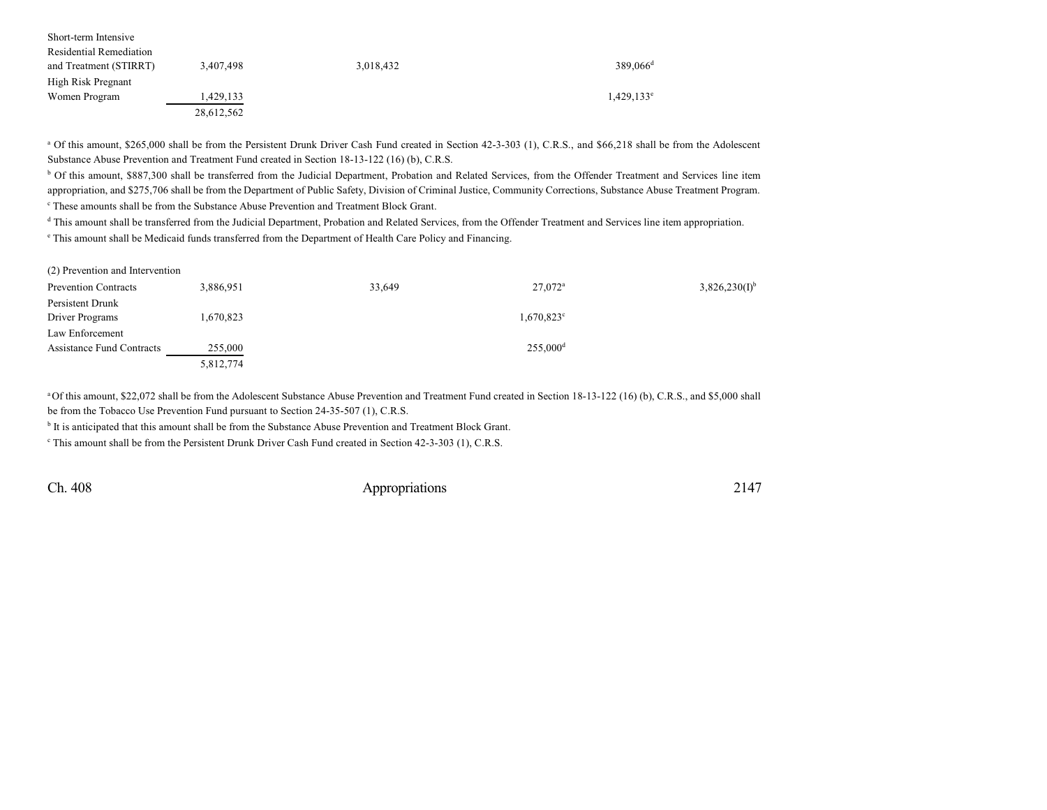| Short-term Intensive    |            |           |                        |
|-------------------------|------------|-----------|------------------------|
| Residential Remediation |            |           |                        |
| and Treatment (STIRRT)  | 3,407,498  | 3,018,432 | $389.066$ <sup>d</sup> |
| High Risk Pregnant      |            |           |                        |
| Women Program           | 1.429.133  |           | $1,429,133^e$          |
|                         | 28,612,562 |           |                        |

<sup>a</sup> Of this amount, \$265,000 shall be from the Persistent Drunk Driver Cash Fund created in Section 42-3-303 (1), C.R.S., and \$66,218 shall be from the Adolescent Substance Abuse Prevention and Treatment Fund created in Section 18-13-122 (16) (b), C.R.S.

<sup>b</sup> Of this amount, \$887,300 shall be transferred from the Judicial Department, Probation and Related Services, from the Offender Treatment and Services line item appropriation, and \$275,706 shall be from the Department of Public Safety, Division of Criminal Justice, Community Corrections, Substance Abuse Treatment Program. c These amounts shall be from the Substance Abuse Prevention and Treatment Block Grant.

<sup>d</sup> This amount shall be transferred from the Judicial Department, Probation and Related Services, from the Offender Treatment and Services line item appropriation.

e This amount shall be Medicaid funds transferred from the Department of Health Care Policy and Financing.

| $(2)$ Prevention and intervention |           |        |                        |                    |
|-----------------------------------|-----------|--------|------------------------|--------------------|
| <b>Prevention Contracts</b>       | 3,886,951 | 33,649 | $27,072$ <sup>a</sup>  | $3,826,230(I)^{b}$ |
| Persistent Drunk                  |           |        |                        |                    |
| Driver Programs                   | 1,670,823 |        | 1,670,823 <sup>c</sup> |                    |
| Law Enforcement                   |           |        |                        |                    |
| Assistance Fund Contracts         | 255,000   |        | $255,000^{\rm d}$      |                    |
|                                   | 5,812,774 |        |                        |                    |

<sup>a</sup>Of this amount, \$22,072 shall be from the Adolescent Substance Abuse Prevention and Treatment Fund created in Section 18-13-122 (16) (b), C.R.S., and \$5,000 shall be from the Tobacco Use Prevention Fund pursuant to Section 24-35-507 (1), C.R.S.

<sup>b</sup> It is anticipated that this amount shall be from the Substance Abuse Prevention and Treatment Block Grant.

<sup>c</sup> This amount shall be from the Persistent Drunk Driver Cash Fund created in Section 42-3-303 (1), C.R.S.

 $(2)$  Presention and Intervention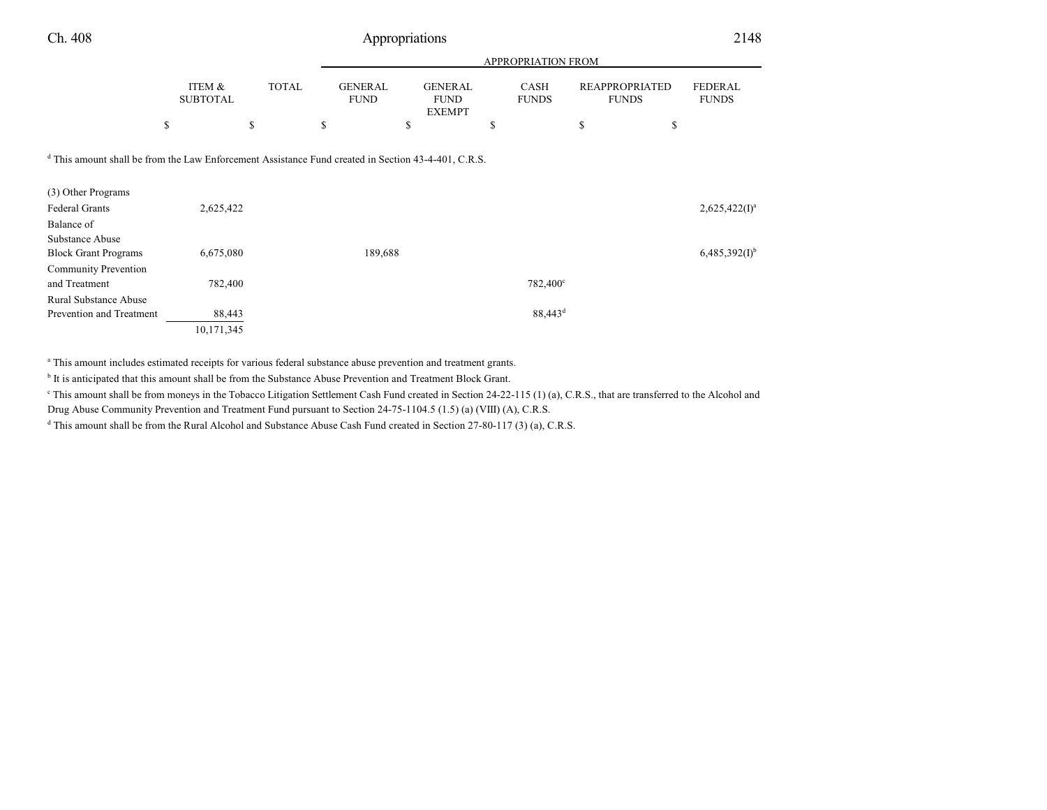|                           |              |                        | <b>APPROPRIATION FROM</b>                      |                             |                                |                                |  |  |  |  |  |
|---------------------------|--------------|------------------------|------------------------------------------------|-----------------------------|--------------------------------|--------------------------------|--|--|--|--|--|
| ITEM &<br><b>SUBTOTAL</b> | <b>TOTAL</b> | GENERAL<br><b>FUND</b> | <b>GENERAL</b><br><b>FUND</b><br><b>EXEMPT</b> | <b>CASH</b><br><b>FUNDS</b> | REAPPROPRIATED<br><b>FUNDS</b> | <b>FEDERAL</b><br><b>FUNDS</b> |  |  |  |  |  |
|                           |              |                        |                                                |                             |                                |                                |  |  |  |  |  |

d This amount shall be from the Law Enforcement Assistance Fund created in Section 43-4-401, C.R.S.

| (3) Other Programs           |            |         |                     |                             |
|------------------------------|------------|---------|---------------------|-----------------------------|
| <b>Federal Grants</b>        | 2,625,422  |         |                     | $2,625,422(I)^a$            |
| Balance of                   |            |         |                     |                             |
| Substance Abuse              |            |         |                     |                             |
| <b>Block Grant Programs</b>  | 6,675,080  | 189,688 |                     | $6,485,392(1)$ <sup>b</sup> |
| <b>Community Prevention</b>  |            |         |                     |                             |
| and Treatment                | 782,400    |         | 782,400°            |                             |
| <b>Rural Substance Abuse</b> |            |         |                     |                             |
| Prevention and Treatment     | 88,443     |         | 88,443 <sup>d</sup> |                             |
|                              | 10,171,345 |         |                     |                             |

a This amount includes estimated receipts for various federal substance abuse prevention and treatment grants.

<sup>b</sup> It is anticipated that this amount shall be from the Substance Abuse Prevention and Treatment Block Grant.

This amount shall be from moneys in the Tobacco Litigation Settlement Cash Fund created in Section 24-22-115 (1) (a), C.R.S., that are transferred to the Alcohol and

Drug Abuse Community Prevention and Treatment Fund pursuant to Section 24-75-1104.5 (1.5) (a) (VIII) (A), C.R.S.

d This amount shall be from the Rural Alcohol and Substance Abuse Cash Fund created in Section 27-80-117 (3) (a), C.R.S.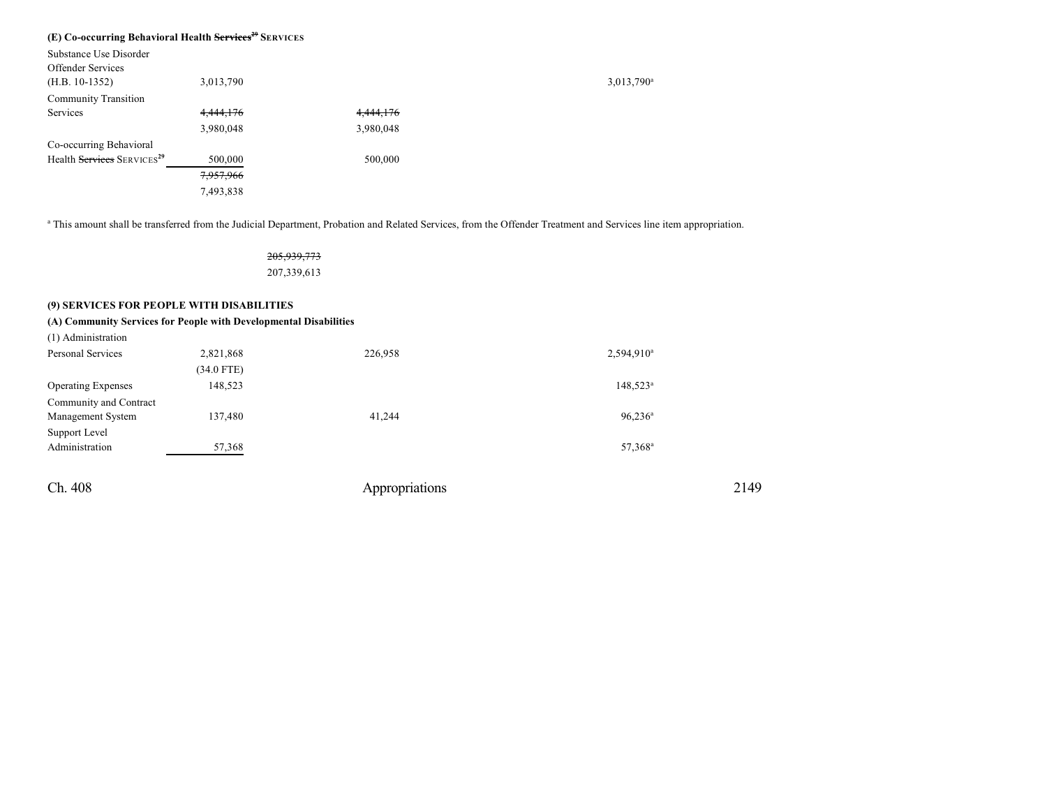#### **(E) Co-occurring Behavioral Health Services <sup>29</sup> SERVICES**

| Substance Use Disorder                 |           |           |                        |
|----------------------------------------|-----------|-----------|------------------------|
| <b>Offender Services</b>               |           |           |                        |
| $(H.B. 10-1352)$                       | 3,013,790 |           | 3,013,790 <sup>a</sup> |
| <b>Community Transition</b>            |           |           |                        |
| Services                               | 4,444,176 | 4,444,176 |                        |
|                                        | 3,980,048 | 3,980,048 |                        |
| Co-occurring Behavioral                |           |           |                        |
| Health Services SERVICES <sup>29</sup> | 500,000   | 500,000   |                        |
|                                        | 7,957,966 |           |                        |
|                                        | 7,493,838 |           |                        |

<sup>a</sup> This amount shall be transferred from the Judicial Department, Probation and Related Services, from the Offender Treatment and Services line item appropriation.

205,939,773 207,339,613

### **(9) SERVICES FOR PEOPLE WITH DISABILITIES**

### **(A) Community Services for People with Developmental Disabilities**

| (1) Administration        |              |         |                     |
|---------------------------|--------------|---------|---------------------|
| Personal Services         | 2,821,868    | 226,958 | $2,594,910^a$       |
|                           | $(34.0$ FTE) |         |                     |
| <b>Operating Expenses</b> | 148,523      |         | $148,523^{\circ}$   |
| Community and Contract    |              |         |                     |
| Management System         | 137,480      | 41.244  | $96,236^{\rm a}$    |
| Support Level             |              |         |                     |
| Administration            | 57,368       |         | 57,368 <sup>a</sup> |
|                           |              |         |                     |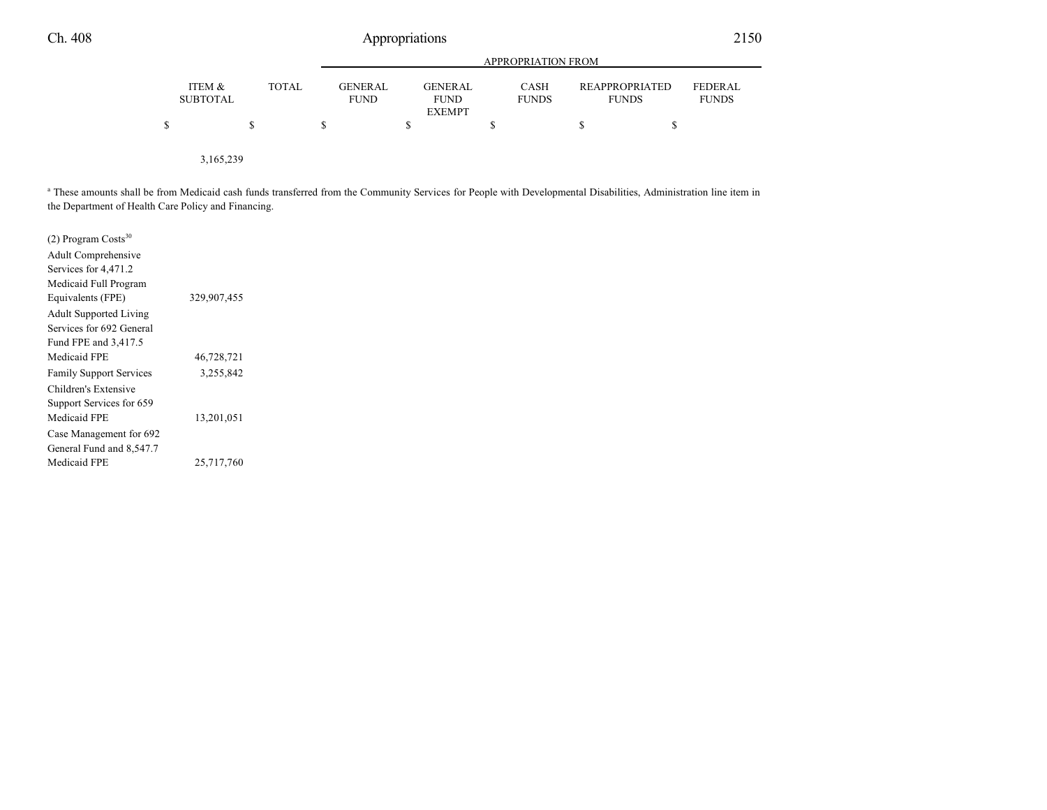|                           |              |                                | APPROPRIATION FROM     |                      |                                       |                                |  |  |  |  |  |
|---------------------------|--------------|--------------------------------|------------------------|----------------------|---------------------------------------|--------------------------------|--|--|--|--|--|
| ITEM &<br><b>SUBTOTAL</b> | <b>TOTAL</b> | <b>GENER AL</b><br><b>FUND</b> | GENERAL<br><b>FUND</b> | CASH<br><b>FUNDS</b> | <b>REAPPROPRIATED</b><br><b>FUNDS</b> | <b>FEDERAL</b><br><b>FUNDS</b> |  |  |  |  |  |
|                           |              |                                | <b>EXEMPT</b>          |                      |                                       |                                |  |  |  |  |  |
|                           |              |                                |                        |                      |                                       |                                |  |  |  |  |  |
|                           |              |                                |                        |                      |                                       |                                |  |  |  |  |  |

3,165,239

<sup>a</sup> These amounts shall be from Medicaid cash funds transferred from the Community Services for People with Developmental Disabilities, Administration line item in the Department of Health Care Policy and Financing.

| $(2)$ Program Costs <sup>30</sup> |             |  |
|-----------------------------------|-------------|--|
| Adult Comprehensive               |             |  |
| Services for 4,471.2              |             |  |
| Medicaid Full Program             |             |  |
| Equivalents (FPE)                 | 329,907,455 |  |
| <b>Adult Supported Living</b>     |             |  |
| Services for 692 General          |             |  |
| Fund FPE and 3,417.5              |             |  |
| Medicaid FPE                      | 46,728,721  |  |
| <b>Family Support Services</b>    | 3,255,842   |  |
| Children's Extensive              |             |  |
| Support Services for 659          |             |  |
| Medicaid FPE                      | 13,201,051  |  |
| Case Management for 692           |             |  |
| General Fund and 8,547.7          |             |  |
| Medicaid FPE                      | 25,717,760  |  |
|                                   |             |  |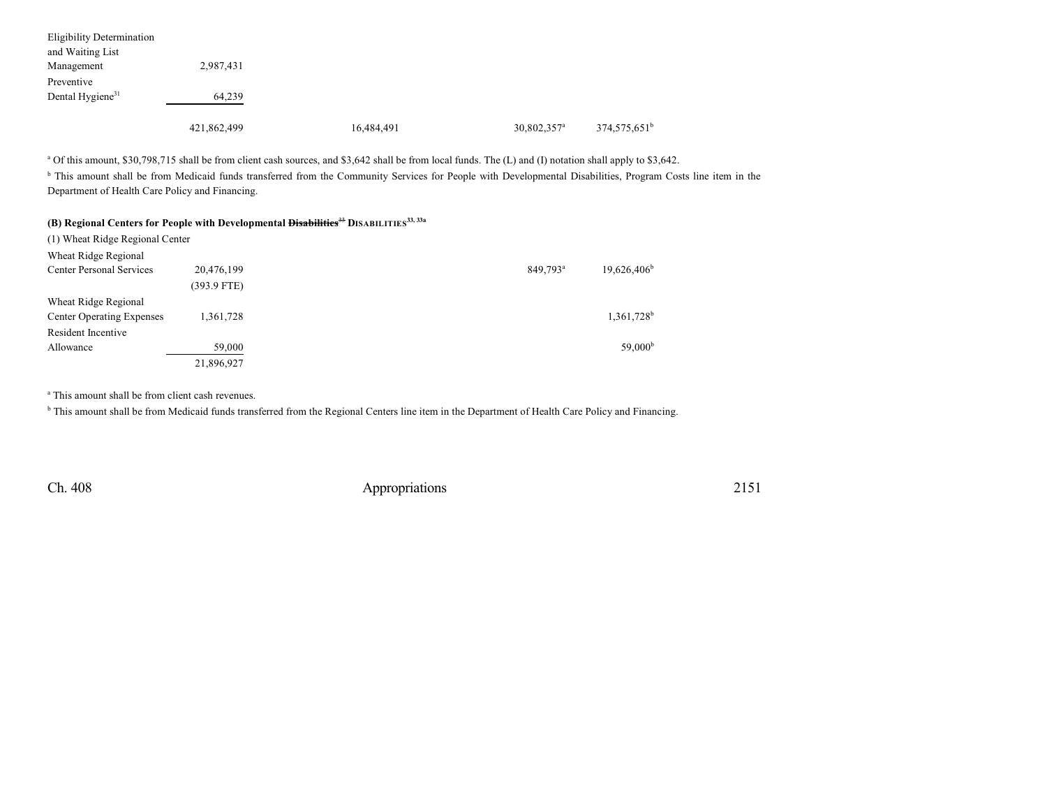| <b>Eligibility Determination</b> |             |            |                         |                          |
|----------------------------------|-------------|------------|-------------------------|--------------------------|
| and Waiting List                 |             |            |                         |                          |
| Management                       | 2,987,431   |            |                         |                          |
| Preventive                       |             |            |                         |                          |
| Dental Hygiene <sup>31</sup>     | 64,239      |            |                         |                          |
|                                  |             |            |                         |                          |
|                                  | 421,862,499 | 16,484,491 | 30,802,357 <sup>a</sup> | 374,575,651 <sup>b</sup> |

<sup>a</sup> Of this amount, \$30,798,715 shall be from client cash sources, and \$3,642 shall be from local funds. The (L) and (I) notation shall apply to \$3,642.

<sup>b</sup> This amount shall be from Medicaid funds transferred from the Community Services for People with Developmental Disabilities, Program Costs line item in the Department of Health Care Policy and Financing.

|  |  |  |  |  |  | (B) Regional Centers for People with Developmental <del>Disabilities<sup>33</sup></del> DISABILITIES <sup>33, 33a</sup> |
|--|--|--|--|--|--|-------------------------------------------------------------------------------------------------------------------------|
|--|--|--|--|--|--|-------------------------------------------------------------------------------------------------------------------------|

| (1) Wheat Ridge Regional Center  |               |                      |                        |
|----------------------------------|---------------|----------------------|------------------------|
| Wheat Ridge Regional             |               |                      |                        |
| <b>Center Personal Services</b>  | 20,476,199    | 849,793 <sup>a</sup> | $19,626,406^{\circ}$   |
|                                  | $(393.9$ FTE) |                      |                        |
| Wheat Ridge Regional             |               |                      |                        |
| <b>Center Operating Expenses</b> | 1,361,728     |                      | 1,361,728 <sup>b</sup> |
| Resident Incentive               |               |                      |                        |
| Allowance                        | 59,000        |                      | 59,000 <sup>b</sup>    |
|                                  | 21,896,927    |                      |                        |

a This amount shall be from client cash revenues.

<sup>b</sup> This amount shall be from Medicaid funds transferred from the Regional Centers line item in the Department of Health Care Policy and Financing.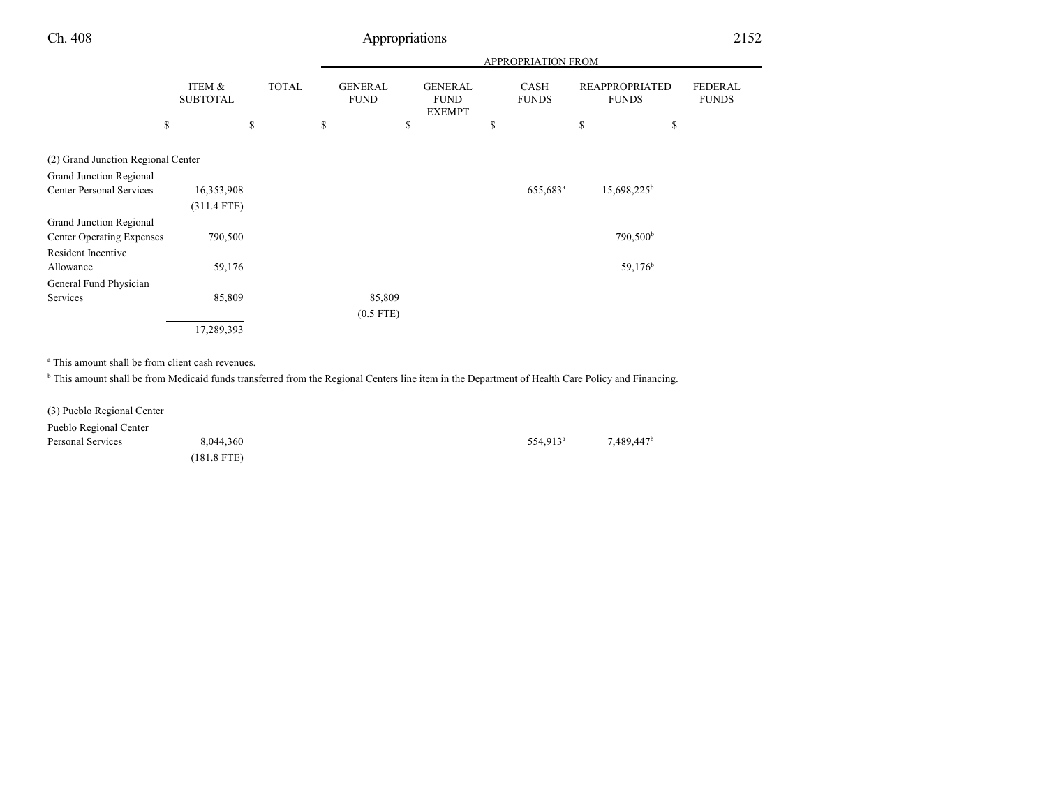| ITEM &<br><b>SUBTOTAL</b> | <b>TOTAL</b>                       |        | <b>GENERAL</b><br><b>FUND</b> | <b>GENERAL</b><br><b>FUND</b> |               | CASH<br><b>FUNDS</b> | <b>FUNDS</b>         | <b>FEDERAL</b><br><b>FUNDS</b>              |
|---------------------------|------------------------------------|--------|-------------------------------|-------------------------------|---------------|----------------------|----------------------|---------------------------------------------|
|                           | \$                                 | \$     |                               | \$                            | \$            |                      | \$<br>\$             |                                             |
|                           |                                    |        |                               |                               |               |                      |                      |                                             |
|                           |                                    |        |                               |                               |               |                      |                      |                                             |
| 16,353,908                |                                    |        |                               |                               |               | 655,683 <sup>a</sup> | $15,698,225^b$       |                                             |
| $(311.4$ FTE)             |                                    |        |                               |                               |               |                      |                      |                                             |
|                           |                                    |        |                               |                               |               |                      |                      |                                             |
| 790,500                   |                                    |        |                               |                               |               |                      | 790,500 <sup>b</sup> |                                             |
|                           |                                    |        |                               |                               |               |                      |                      |                                             |
|                           |                                    |        |                               |                               |               |                      | 59,176 <sup>b</sup>  |                                             |
|                           |                                    |        |                               |                               |               |                      |                      |                                             |
| 85,809                    |                                    |        |                               |                               |               |                      |                      |                                             |
|                           |                                    |        |                               |                               |               |                      |                      |                                             |
| 17,289,393                |                                    |        |                               |                               |               |                      |                      |                                             |
|                           | (2) Grand Junction Regional Center | 59,176 |                               | 85,809<br>$(0.5$ FTE)         | <b>EXEMPT</b> |                      |                      | APPROPRIATION FROM<br><b>REAPPROPRIATED</b> |

a This amount shall be from client cash revenues.

<sup>b</sup> This amount shall be from Medicaid funds transferred from the Regional Centers line item in the Department of Health Care Policy and Financing.

| (3) Pueblo Regional Center |               |                      |                        |
|----------------------------|---------------|----------------------|------------------------|
| Pueblo Regional Center     |               |                      |                        |
| Personal Services          | 8,044,360     | 554.913 <sup>a</sup> | 7.489.447 <sup>b</sup> |
|                            | $(181.8$ FTE) |                      |                        |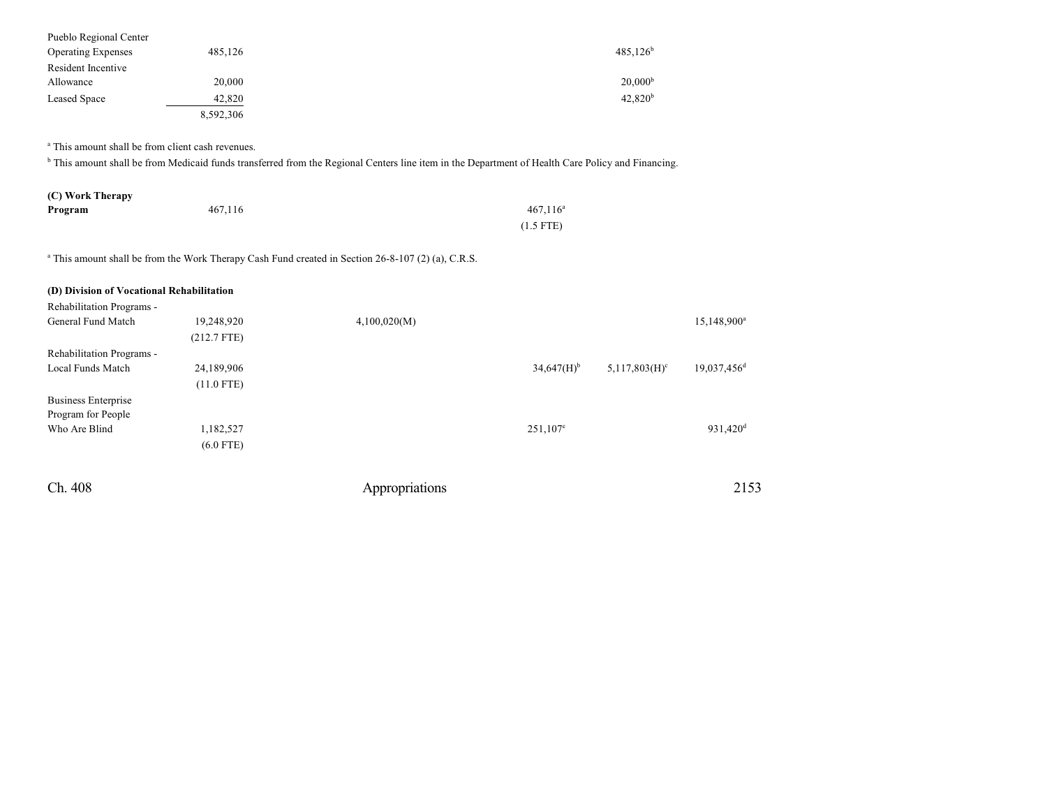| Pueblo Regional Center    |           |                     |
|---------------------------|-----------|---------------------|
| <b>Operating Expenses</b> | 485,126   | $485.126^b$         |
| Resident Incentive        |           |                     |
| Allowance                 | 20,000    | 20,000 <sup>b</sup> |
| <b>Leased Space</b>       | 42,820    | 42,820 <sup>b</sup> |
|                           | 8,592,306 |                     |

a This amount shall be from client cash revenues.

<sup>b</sup> This amount shall be from Medicaid funds transferred from the Regional Centers line item in the Department of Health Care Policy and Financing.

| (C) Work Therapy |         |             |
|------------------|---------|-------------|
| Program          | 467.116 | $467.116^a$ |
|                  |         | $(1.5$ FTE) |

a This amount shall be from the Work Therapy Cash Fund created in Section 26-8-107 (2) (a), C.R.S.

| (D) Division of Vocational Rehabilitation<br>Rehabilitation Programs - |               |                |                          |                  |                         |
|------------------------------------------------------------------------|---------------|----------------|--------------------------|------------------|-------------------------|
| General Fund Match                                                     | 19,248,920    | 4,100,020(M)   |                          |                  | 15,148,900 <sup>a</sup> |
|                                                                        | $(212.7$ FTE) |                |                          |                  |                         |
| Rehabilitation Programs -                                              |               |                |                          |                  |                         |
| Local Funds Match                                                      | 24,189,906    |                | $34,647(H)$ <sup>b</sup> | $5,117,803(H)^c$ | 19,037,456 <sup>d</sup> |
|                                                                        | $(11.0$ FTE)  |                |                          |                  |                         |
| <b>Business Enterprise</b>                                             |               |                |                          |                  |                         |
| Program for People                                                     |               |                |                          |                  |                         |
| Who Are Blind                                                          | 1,182,527     |                | $251,107^e$              |                  | 931,420 <sup>d</sup>    |
|                                                                        | $(6.0$ FTE)   |                |                          |                  |                         |
| Ch. 408                                                                |               | Appropriations |                          |                  | 2153                    |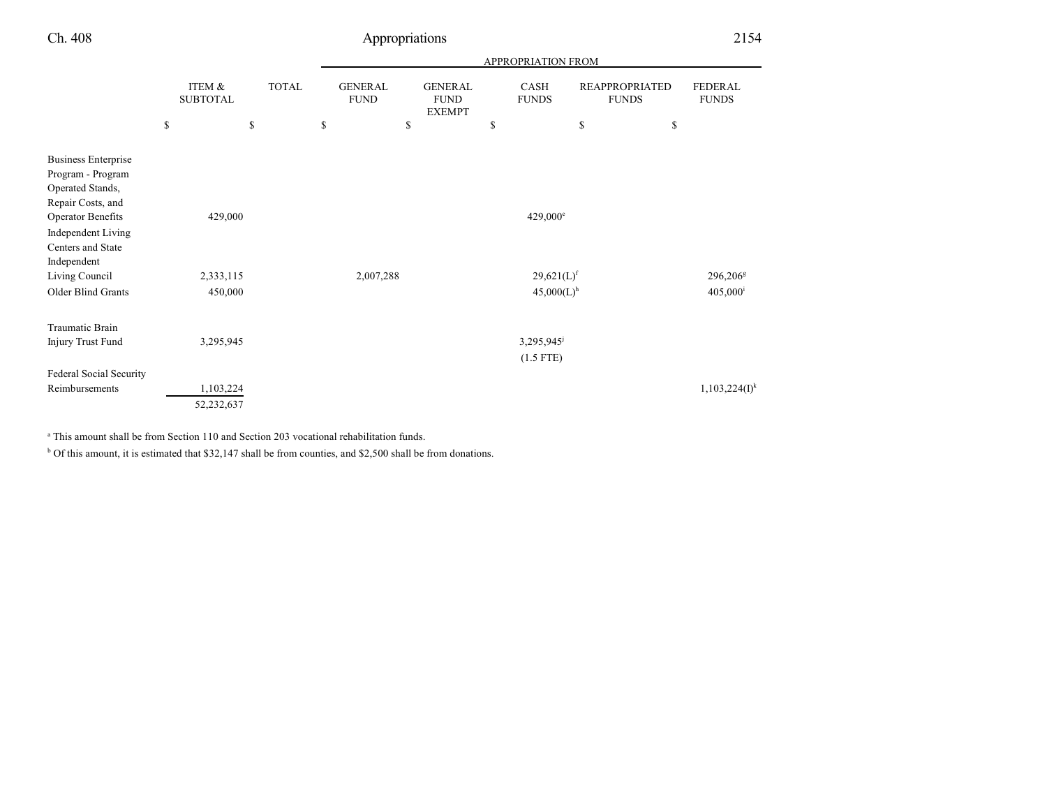|                                                                                                                                                                 |                           |              | APPROPRIATION FROM            |                                                |    |                                                      |                                       |    |                                           |
|-----------------------------------------------------------------------------------------------------------------------------------------------------------------|---------------------------|--------------|-------------------------------|------------------------------------------------|----|------------------------------------------------------|---------------------------------------|----|-------------------------------------------|
|                                                                                                                                                                 | ITEM &<br><b>SUBTOTAL</b> | <b>TOTAL</b> | <b>GENERAL</b><br><b>FUND</b> | <b>GENERAL</b><br><b>FUND</b><br><b>EXEMPT</b> |    | <b>CASH</b><br><b>FUNDS</b>                          | <b>REAPPROPRIATED</b><br><b>FUNDS</b> |    | <b>FEDERAL</b><br><b>FUNDS</b>            |
|                                                                                                                                                                 | \$                        | \$           | \$<br>\$                      |                                                | \$ |                                                      | \$                                    | \$ |                                           |
| <b>Business Enterprise</b><br>Program - Program<br>Operated Stands,<br>Repair Costs, and<br>Operator Benefits<br><b>Independent Living</b><br>Centers and State | 429,000                   |              |                               |                                                |    | $429,000^{\circ}$                                    |                                       |    |                                           |
| Independent<br>Living Council<br><b>Older Blind Grants</b>                                                                                                      | 2,333,115<br>450,000      |              | 2,007,288                     |                                                |    | $29,621(L)$ <sup>f</sup><br>$45,000(L)$ <sup>h</sup> |                                       |    | 296,206 <sup>g</sup><br>$405,000^{\rm i}$ |
| Traumatic Brain<br><b>Injury Trust Fund</b>                                                                                                                     | 3,295,945                 |              |                               |                                                |    | 3,295,945<br>$(1.5$ FTE)                             |                                       |    |                                           |
| Federal Social Security<br>Reimbursements                                                                                                                       | 1,103,224<br>52,232,637   |              |                               |                                                |    |                                                      |                                       |    | $1,103,224(I)^k$                          |

<sup>a</sup> This amount shall be from Section 110 and Section 203 vocational rehabilitation funds.

<sup>b</sup> Of this amount, it is estimated that \$32,147 shall be from counties, and \$2,500 shall be from donations.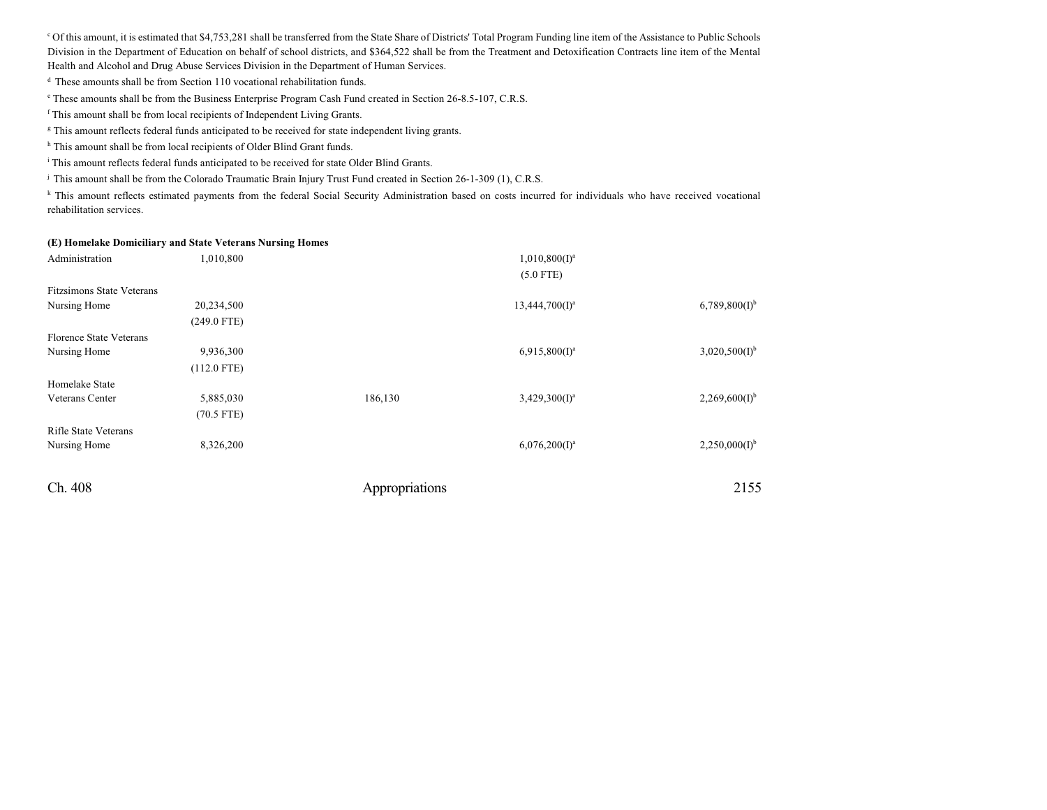<sup>c</sup> Of this amount, it is estimated that \$4,753,281 shall be transferred from the State Share of Districts' Total Program Funding line item of the Assistance to Public Schools Division in the Department of Education on behalf of school districts, and \$364,522 shall be from the Treatment and Detoxification Contracts line item of the Mental Health and Alcohol and Drug Abuse Services Division in the Department of Human Services.

<sup>d</sup> These amounts shall be from Section 110 vocational rehabilitation funds.

e These amounts shall be from the Business Enterprise Program Cash Fund created in Section 26-8.5-107, C.R.S.

f This amount shall be from local recipients of Independent Living Grants.

<sup>g</sup> This amount reflects federal funds anticipated to be received for state independent living grants.

<sup>h</sup> This amount shall be from local recipients of Older Blind Grant funds.

<sup>i</sup> This amount reflects federal funds anticipated to be received for state Older Blind Grants.

j This amount shall be from the Colorado Traumatic Brain Injury Trust Fund created in Section 26-1-309 (1), C.R.S.

<sup>k</sup> This amount reflects estimated payments from the federal Social Security Administration based on costs incurred for individuals who have received vocational rehabilitation services.

#### **(E) Homelake Domiciliary and State Veterans Nursing Homes**

| Administration                 | 1,010,800     |                | $1,010,800(I)^a$  |                             |
|--------------------------------|---------------|----------------|-------------------|-----------------------------|
|                                |               |                | $(5.0$ FTE)       |                             |
| Fitzsimons State Veterans      |               |                |                   |                             |
| Nursing Home                   | 20,234,500    |                | $13,444,700(I)^a$ | $6,789,800(I)^{b}$          |
|                                | $(249.0$ FTE) |                |                   |                             |
| <b>Florence State Veterans</b> |               |                |                   |                             |
| Nursing Home                   | 9,936,300     |                | $6,915,800(I)^a$  | $3,020,500(1)$ <sup>b</sup> |
|                                | $(112.0$ FTE) |                |                   |                             |
| Homelake State                 |               |                |                   |                             |
| Veterans Center                | 5,885,030     | 186,130        | $3,429,300(I)^a$  | $2,269,600(I)^{b}$          |
|                                | $(70.5$ FTE)  |                |                   |                             |
| Rifle State Veterans           |               |                |                   |                             |
| Nursing Home                   | 8,326,200     |                | $6,076,200(I)^a$  | $2,250,000(I)^{b}$          |
|                                |               |                |                   |                             |
| Ch. 408                        |               | Appropriations |                   | 2155                        |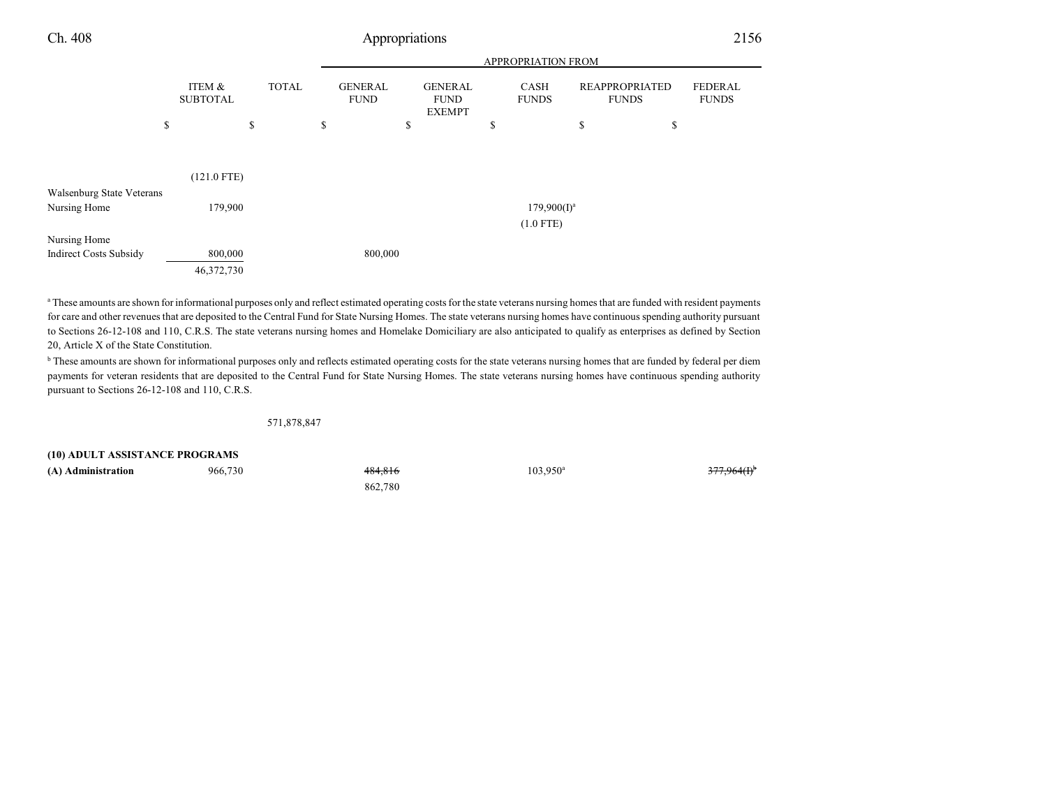|                                           |                           |              |                               |                                                | APPROPRIATION FROM   |                                       |                                |
|-------------------------------------------|---------------------------|--------------|-------------------------------|------------------------------------------------|----------------------|---------------------------------------|--------------------------------|
|                                           | ITEM &<br><b>SUBTOTAL</b> | <b>TOTAL</b> | <b>GENERAL</b><br><b>FUND</b> | <b>GENERAL</b><br><b>FUND</b><br><b>EXEMPT</b> | CASH<br><b>FUNDS</b> | <b>REAPPROPRIATED</b><br><b>FUNDS</b> | <b>FEDERAL</b><br><b>FUNDS</b> |
| \$                                        |                           | \$           | \$                            | \$                                             | \$                   | \$                                    | \$                             |
| Walsenburg State Veterans<br>Nursing Home | $(121.0$ FTE)<br>179,900  |              |                               |                                                | $179,900(1)^a$       |                                       |                                |
|                                           |                           |              |                               |                                                | $(1.0$ FTE)          |                                       |                                |
| Nursing Home                              |                           |              |                               |                                                |                      |                                       |                                |
| <b>Indirect Costs Subsidy</b>             | 800,000                   |              | 800,000                       |                                                |                      |                                       |                                |
|                                           | 46,372,730                |              |                               |                                                |                      |                                       |                                |

a These amounts are shown for informational purposes only and reflect estimated operating costs for the state veterans nursing homes that are funded with resident payments for care and other revenues that are deposited to the Central Fund for State Nursing Homes. The state veterans nursing homes have continuous spending authority pursuant to Sections 26-12-108 and 110, C.R.S. The state veterans nursing homes and Homelake Domiciliary are also anticipated to qualify as enterprises as defined by Section 20, Article X of the State Constitution.

**b** These amounts are shown for informational purposes only and reflects estimated operating costs for the state veterans nursing homes that are funded by federal per diem payments for veteran residents that are deposited to the Central Fund for State Nursing Homes. The state veterans nursing homes have continuous spending authority pursuant to Sections 26-12-108 and 110, C.R.S.

571,878,847

**(10) ADULT ASSISTANCE PROGRAMS**

**(A) Administration** 966,730 484,816 103,950<sup>a</sup> 103,950<sup>a</sup>

862,780

3<del>77,964(I)</del>b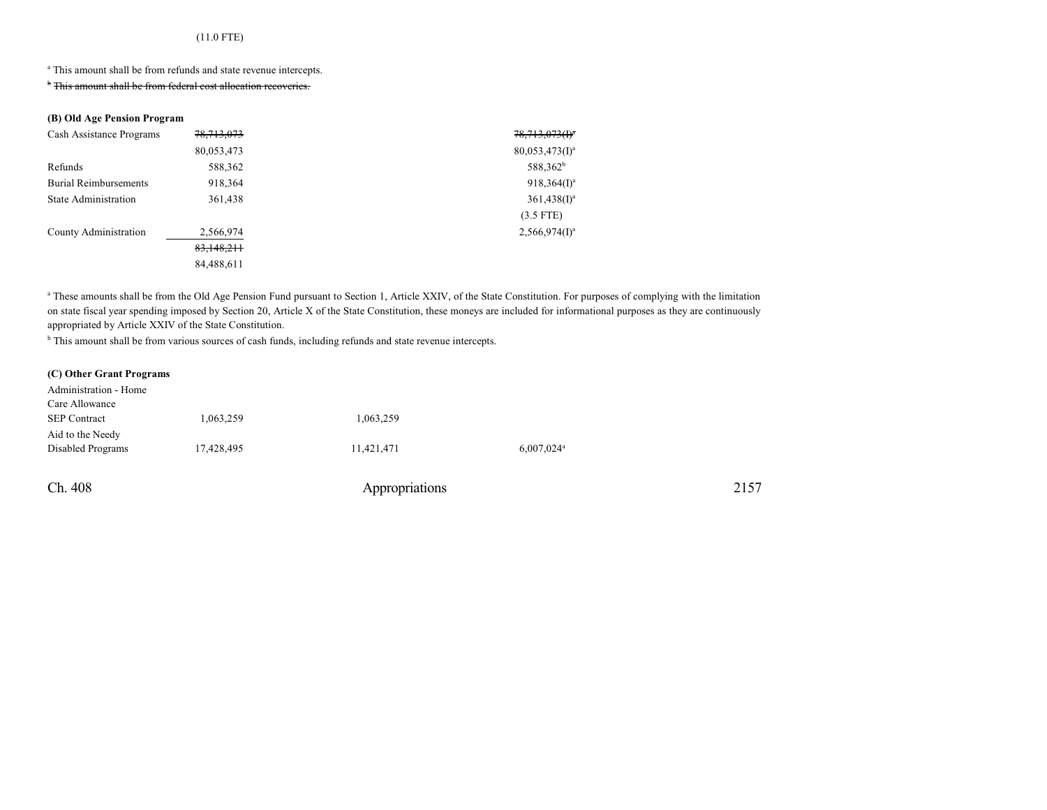### (11.0 FTE)

<sup>a</sup> This amount shall be from refunds and state revenue intercepts.

<sup>b</sup> This amount shall be from federal cost allocation recoveries.

#### **(B) Old Age Pension Program**

| Cash Assistance Programs     | 78, 713, 073 | $78,713,073(f)^4$    |
|------------------------------|--------------|----------------------|
|                              | 80,053,473   | $80,053,473(1)^a$    |
| Refunds                      | 588,362      | 588,362 <sup>b</sup> |
| <b>Burial Reimbursements</b> | 918,364      | $918,364(1)^a$       |
| <b>State Administration</b>  | 361,438      | $361,438(1)^a$       |
|                              |              | $(3.5$ FTE)          |
| County Administration        | 2,566,974    | $2,566,974(I)^a$     |
|                              | 83,148,211   |                      |
|                              | 84,488,611   |                      |

<sup>a</sup> These amounts shall be from the Old Age Pension Fund pursuant to Section 1, Article XXIV, of the State Constitution. For purposes of complying with the limitation on state fiscal year spending imposed by Section 20, Article X of the State Constitution, these moneys are included for informational purposes as they are continuously appropriated by Article XXIV of the State Constitution.

<sup>b</sup> This amount shall be from various sources of cash funds, including refunds and state revenue intercepts.

#### **(C) Other Grant Programs**

| Administration - Home |            |            |                          |
|-----------------------|------------|------------|--------------------------|
| Care Allowance        |            |            |                          |
| <b>SEP Contract</b>   | 1,063,259  | 1,063,259  |                          |
| Aid to the Needy      |            |            |                          |
| Disabled Programs     | 17,428,495 | 11,421,471 | $6,007,024$ <sup>a</sup> |
|                       |            |            |                          |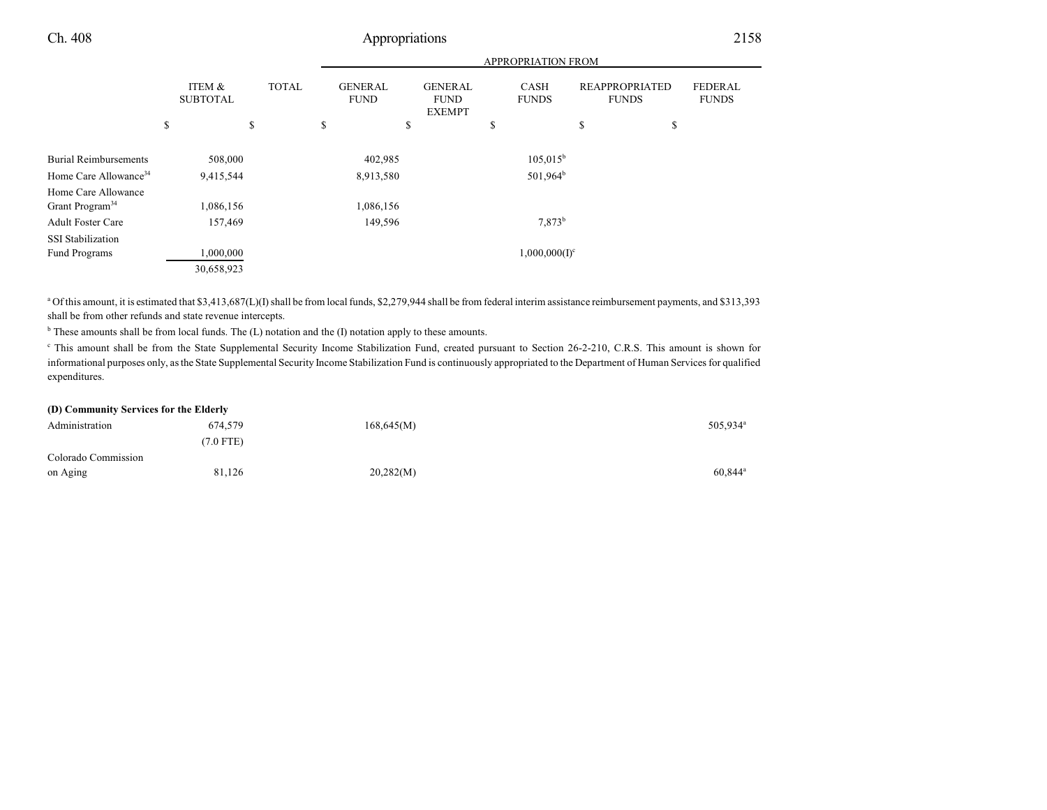|                                                    |                           |    |              |           | <b>APPROPRIATION FROM</b>     |             |                                                |    |                             |    |                                       |    |                                |
|----------------------------------------------------|---------------------------|----|--------------|-----------|-------------------------------|-------------|------------------------------------------------|----|-----------------------------|----|---------------------------------------|----|--------------------------------|
|                                                    | ITEM &<br><b>SUBTOTAL</b> |    | <b>TOTAL</b> |           | <b>GENERAL</b><br><b>FUND</b> |             | <b>GENERAL</b><br><b>FUND</b><br><b>EXEMPT</b> |    | <b>CASH</b><br><b>FUNDS</b> |    | <b>REAPPROPRIATED</b><br><b>FUNDS</b> |    | <b>FEDERAL</b><br><b>FUNDS</b> |
|                                                    | \$                        | \$ |              | \$        |                               | \$          |                                                | \$ |                             | \$ |                                       | \$ |                                |
| <b>Burial Reimbursements</b>                       | 508,000                   |    | 402,985      |           | $105,015^b$                   |             |                                                |    |                             |    |                                       |    |                                |
| Home Care Allowance <sup>34</sup>                  | 9,415,544                 |    |              | 8,913,580 |                               | $501,964^b$ |                                                |    |                             |    |                                       |    |                                |
| Home Care Allowance<br>Grant Program <sup>34</sup> | 1,086,156                 |    |              |           | 1,086,156                     |             |                                                |    |                             |    |                                       |    |                                |
| <b>Adult Foster Care</b>                           | 157,469                   |    |              | 149,596   |                               |             | 7,873 <sup>b</sup>                             |    |                             |    |                                       |    |                                |
| <b>SSI</b> Stabilization                           |                           |    |              |           |                               |             |                                                |    |                             |    |                                       |    |                                |
| Fund Programs                                      | 1,000,000                 |    |              |           |                               |             |                                                |    | $1,000,000(1)^c$            |    |                                       |    |                                |
|                                                    | 30,658,923                |    |              |           |                               |             |                                                |    |                             |    |                                       |    |                                |

<sup>a</sup> Of this amount, it is estimated that \$3,413,687(L)(I) shall be from local funds, \$2,279,944 shall be from federal interim assistance reimbursement payments, and \$313,393 shall be from other refunds and state revenue intercepts.

<sup>b</sup> These amounts shall be from local funds. The (L) notation and the (I) notation apply to these amounts.

<sup>c</sup> This amount shall be from the State Supplemental Security Income Stabilization Fund, created pursuant to Section 26-2-210, C.R.S. This amount is shown for informational purposes only, as the State Supplemental Security Income Stabilization Fund is continuously appropriated to the Department of Human Services for qualified expenditures.

#### **(D) Community Services for the Elderly**

| Administration      | 674,579     | 168,645(M) | 505,934 <sup>a</sup>  |
|---------------------|-------------|------------|-----------------------|
|                     | $(7.0$ FTE) |            |                       |
| Colorado Commission |             |            |                       |
| on Aging            | 81,126      | 20,282(M)  | $60,844$ <sup>a</sup> |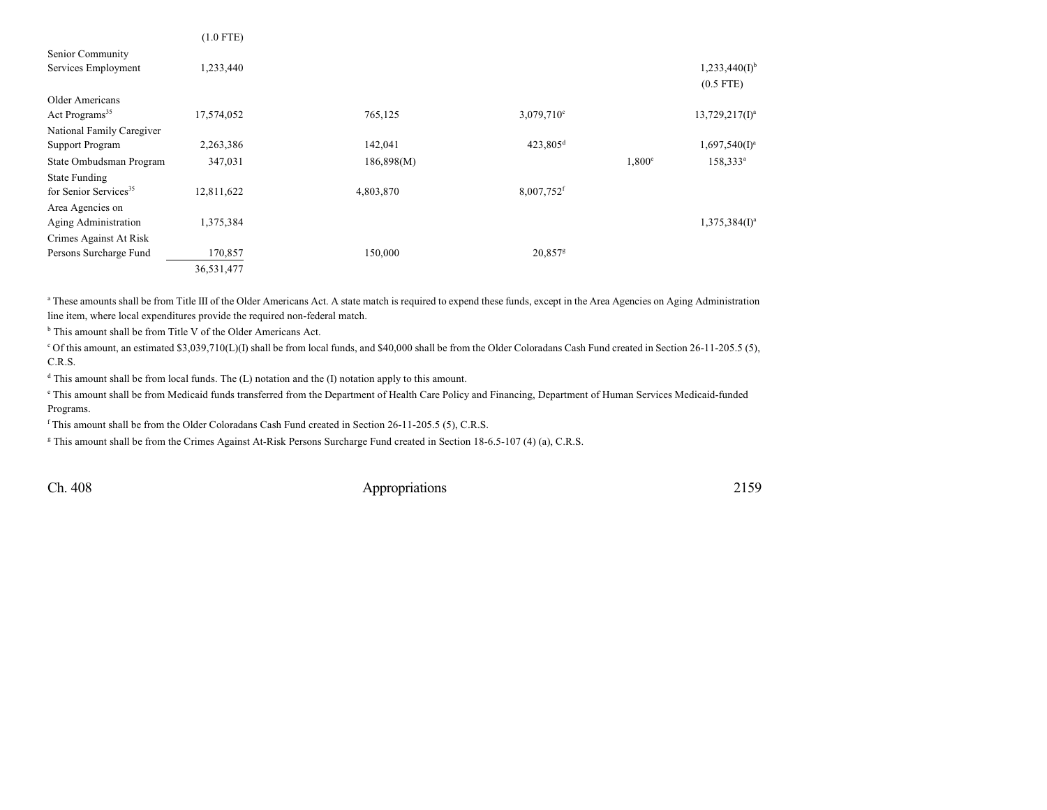|                                   | $(1.0$ FTE) |            |                          |               |                    |
|-----------------------------------|-------------|------------|--------------------------|---------------|--------------------|
| Senior Community                  |             |            |                          |               |                    |
| Services Employment               | 1,233,440   |            |                          |               | $1,233,440(I)^{b}$ |
|                                   |             |            |                          |               | $(0.5$ FTE)        |
| Older Americans                   |             |            |                          |               |                    |
| Act Programs <sup>35</sup>        | 17,574,052  | 765,125    | $3,079,710^{\circ}$      |               | $13,729,217(1)^a$  |
| National Family Caregiver         |             |            |                          |               |                    |
| <b>Support Program</b>            | 2,263,386   | 142,041    | $423,805$ <sup>d</sup>   |               | $1,697,540(I)^a$   |
| State Ombudsman Program           | 347,031     | 186,898(M) |                          | $1,800^\circ$ | $158,333^a$        |
| <b>State Funding</b>              |             |            |                          |               |                    |
| for Senior Services <sup>35</sup> | 12,811,622  | 4,803,870  | $8,007,752$ <sup>f</sup> |               |                    |
| Area Agencies on                  |             |            |                          |               |                    |
| Aging Administration              | 1,375,384   |            |                          |               | $1,375,384(I)^a$   |
| Crimes Against At Risk            |             |            |                          |               |                    |
| Persons Surcharge Fund            | 170,857     | 150,000    | 20,857 <sup>g</sup>      |               |                    |
|                                   | 36,531,477  |            |                          |               |                    |

<sup>a</sup> These amounts shall be from Title III of the Older Americans Act. A state match is required to expend these funds, except in the Area Agencies on Aging Administration line item, where local expenditures provide the required non-federal match.

<sup>b</sup> This amount shall be from Title V of the Older Americans Act.

 $c$  Of this amount, an estimated \$3,039,710(L)(I) shall be from local funds, and \$40,000 shall be from the Older Coloradans Cash Fund created in Section 26-11-205.5 (5), C.R.S.

<sup>d</sup> This amount shall be from local funds. The (L) notation and the (I) notation apply to this amount.

e This amount shall be from Medicaid funds transferred from the Department of Health Care Policy and Financing, Department of Human Services Medicaid-funded Programs.

f This amount shall be from the Older Coloradans Cash Fund created in Section 26-11-205.5 (5), C.R.S.

g This amount shall be from the Crimes Against At-Risk Persons Surcharge Fund created in Section 18-6.5-107 (4) (a), C.R.S.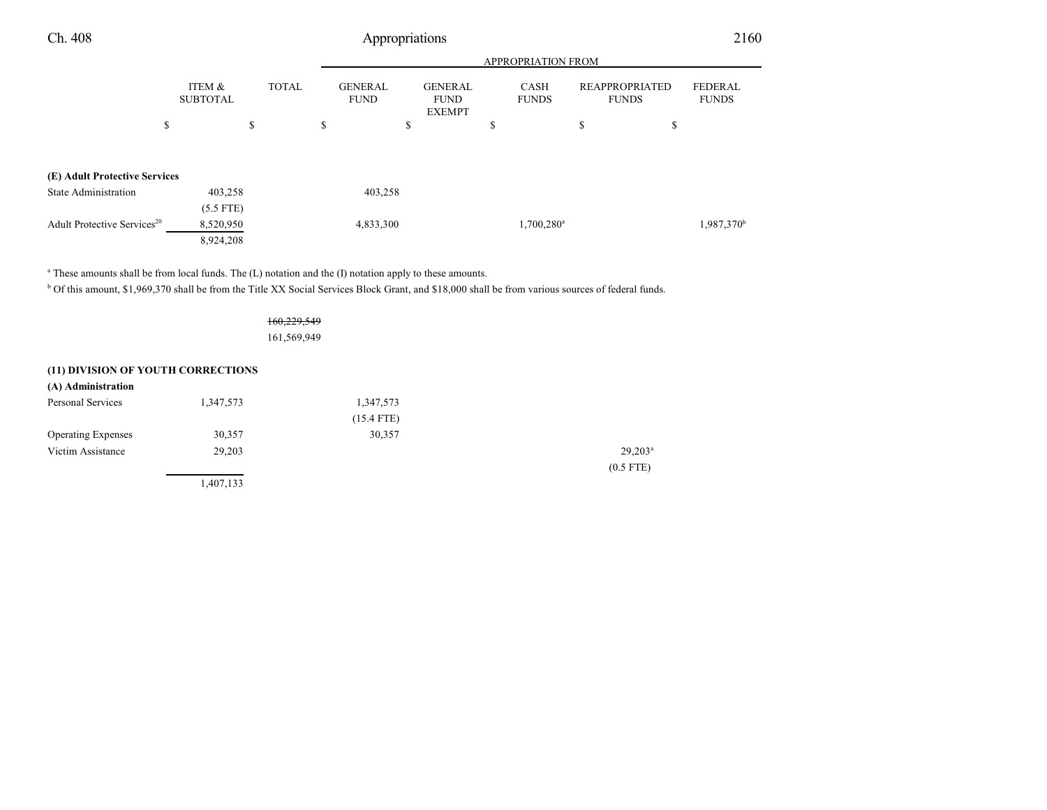|                                         |                           | <b>APPROPRIATION FROM</b> |                               |                                                |                          |                                |                         |
|-----------------------------------------|---------------------------|---------------------------|-------------------------------|------------------------------------------------|--------------------------|--------------------------------|-------------------------|
|                                         | ITEM &<br><b>SUBTOTAL</b> | <b>TOTAL</b>              | <b>GENERAL</b><br><b>FUND</b> | <b>GENERAL</b><br><b>FUND</b><br><b>EXEMPT</b> | CASH<br><b>FUNDS</b>     | REAPPROPRIATED<br><b>FUNDS</b> | FEDERAL<br><b>FUNDS</b> |
|                                         | \$                        | \$                        | \$                            | \$                                             | S                        | \$<br>\$                       |                         |
| (E) Adult Protective Services           |                           |                           |                               |                                                |                          |                                |                         |
| <b>State Administration</b>             | 403,258                   |                           | 403,258                       |                                                |                          |                                |                         |
|                                         | $(5.5$ FTE)               |                           |                               |                                                |                          |                                |                         |
| Adult Protective Services <sup>20</sup> | 8,520,950                 |                           | 4,833,300                     |                                                | $1,700,280$ <sup>a</sup> |                                | 1,987,370 <sup>b</sup>  |
|                                         | 8,924,208                 |                           |                               |                                                |                          |                                |                         |

<sup>a</sup> These amounts shall be from local funds. The (L) notation and the (I) notation apply to these amounts.

1,407,133

<sup>b</sup> Of this amount, \$1,969,370 shall be from the Title XX Social Services Block Grant, and \$18,000 shall be from various sources of federal funds.

160,229,549 161,569,949

#### **(11) DIVISION OF YOUTH CORRECTIONS**

| (A) Administration        |           |              |                  |
|---------------------------|-----------|--------------|------------------|
| Personal Services         | 1,347,573 | 1,347,573    |                  |
|                           |           | $(15.4$ FTE) |                  |
| <b>Operating Expenses</b> | 30,357    | 30,357       |                  |
| Victim Assistance         | 29,203    |              | $29,203^{\rm a}$ |
|                           |           |              | $(0.5$ FTE)      |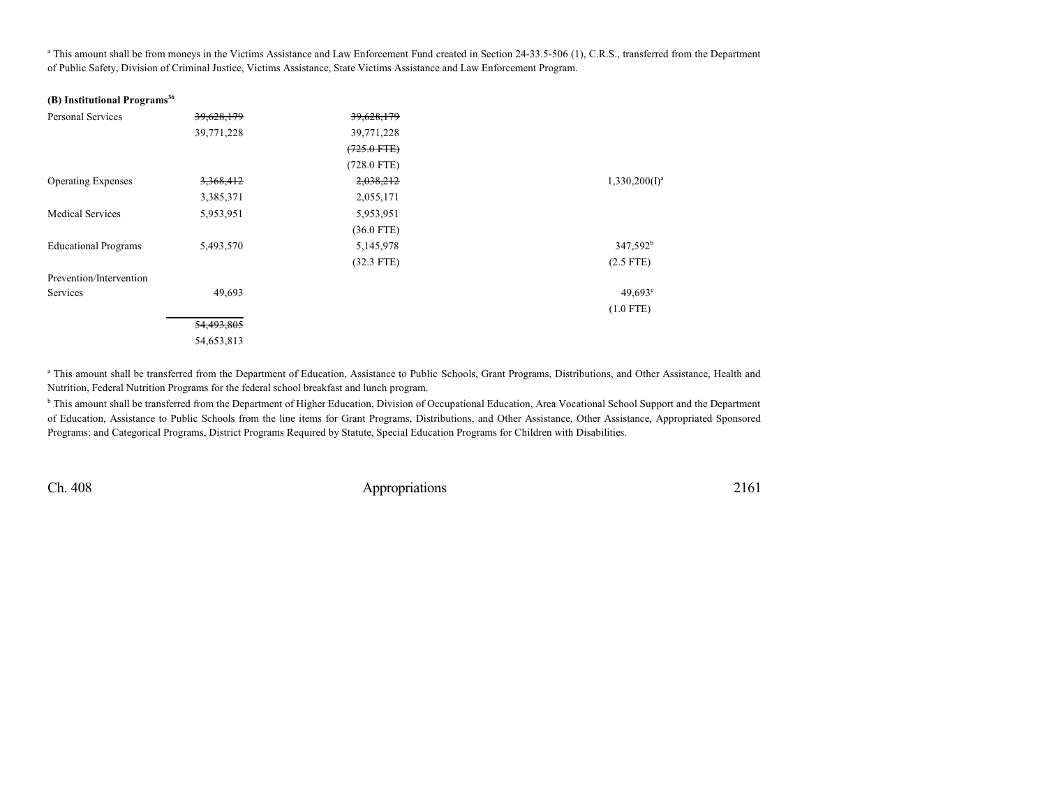<sup>a</sup> This amount shall be from moneys in the Victims Assistance and Law Enforcement Fund created in Section 24-33.5-506 (1), C.R.S., transferred from the Department of Public Safety, Division of Criminal Justice, Victims Assistance, State Victims Assistance and Law Enforcement Program.

#### **(B) Institutional Programs 36**

| <b>Personal Services</b>    | 39,628,179 | 39,628,179    |                      |
|-----------------------------|------------|---------------|----------------------|
|                             | 39,771,228 | 39,771,228    |                      |
|                             |            | $(725.0$ FTE) |                      |
|                             |            | $(728.0$ FTE) |                      |
| <b>Operating Expenses</b>   | 3,368,412  | 2,038,212     | $1,330,200(I)^a$     |
|                             | 3,385,371  | 2,055,171     |                      |
| <b>Medical Services</b>     | 5,953,951  | 5,953,951     |                      |
|                             |            | $(36.0$ FTE)  |                      |
| <b>Educational Programs</b> | 5,493,570  | 5,145,978     | 347,592 <sup>b</sup> |
|                             |            | $(32.3$ FTE)  | $(2.5$ FTE)          |
| Prevention/Intervention     |            |               |                      |
| Services                    | 49,693     |               | $49,693$ °           |
|                             |            |               | $(1.0$ FTE)          |
|                             | 54,493,805 |               |                      |
|                             | 54,653,813 |               |                      |

<sup>a</sup> This amount shall be transferred from the Department of Education, Assistance to Public Schools, Grant Programs, Distributions, and Other Assistance, Health and Nutrition, Federal Nutrition Programs for the federal school breakfast and lunch program.

<sup>b</sup> This amount shall be transferred from the Department of Higher Education, Division of Occupational Education, Area Vocational School Support and the Department of Education, Assistance to Public Schools from the line items for Grant Programs, Distributions, and Other Assistance, Other Assistance, Appropriated Sponsored Programs; and Categorical Programs, District Programs Required by Statute, Special Education Programs for Children with Disabilities.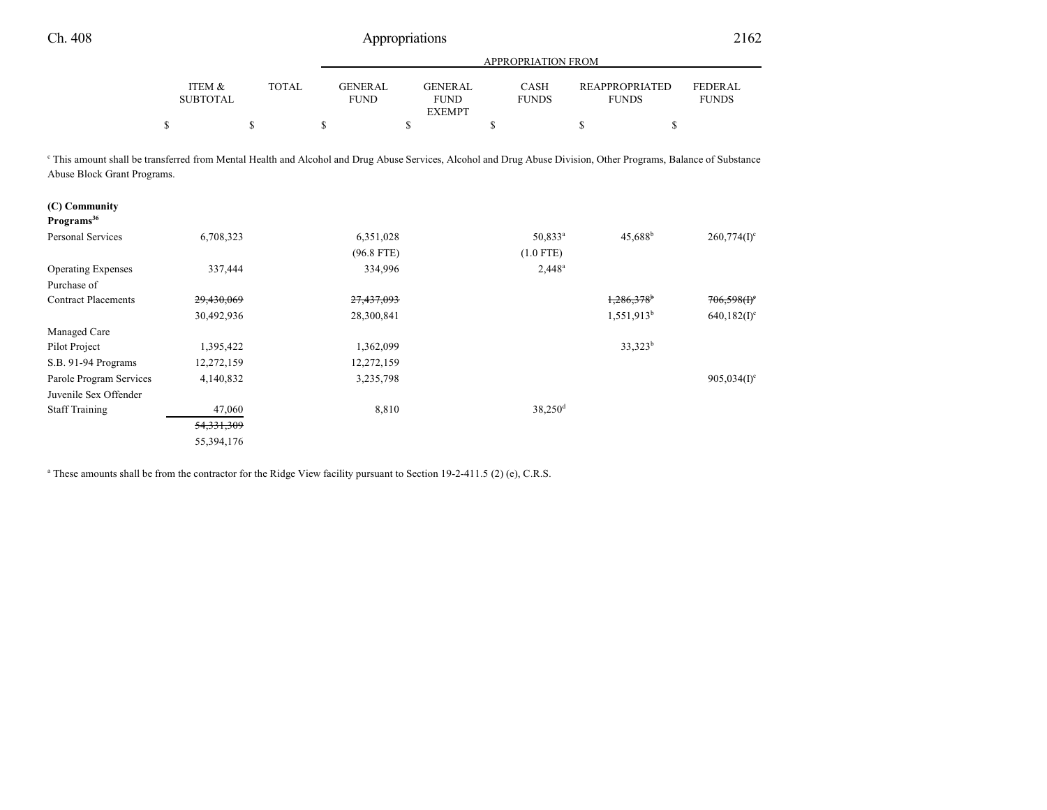|                                                                                                                                                                                                            |                           |              |                               |                                                | APPROPRIATION FROM          |                                       |                                |
|------------------------------------------------------------------------------------------------------------------------------------------------------------------------------------------------------------|---------------------------|--------------|-------------------------------|------------------------------------------------|-----------------------------|---------------------------------------|--------------------------------|
|                                                                                                                                                                                                            | ITEM &<br><b>SUBTOTAL</b> | <b>TOTAL</b> | <b>GENERAL</b><br><b>FUND</b> | <b>GENERAL</b><br><b>FUND</b><br><b>EXEMPT</b> | <b>CASH</b><br><b>FUNDS</b> | <b>REAPPROPRIATED</b><br><b>FUNDS</b> | <b>FEDERAL</b><br><b>FUNDS</b> |
| \$                                                                                                                                                                                                         |                           | \$           | \$                            | \$                                             | \$                          | \$                                    | \$                             |
| <sup>c</sup> This amount shall be transferred from Mental Health and Alcohol and Drug Abuse Services, Alcohol and Drug Abuse Division, Other Programs, Balance of Substance<br>Abuse Block Grant Programs. |                           |              |                               |                                                |                             |                                       |                                |
| (C) Community<br>Programs <sup>36</sup>                                                                                                                                                                    |                           |              |                               |                                                |                             |                                       |                                |
| Personal Services                                                                                                                                                                                          | 6,708,323                 |              | 6,351,028                     |                                                | 50,833 <sup>a</sup>         | $45,688^{\rm b}$                      | $260,774(I)^c$                 |
|                                                                                                                                                                                                            |                           |              | $(96.8$ FTE)                  |                                                | $(1.0$ FTE)                 |                                       |                                |
| <b>Operating Expenses</b>                                                                                                                                                                                  | 337,444                   |              | 334,996                       |                                                | $2,448^a$                   |                                       |                                |
| Purchase of                                                                                                                                                                                                |                           |              |                               |                                                |                             |                                       |                                |
| <b>Contract Placements</b>                                                                                                                                                                                 | 29,430,069                |              | 27,437,093                    |                                                |                             | 1.286.378                             | $706,598(f)^c$                 |
|                                                                                                                                                                                                            | 30,492,936                |              | 28,300,841                    |                                                |                             | $1,551,913^b$                         | $640,182(1)$ <sup>c</sup>      |
| Managed Care                                                                                                                                                                                               |                           |              |                               |                                                |                             |                                       |                                |
| Pilot Project                                                                                                                                                                                              | 1,395,422                 |              | 1,362,099                     |                                                |                             | $33,323^b$                            |                                |
| S.B. 91-94 Programs                                                                                                                                                                                        | 12,272,159                |              | 12,272,159                    |                                                |                             |                                       |                                |
| Parole Program Services                                                                                                                                                                                    | 4,140,832                 |              | 3,235,798                     |                                                |                             |                                       | $905,034(1)$ <sup>c</sup>      |
| Juvenile Sex Offender                                                                                                                                                                                      |                           |              |                               |                                                |                             |                                       |                                |
| <b>Staff Training</b>                                                                                                                                                                                      | 47,060                    |              | 8,810                         |                                                | $38,250$ <sup>d</sup>       |                                       |                                |
|                                                                                                                                                                                                            | 54, 331, 309              |              |                               |                                                |                             |                                       |                                |
|                                                                                                                                                                                                            | 55,394,176                |              |                               |                                                |                             |                                       |                                |

<sup>a</sup> These amounts shall be from the contractor for the Ridge View facility pursuant to Section 19-2-411.5 (2) (e), C.R.S.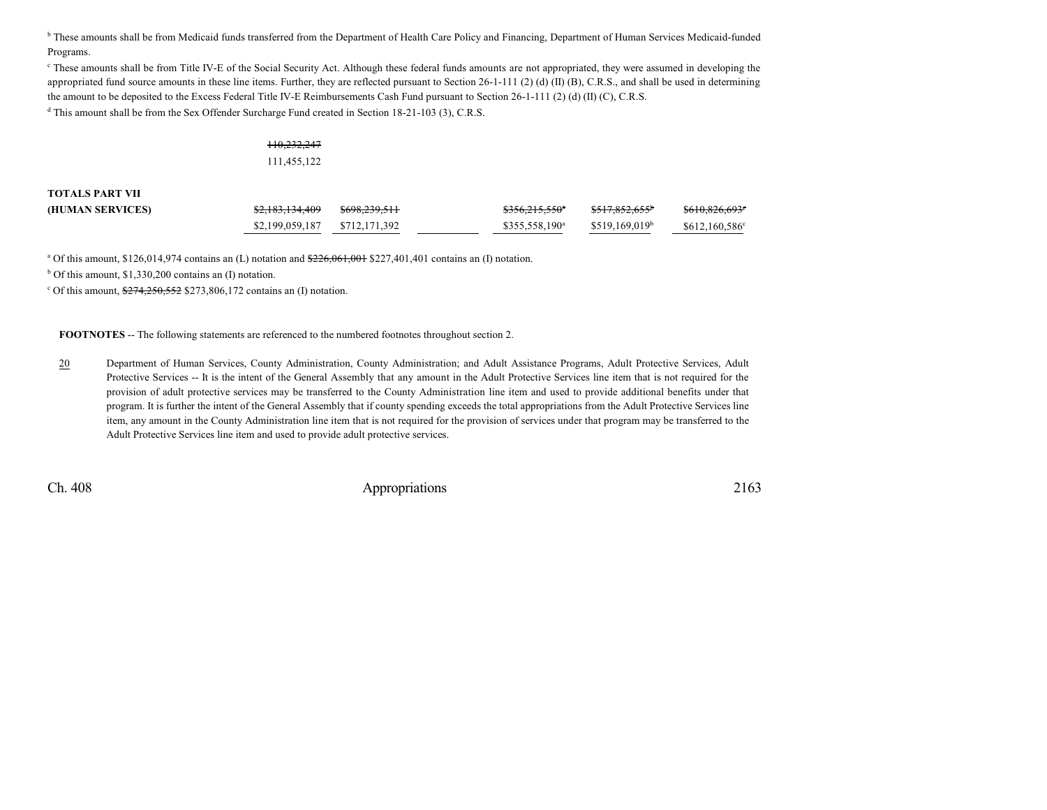<sup>b</sup> These amounts shall be from Medicaid funds transferred from the Department of Health Care Policy and Financing, Department of Human Services Medicaid-funded Programs.

<sup>c</sup> These amounts shall be from Title IV-E of the Social Security Act. Although these federal funds amounts are not appropriated, they were assumed in developing the appropriated fund source amounts in these line items. Further, they are reflected pursuant to Section 26-1-111 (2) (d) (II) (B), C.R.S., and shall be used in determining the amount to be deposited to the Excess Federal Title IV-E Reimbursements Cash Fund pursuant to Section 26-1-111 (2) (d) (II) (C), C.R.S.

<sup>d</sup> This amount shall be from the Sex Offender Surcharge Fund created in Section 18-21-103 (3), C.R.S.

#### 110,232,247

111,455,122

**TOTALS PART VII**

| (HUMAN SERVICES) | <del>\$2,183,134,409</del>    | <del>\$698,239,511</del> | $$356.215.550^{\circ}$ | $0.17000$ (CC)<br>5017,002,000 | \$610,826,693 <sup>e</sup> |
|------------------|-------------------------------|--------------------------|------------------------|--------------------------------|----------------------------|
|                  | \$2,199,059,187 \$712,171,392 |                          | $$355.558.190^a$       | \$519.169.019 <sup>b</sup>     | \$612,160,586°             |

<sup>a</sup> Of this amount, \$126,014,974 contains an (L) notation and <del>\$226,061,001</del> \$227,401,401 contains an (I) notation.

b Of this amount, \$1,330,200 contains an (I) notation.

 $\text{c}$  Of this amount,  $\frac{$274,250,552}{$273,806,172}$  contains an (I) notation.

**FOOTNOTES** -- The following statements are referenced to the numbered footnotes throughout section 2.

20 Department of Human Services, County Administration, County Administration; and Adult Assistance Programs, Adult Protective Services, Adult Protective Services -- It is the intent of the General Assembly that any amount in the Adult Protective Services line item that is not required for the provision of adult protective services may be transferred to the County Administration line item and used to provide additional benefits under that program. It is further the intent of the General Assembly that if county spending exceeds the total appropriations from the Adult Protective Services line item, any amount in the County Administration line item that is not required for the provision of services under that program may be transferred to the Adult Protective Services line item and used to provide adult protective services.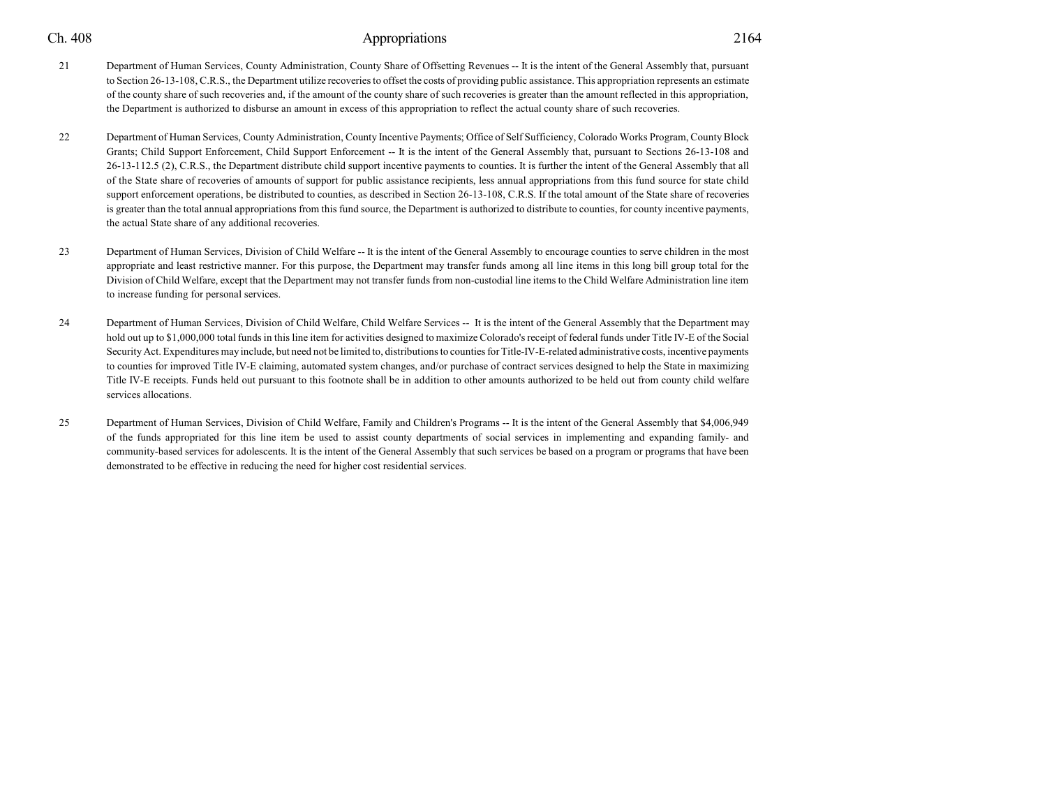- 21 Department of Human Services, County Administration, County Share of Offsetting Revenues -- It is the intent of the General Assembly that, pursuant to Section 26-13-108, C.R.S., the Department utilize recoveries to offset the costs of providing public assistance. This appropriation represents an estimate of the county share of such recoveries and, if the amount of the county share of such recoveries is greater than the amount reflected in this appropriation, the Department is authorized to disburse an amount in excess of this appropriation to reflect the actual county share of such recoveries.
- 22 Department of Human Services, County Administration, County Incentive Payments; Office of Self Sufficiency, Colorado Works Program, CountyBlock Grants; Child Support Enforcement, Child Support Enforcement -- It is the intent of the General Assembly that, pursuant to Sections 26-13-108 and 26-13-112.5 (2), C.R.S., the Department distribute child support incentive payments to counties. It is further the intent of the General Assembly that all of the State share of recoveries of amounts of support for public assistance recipients, less annual appropriations from this fund source for state child support enforcement operations, be distributed to counties, as described in Section 26-13-108, C.R.S. If the total amount of the State share of recoveries is greater than the total annual appropriations from this fund source, the Department is authorized to distribute to counties, for county incentive payments, the actual State share of any additional recoveries.
- 23 Department of Human Services, Division of Child Welfare -- It is the intent of the General Assembly to encourage counties to serve children in the most appropriate and least restrictive manner. For this purpose, the Department may transfer funds among all line items in this long bill group total for the Division of Child Welfare, except that the Department may not transfer funds from non-custodial line items to the Child Welfare Administration line item to increase funding for personal services.
- 24 Department of Human Services, Division of Child Welfare, Child Welfare Services -- It is the intent of the General Assembly that the Department may hold out up to \$1,000,000 total funds in this line item for activities designed to maximize Colorado's receipt of federal funds under Title IV-E of the Social Security Act. Expenditures mayinclude, but need not be limited to, distributions to counties for Title-IV-E-related administrative costs, incentive payments to counties for improved Title IV-E claiming, automated system changes, and/or purchase of contract services designed to help the State in maximizing Title IV-E receipts. Funds held out pursuant to this footnote shall be in addition to other amounts authorized to be held out from county child welfare services allocations.
- 25 Department of Human Services, Division of Child Welfare, Family and Children's Programs -- It is the intent of the General Assembly that \$4,006,949 of the funds appropriated for this line item be used to assist county departments of social services in implementing and expanding family- and community-based services for adolescents. It is the intent of the General Assembly that such services be based on a program or programs that have been demonstrated to be effective in reducing the need for higher cost residential services.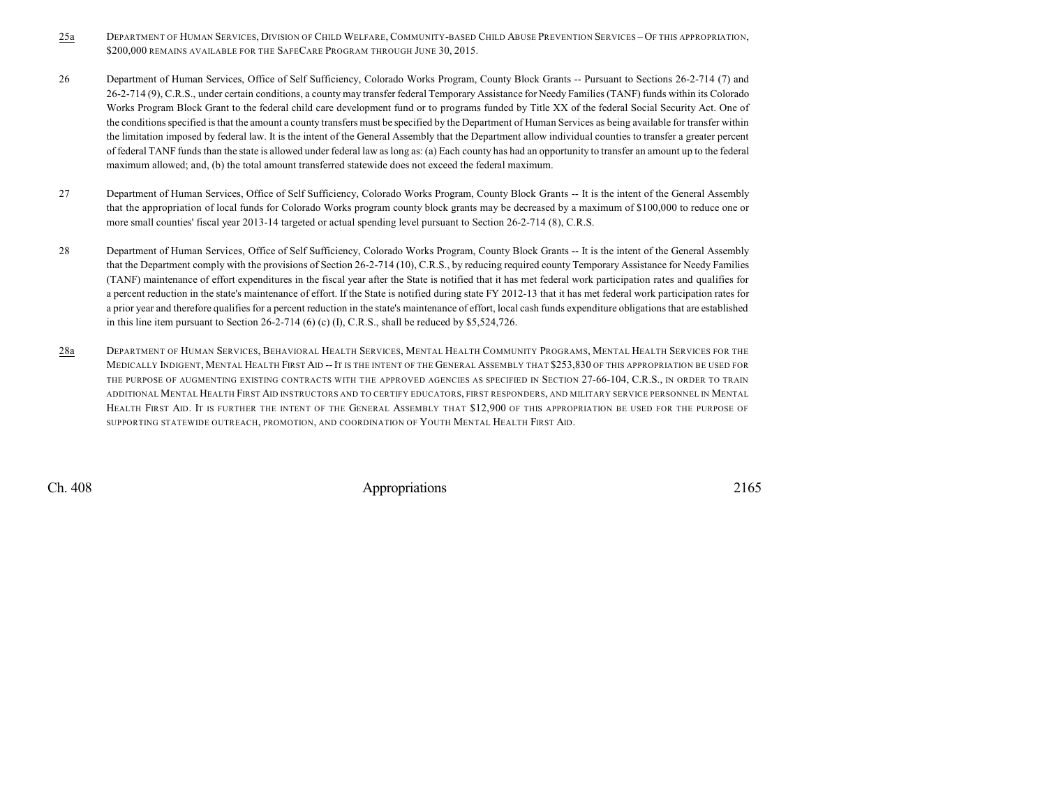- 25a DEPARTMENT OF HUMAN SERVICES, DIVISION OF CHILD WELFARE, COMMUNITY-BASED CHILD ABUSE PREVENTION SERVICES OF THIS APPROPRIATION, \$200,000 REMAINS AVAILABLE FOR THE SAFECARE PROGRAM THROUGH JUNE 30, 2015.
- 26 Department of Human Services, Office of Self Sufficiency, Colorado Works Program, County Block Grants -- Pursuant to Sections 26-2-714 (7) and 26-2-714 (9), C.R.S., under certain conditions, a county may transfer federal Temporary Assistance for Needy Families (TANF) funds within its Colorado Works Program Block Grant to the federal child care development fund or to programs funded by Title XX of the federal Social Security Act. One of the conditions specified is that the amount a county transfers must be specified by the Department of Human Services as being available for transfer within the limitation imposed by federal law. It is the intent of the General Assembly that the Department allow individual counties to transfer a greater percent of federal TANF funds than the state is allowed under federal law as long as: (a) Each county has had an opportunity to transfer an amount up to the federal maximum allowed; and, (b) the total amount transferred statewide does not exceed the federal maximum.
- 27 Department of Human Services, Office of Self Sufficiency, Colorado Works Program, County Block Grants -- It is the intent of the General Assembly that the appropriation of local funds for Colorado Works program county block grants may be decreased by a maximum of \$100,000 to reduce one or more small counties' fiscal year 2013-14 targeted or actual spending level pursuant to Section 26-2-714 (8), C.R.S.
- 28 Department of Human Services, Office of Self Sufficiency, Colorado Works Program, County Block Grants -- It is the intent of the General Assembly that the Department comply with the provisions of Section 26-2-714 (10), C.R.S., by reducing required county Temporary Assistance for Needy Families (TANF) maintenance of effort expenditures in the fiscal year after the State is notified that it has met federal work participation rates and qualifies for a percent reduction in the state's maintenance of effort. If the State is notified during state FY 2012-13 that it has met federal work participation rates for a prior year and therefore qualifies for a percent reduction in the state's maintenance of effort, local cash funds expenditure obligations that are established in this line item pursuant to Section  $26-2-714$  (6) (c) (I), C.R.S., shall be reduced by \$5,524,726.
- 28a DEPARTMENT OF HUMAN SERVICES, BEHAVIORAL HEALTH SERVICES, MENTAL HEALTH COMMUNITY PROGRAMS, MENTAL HEALTH SERVICES FOR THE MEDICALLY INDIGENT, MENTAL HEALTH FIRST AID --IT IS THE INTENT OF THE GENERAL ASSEMBLY THAT \$253,830 OF THIS APPROPRIATION BE USED FOR THE PURPOSE OF AUGMENTING EXISTING CONTRACTS WITH THE APPROVED AGENCIES AS SPECIFIED IN SECTION 27-66-104, C.R.S., IN ORDER TO TRAIN ADDITIONAL MENTAL HEALTH FIRST AID INSTRUCTORS AND TO CERTIFY EDUCATORS, FIRST RESPONDERS, AND MILITARY SERVICE PERSONNEL IN MENTAL HEALTH FIRST AID. IT IS FURTHER THE INTENT OF THE GENERAL ASSEMBLY THAT \$12,900 OF THIS APPROPRIATION BE USED FOR THE PURPOSE OF SUPPORTING STATEWIDE OUTREACH, PROMOTION, AND COORDINATION OF YOUTH MENTAL HEALTH FIRST AID.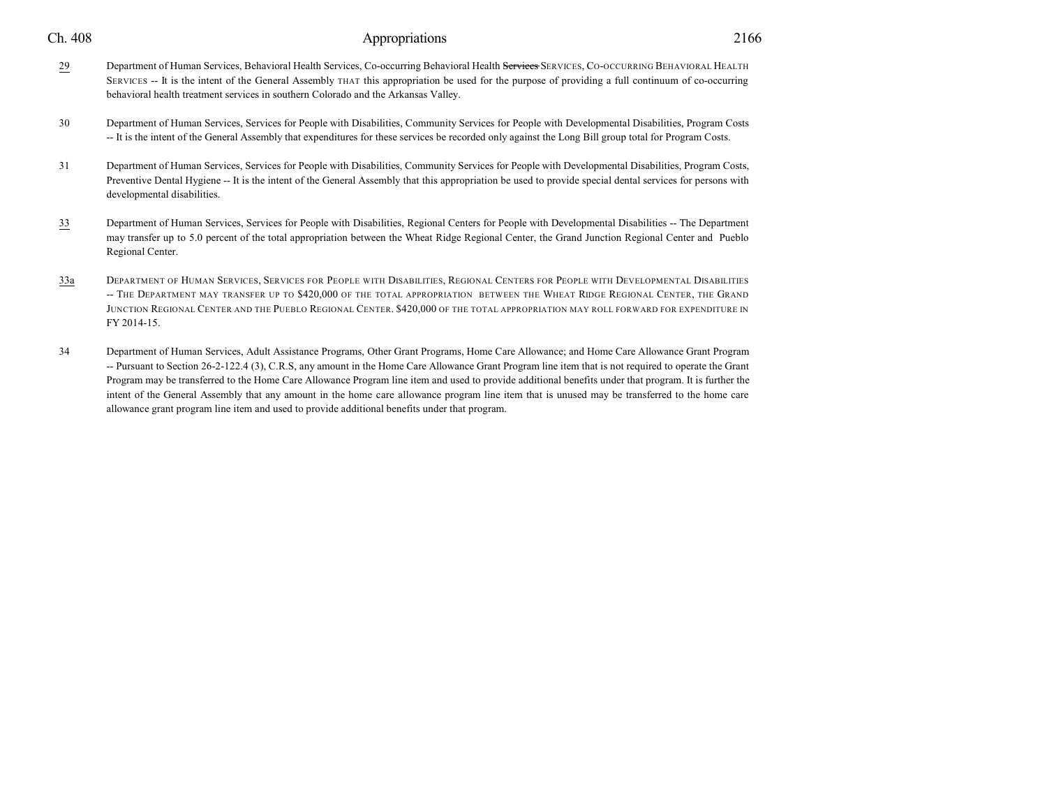| Ch. | 408 |
|-----|-----|
|     |     |

### Appropriations 2166

- 29 Department of Human Services, Behavioral Health Services, Co-occurring Behavioral Health Services SERVICES, Co-OCCURRING BEHAVIORAL HEALTH SERVICES -- It is the intent of the General Assembly THAT this appropriation be used for the purpose of providing a full continuum of co-occurring behavioral health treatment services in southern Colorado and the Arkansas Valley.
- 30 Department of Human Services, Services for People with Disabilities, Community Services for People with Developmental Disabilities, Program Costs -- It is the intent of the General Assembly that expenditures for these services be recorded only against the Long Bill group total for Program Costs.
- 31 Department of Human Services, Services for People with Disabilities, Community Services for People with Developmental Disabilities, Program Costs, Preventive Dental Hygiene -- It is the intent of the General Assembly that this appropriation be used to provide special dental services for persons with developmental disabilities.
- 33 Department of Human Services, Services for People with Disabilities, Regional Centers for People with Developmental Disabilities -- The Department may transfer up to 5.0 percent of the total appropriation between the Wheat Ridge Regional Center, the Grand Junction Regional Center and Pueblo Regional Center.
- 33a DEPARTMENT OF HUMAN SERVICES, SERVICES FOR PEOPLE WITH DISABILITIES, REGIONAL CENTERS FOR PEOPLE WITH DEVELOPMENTAL DISABILITIES -- THE DEPARTMENT MAY TRANSFER UP TO \$420,000 OF THE TOTAL APPROPRIATION BETWEEN THE WHEAT RIDGE REGIONAL CENTER, THE GRAND JUNCTION REGIONAL CENTER AND THE PUEBLO REGIONAL CENTER. \$420,000 OF THE TOTAL APPROPRIATION MAY ROLL FORWARD FOR EXPENDITURE IN FY 2014-15.
- 34 Department of Human Services, Adult Assistance Programs, Other Grant Programs, Home Care Allowance; and Home Care Allowance Grant Program -- Pursuant to Section 26-2-122.4 (3), C.R.S, any amount in the Home Care Allowance Grant Program line item that is not required to operate the Grant Program may be transferred to the Home Care Allowance Program line item and used to provide additional benefits under that program. It is further the intent of the General Assembly that any amount in the home care allowance program line item that is unused may be transferred to the home care allowance grant program line item and used to provide additional benefits under that program.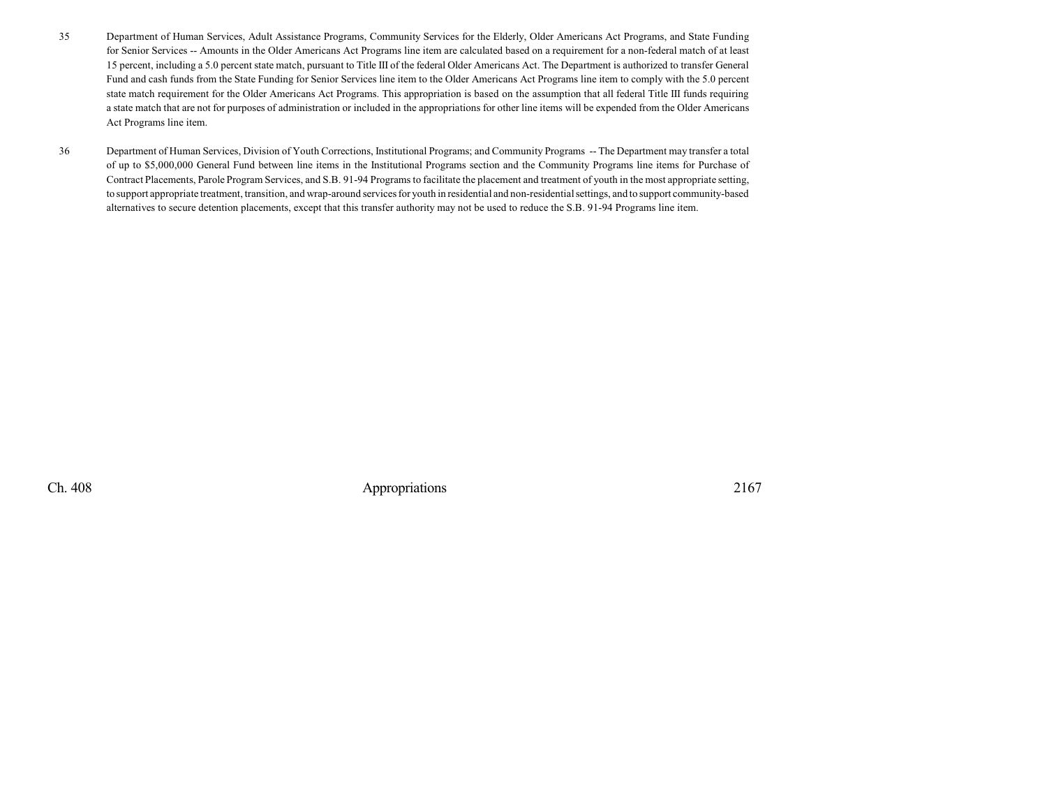- 35 Department of Human Services, Adult Assistance Programs, Community Services for the Elderly, Older Americans Act Programs, and State Funding for Senior Services -- Amounts in the Older Americans Act Programs line item are calculated based on a requirement for a non-federal match of at least 15 percent, including a 5.0 percent state match, pursuant to Title III of the federal Older Americans Act. The Department is authorized to transfer General Fund and cash funds from the State Funding for Senior Services line item to the Older Americans Act Programs line item to comply with the 5.0 percent state match requirement for the Older Americans Act Programs. This appropriation is based on the assumption that all federal Title III funds requiring a state match that are not for purposes of administration or included in the appropriations for other line items will be expended from the Older Americans Act Programs line item.
- 36 Department of Human Services, Division of Youth Corrections, Institutional Programs; and Community Programs -- The Department may transfer a total of up to \$5,000,000 General Fund between line items in the Institutional Programs section and the Community Programs line items for Purchase of Contract Placements, Parole Program Services, and S.B. 91-94 Programs to facilitate the placement and treatment of youth in the most appropriate setting, to support appropriate treatment, transition, and wrap-around services for youth in residential and non-residentialsettings, and to support community-based alternatives to secure detention placements, except that this transfer authority may not be used to reduce the S.B. 91-94 Programs line item.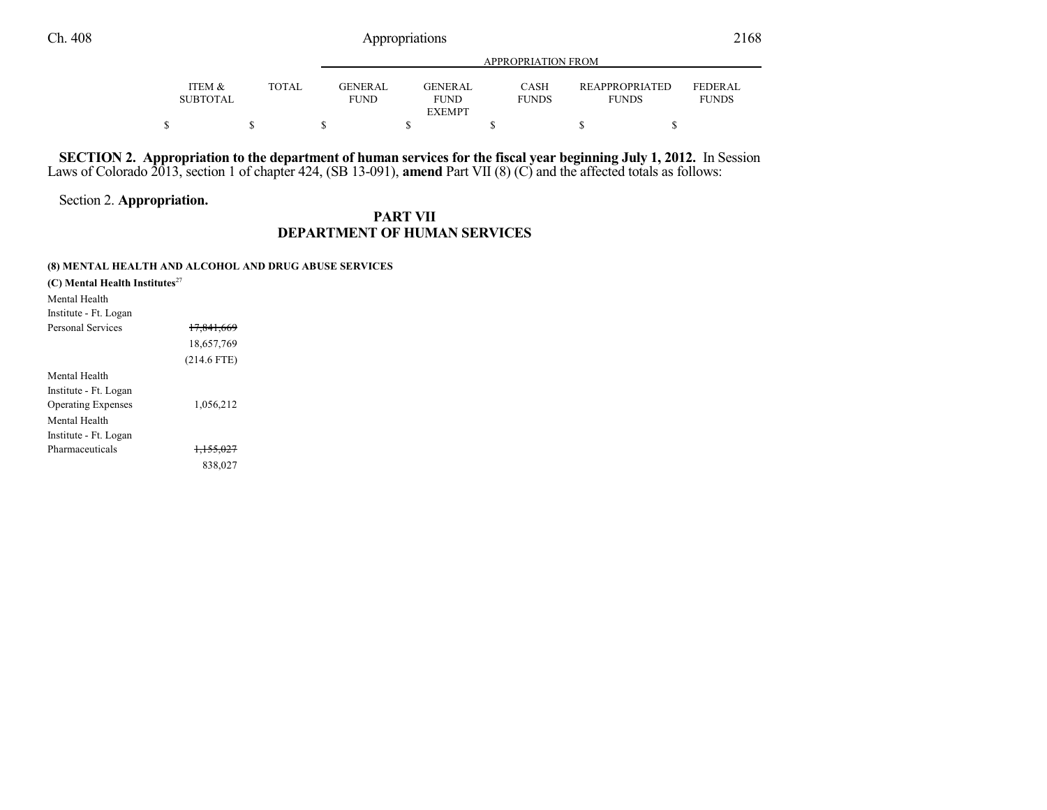|                                      |              |                               | APPROPRIATION FROM     |                             |                                       |                         |  |  |  |
|--------------------------------------|--------------|-------------------------------|------------------------|-----------------------------|---------------------------------------|-------------------------|--|--|--|
| <b>ITEM &amp;</b><br><b>SUBTOTAL</b> | <b>TOTAL</b> | <b>GENERAL</b><br><b>FUND</b> | GENERAL<br><b>FUND</b> | <b>CASH</b><br><b>FUNDS</b> | <b>REAPPROPRIATED</b><br><b>FUNDS</b> | FEDERAL<br><b>FUNDS</b> |  |  |  |
|                                      |              |                               | <b>EXEMPT</b>          |                             |                                       |                         |  |  |  |
|                                      |              |                               |                        |                             |                                       |                         |  |  |  |

SECTION 2. Appropriation to the department of human services for the fiscal year beginning July 1, 2012. In Session Laws of Colorado 2013, section 1 of chapter 424, (SB 13-091), **amend** Part VII (8) (C) and the affected totals as follows:

Section 2. **Appropriation.**

## **PART VII DEPARTMENT OF HUMAN SERVICES**

#### **(8) MENTAL HEALTH AND ALCOHOL AND DRUG ABUSE SERVICES**

| (C) Mental Health Institutes <sup>27</sup> |                      |  |
|--------------------------------------------|----------------------|--|
| Mental Health                              |                      |  |
| Institute - Ft. Logan                      |                      |  |
| Personal Services                          | 17,841,669           |  |
|                                            | 18,657,769           |  |
|                                            | $(214.6$ FTE)        |  |
| Mental Health                              |                      |  |
| Institute - Ft. Logan                      |                      |  |
| <b>Operating Expenses</b>                  | 1,056,212            |  |
| Mental Health                              |                      |  |
| Institute - Ft. Logan                      |                      |  |
| Pharmaceuticals                            | <del>1.155.027</del> |  |
|                                            | 838,027              |  |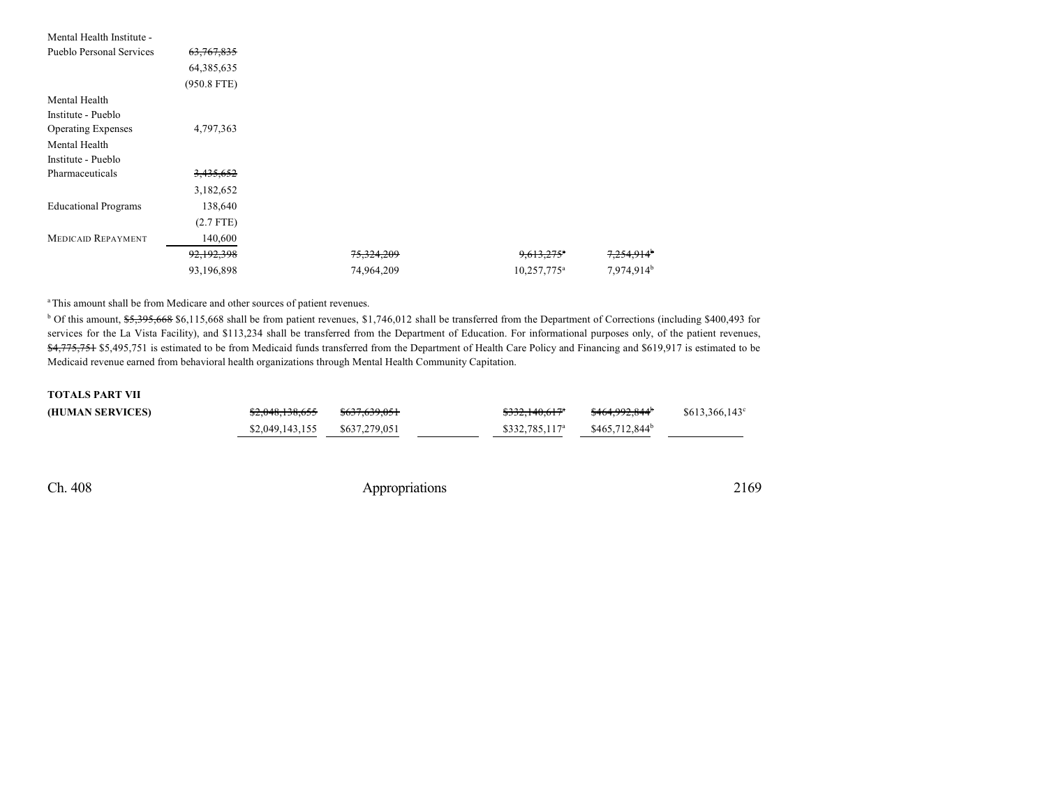| Mental Health Institute -       |               |            |                          |                        |
|---------------------------------|---------------|------------|--------------------------|------------------------|
| <b>Pueblo Personal Services</b> | 63,767,835    |            |                          |                        |
|                                 | 64, 385, 635  |            |                          |                        |
|                                 | $(950.8$ FTE) |            |                          |                        |
| Mental Health                   |               |            |                          |                        |
| Institute - Pueblo              |               |            |                          |                        |
| <b>Operating Expenses</b>       | 4,797,363     |            |                          |                        |
| Mental Health                   |               |            |                          |                        |
| Institute - Pueblo              |               |            |                          |                        |
| Pharmaceuticals                 | 3,435,652     |            |                          |                        |
|                                 | 3,182,652     |            |                          |                        |
| <b>Educational Programs</b>     | 138,640       |            |                          |                        |
|                                 | $(2.7$ FTE)   |            |                          |                        |
| <b>MEDICAID REPAYMENT</b>       | 140,600       |            |                          |                        |
|                                 | 92,192,398    | 75,324,209 | $9,613,275$ <sup>*</sup> | 7,254,914 <sup>b</sup> |
|                                 | 93,196,898    | 74,964,209 | 10,257,775 <sup>a</sup>  | 7,974,914 <sup>b</sup> |

<sup>a</sup>This amount shall be from Medicare and other sources of patient revenues.

<sup>b</sup> Of this amount, \$5,395,668 \$6,115,668 shall be from patient revenues, \$1,746,012 shall be transferred from the Department of Corrections (including \$400,493 for services for the La Vista Facility), and \$113,234 shall be transferred from the Department of Education. For informational purposes only, of the patient revenues, \$4,775,751 \$5,495,751 is estimated to be from Medicaid funds transferred from the Department of Health Care Policy and Financing and \$619,917 is estimated to be Medicaid revenue earned from behavioral health organizations through Mental Health Community Capitation.

#### **TOTALS PART VII**

| (HUMAN SERVICES) | \$2,048,138,655 | \$637,639,051 | \$332,140,617 <sup>a</sup> | \$464.992.844 <sup>b</sup> | $$613,366,143^{\circ}$ |
|------------------|-----------------|---------------|----------------------------|----------------------------|------------------------|
|                  | \$2,049,143,155 | \$637,279,051 | $$332.785.117^a$           | \$465,712,844 <sup>b</sup> |                        |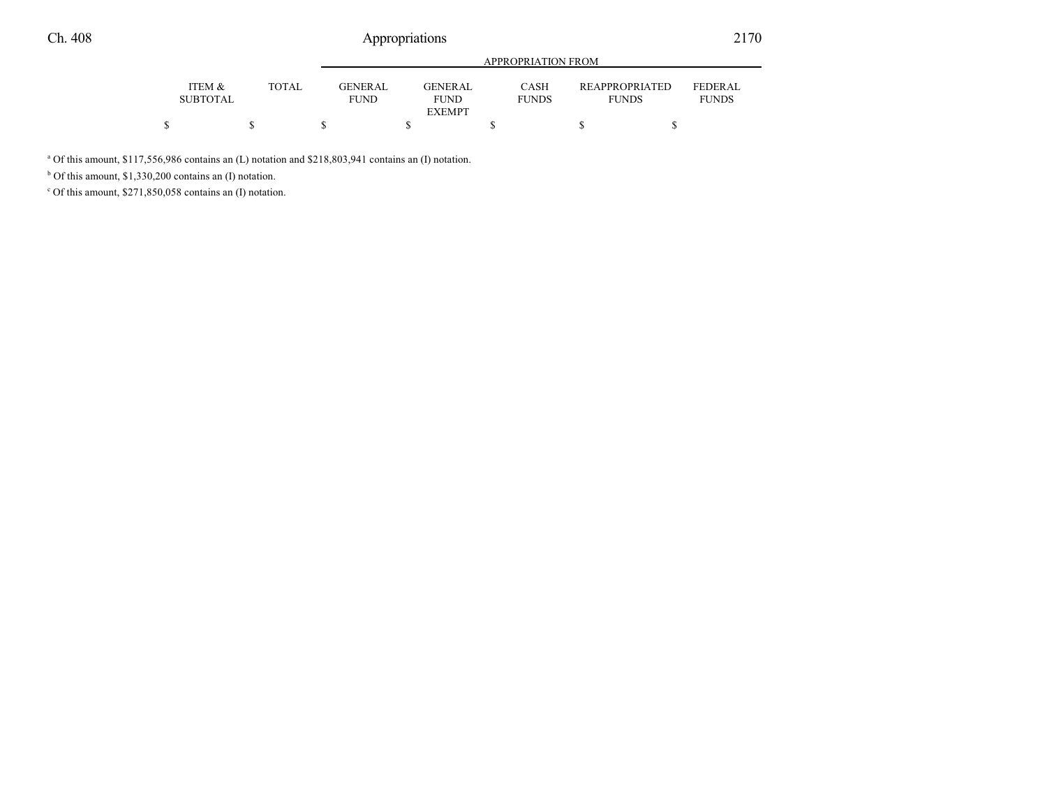|                           |       |                        | APPROPRIATION FROM             |                      |                                       |                                |  |
|---------------------------|-------|------------------------|--------------------------------|----------------------|---------------------------------------|--------------------------------|--|
| ITEM &<br><b>SUBTOTAL</b> | TOTAL | GENERAL<br><b>FUND</b> | <b>GENER AL</b><br><b>FUND</b> | CASH<br><b>FUNDS</b> | <b>REAPPROPRIATED</b><br><b>FUNDS</b> | <b>FEDERAL</b><br><b>FUNDS</b> |  |
|                           |       |                        | <b>EXEMPT</b>                  |                      |                                       |                                |  |
|                           |       |                        |                                |                      |                                       |                                |  |

<sup>a</sup> Of this amount, \$117,556,986 contains an (L) notation and \$218,803,941 contains an (I) notation.

b Of this amount, \$1,330,200 contains an (I) notation.

c Of this amount, \$271,850,058 contains an (I) notation.